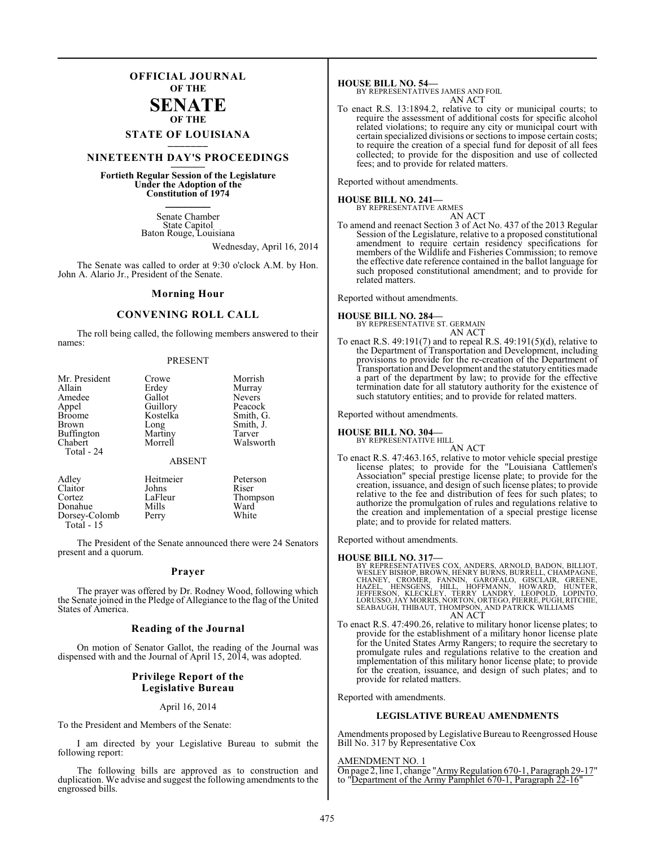### **OFFICIAL JOURNAL OF THE SENATE**

### **OF THE STATE OF LOUISIANA \_\_\_\_\_\_\_**

### **NINETEENTH DAY'S PROCEEDINGS \_\_\_\_\_\_\_**

**Fortieth Regular Session of the Legislature Under the Adoption of the Constitution of 1974 \_\_\_\_\_\_\_**

> Senate Chamber State Capitol Baton Rouge, Louisiana

> > Wednesday, April 16, 2014

The Senate was called to order at 9:30 o'clock A.M. by Hon. John A. Alario Jr., President of the Senate.

#### **Morning Hour**

#### **CONVENING ROLL CALL**

The roll being called, the following members answered to their names:

#### PRESENT

| Mr. President<br>Allain<br>Amedee<br>Appel<br><b>Broome</b><br><b>Brown</b><br><b>Buffington</b><br>Chabert<br>Total - 24 | Crowe<br>Erdey<br>Gallot<br>Guillory<br>Kostelka<br>Long<br>Martiny<br>Morrell<br><b>ABSENT</b> | Morrish<br>Murray<br><b>Nevers</b><br>Peacock<br>Smith, G.<br>Smith, J.<br>Tarver<br>Walsworth |
|---------------------------------------------------------------------------------------------------------------------------|-------------------------------------------------------------------------------------------------|------------------------------------------------------------------------------------------------|
| Adley                                                                                                                     | Heitmeier                                                                                       | Peterson                                                                                       |
| Claitor                                                                                                                   | Johns                                                                                           | Riser                                                                                          |

Cortez LaFleur Thompson Donahue Mills Ward<br>Dorsey-Colomb Perry White

Dorsey-Colomb Total - 15

The President of the Senate announced there were 24 Senators present and a quorum.

#### **Prayer**

The prayer was offered by Dr. Rodney Wood, following which the Senate joined in the Pledge of Allegiance to the flag of the United States of America.

#### **Reading of the Journal**

On motion of Senator Gallot, the reading of the Journal was dispensed with and the Journal of April 15, 2014, was adopted.

#### **Privilege Report of the Legislative Bureau**

#### April 16, 2014

To the President and Members of the Senate:

I am directed by your Legislative Bureau to submit the following report:

The following bills are approved as to construction and duplication. We advise and suggest the following amendments to the engrossed bills.

**HOUSE BILL NO. 54—** BY REPRESENTATIVES JAMES AND FOIL AN ACT

To enact R.S. 13:1894.2, relative to city or municipal courts; to require the assessment of additional costs for specific alcohol related violations; to require any city or municipal court with certain specialized divisions or sections to impose certain costs; to require the creation of a special fund for deposit of all fees collected; to provide for the disposition and use of collected fees; and to provide for related matters.

Reported without amendments.

#### **HOUSE BILL NO. 241—**

BY REPRESENTATIVE ARMES AN ACT

To amend and reenact Section 3 of Act No. 437 of the 2013 Regular Session of the Legislature, relative to a proposed constitutional amendment to require certain residency specifications for members of the Wildlife and Fisheries Commission; to remove the effective date reference contained in the ballot language for such proposed constitutional amendment; and to provide for related matters.

Reported without amendments.

**HOUSE BILL NO. 284—** BY REPRESENTATIVE ST. GERMAIN AN ACT

To enact R.S. 49:191(7) and to repeal R.S. 49:191(5)(d), relative to the Department of Transportation and Development, including provisions to provide for the re-creation of the Department of Transportation and Development and the statutory entities made a part of the department by law; to provide for the effective termination date for all statutory authority for the existence of such statutory entities; and to provide for related matters.

Reported without amendments.

#### **HOUSE BILL NO. 304—**

BY REPRESENTATIVE HILL

AN ACT To enact R.S. 47:463.165, relative to motor vehicle special prestige license plates; to provide for the "Louisiana Cattlemen's Association" special prestige license plate; to provide for the creation, issuance, and design of such license plates; to provide relative to the fee and distribution of fees for such plates; to authorize the promulgation of rules and regulations relative to the creation and implementation of a special prestige license plate; and to provide for related matters.

Reported without amendments.

#### **HOUSE BILL NO. 317—**

- BY REPRESENTATIVES COX, ANDERS, ARNOLD, BADON, BILLIOT,<br>WESLEY BISHOP, BROWN, HENRY BURNS, BURRELL, CHAMPAGNE,<br>CHANEY, CROMER, FANNIN, GAROFALO, GISCLAIR, GREENE,<br>HAZEL, HENSGENS, HILL, HOFFMANN, HOWARD, HUNTER,<br>JEFFERSON, AN ACT
- To enact R.S. 47:490.26, relative to military honor license plates; to provide for the establishment of a military honor license plate for the United States Army Rangers; to require the secretary to promulgate rules and regulations relative to the creation and implementation of this military honor license plate; to provide for the creation, issuance, and design of such plates; and to provide for related matters.

Reported with amendments.

### **LEGISLATIVE BUREAU AMENDMENTS**

Amendments proposed by Legislative Bureau to Reengrossed House Bill No. 317 by Representative Cox

#### AMENDMENT NO. 1

On page 2, line 1, change "Army Regulation 670-1, Paragraph 29-17" to "Department of the Army Pamphlet 670-1, Paragraph 22-16"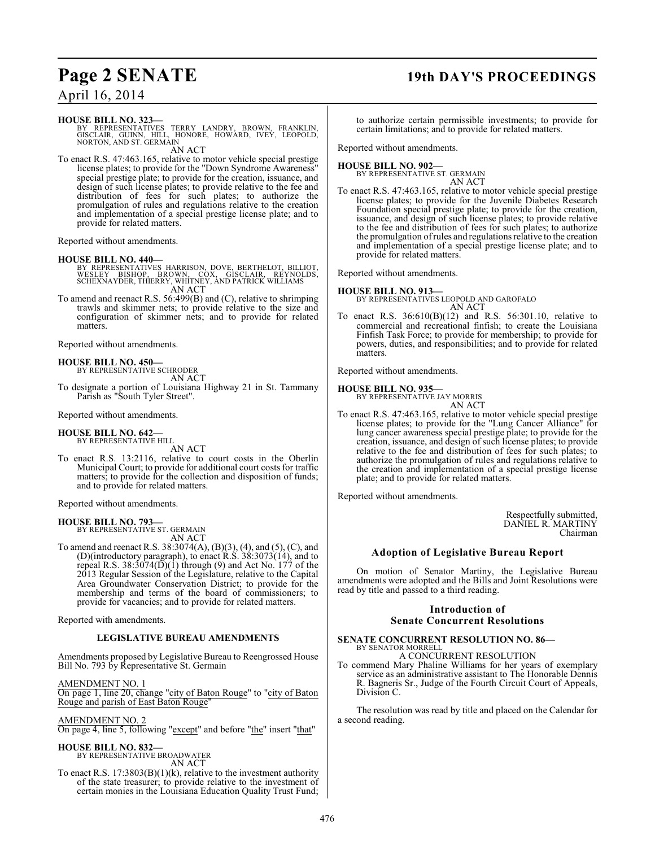### **Page 2 SENATE 19th DAY'S PROCEEDINGS**

### April 16, 2014

#### **HOUSE BILL NO. 323—**

BY REPRESENTATIVES TERRY LANDRY, BROWN, FRANKLIN,<br>GISCLAIR, GUINN, HILL, HONORE, HOWARD, IVEY, LEOPOLD,<br>NORTON,AND ST. GERMAIN AN ACT

To enact R.S. 47:463.165, relative to motor vehicle special prestige license plates; to provide for the "Down Syndrome Awareness" special prestige plate; to provide for the creation, issuance, and design of such license plates; to provide relative to the fee and distribution of fees for such plates; to authorize the promulgation of rules and regulations relative to the creation and implementation of a special prestige license plate; and to provide for related matters.

Reported without amendments.

#### **HOUSE BILL NO. 440—**

- BY REPRESENTATIVES HARRISON, DOVE, BERTHELOT, BILLIOT,<br>WESLEY BISHOP, BROWN, COX, GISCLAIR, REYNOLDS,<br>SCHEXNAYDER,THIERRY, WHITNEY, AND PATRICK WILLIAMS AN ACT
- To amend and reenact R.S. 56:499(B) and (C), relative to shrimping trawls and skimmer nets; to provide relative to the size and configuration of skimmer nets; and to provide for related matters.

Reported without amendments.

### **HOUSE BILL NO. 450—** BY REPRESENTATIVE SCHRODER

AN ACT

To designate a portion of Louisiana Highway 21 in St. Tammany Parish as "South Tyler Street".

Reported without amendments.

## **HOUSE BILL NO. 642—** BY REPRESENTATIVE HILL

AN ACT

To enact R.S. 13:2116, relative to court costs in the Oberlin Municipal Court; to provide for additional court costs for traffic matters; to provide for the collection and disposition of funds; and to provide for related matters.

Reported without amendments.

#### **HOUSE BILL NO. 793—** BY REPRESENTATIVE ST. GERMAIN

AN ACT

To amend and reenact R.S. 38:3074(A), (B)(3), (4), and (5), (C), and (D)(introductory paragraph), to enact R.S. 38:3073(14), and to repeal R.S. 38:3074( $\overline{D}$ )(1) through (9) and Act No. 177 of the 2013 Regular Session of the Legislature, relative to the Capital Area Groundwater Conservation District; to provide for the membership and terms of the board of commissioners; to provide for vacancies; and to provide for related matters.

Reported with amendments.

#### **LEGISLATIVE BUREAU AMENDMENTS**

Amendments proposed by Legislative Bureau to Reengrossed House Bill No. 793 by Representative St. Germain

AMENDMENT NO. 1 On page 1, line 20, change "city of Baton Rouge" to "city of Baton Rouge and parish of East Baton Rouge"

#### AMENDMENT NO. 2

On page 4, line 5, following "except" and before "the" insert "that"

#### **HOUSE BILL NO. 832—**

BY REPRESENTATIVE BROADWATER AN ACT

To enact R.S. 17:3803(B)(1)(k), relative to the investment authority of the state treasurer; to provide relative to the investment of certain monies in the Louisiana Education Quality Trust Fund; to authorize certain permissible investments; to provide for certain limitations; and to provide for related matters.

Reported without amendments.

#### **HOUSE BILL NO. 902—** BY REPRESENTATIVE ST. GERMAIN

AN ACT

To enact R.S. 47:463.165, relative to motor vehicle special prestige license plates; to provide for the Juvenile Diabetes Research Foundation special prestige plate; to provide for the creation, issuance, and design of such license plates; to provide relative to the fee and distribution of fees for such plates; to authorize the promulgation ofrules and regulationsrelative to the creation and implementation of a special prestige license plate; and to provide for related matters.

Reported without amendments.

#### **HOUSE BILL NO. 913—**

BY REPRESENTATIVES LEOPOLD AND GAROFALO AN ACT

To enact R.S. 36:610(B)(12) and R.S. 56:301.10, relative to commercial and recreational finfish; to create the Louisiana Finfish Task Force; to provide for membership; to provide for powers, duties, and responsibilities; and to provide for related matters.

Reported without amendments.

### **HOUSE BILL NO. 935—**

BY REPRESENTATIVE JAY MORRIS AN ACT

To enact R.S. 47:463.165, relative to motor vehicle special prestige license plates; to provide for the "Lung Cancer Alliance" for lung cancer awareness special prestige plate; to provide for the creation, issuance, and design of such license plates; to provide relative to the fee and distribution of fees for such plates; to authorize the promulgation of rules and regulations relative to the creation and implementation of a special prestige license plate; and to provide for related matters.

Reported without amendments.

Respectfully submitted, DANIEL R. MARTINY Chairman

### **Adoption of Legislative Bureau Report**

On motion of Senator Martiny, the Legislative Bureau amendments were adopted and the Bills and Joint Resolutions were read by title and passed to a third reading.

#### **Introduction of Senate Concurrent Resolutions**

#### **SENATE CONCURRENT RESOLUTION NO. 86—** BY SENATOR MORRELL

A CONCURRENT RESOLUTION To commend Mary Phaline Williams for her years of exemplary

service as an administrative assistant to The Honorable Dennis R. Bagneris Sr., Judge of the Fourth Circuit Court of Appeals, Division C.

The resolution was read by title and placed on the Calendar for a second reading.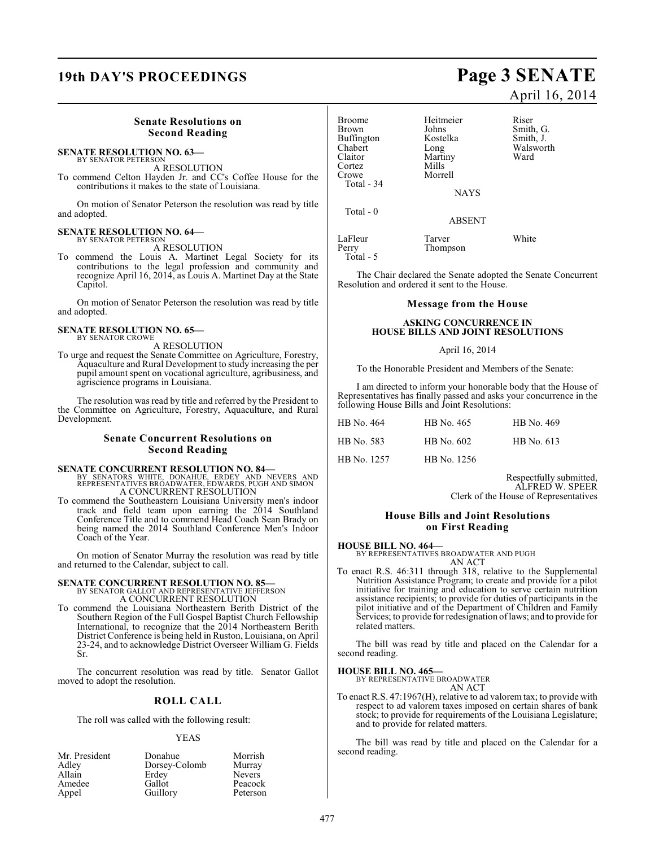## **19th DAY'S PROCEEDINGS Page 3 SENATE**

#### **Senate Resolutions on Second Reading**

#### **SENATE RESOLUTION NO. 63—** BY SENATOR PETERSON

A RESOLUTION

To commend Celton Hayden Jr. and CC's Coffee House for the contributions it makes to the state of Louisiana.

On motion of Senator Peterson the resolution was read by title and adopted.

#### **SENATE RESOLUTION NO. 64—** BY SENATOR PETERSON

A RESOLUTION

To commend the Louis A. Martinet Legal Society for its contributions to the legal profession and community and recognize April 16, 2014, as Louis A. Martinet Day at the State Capitol.

On motion of Senator Peterson the resolution was read by title and adopted.

#### **SENATE RESOLUTION NO. 65—** BY SENATOR CROWE

A RESOLUTION

To urge and request the Senate Committee on Agriculture, Forestry, Aquaculture and Rural Development to study increasing the per pupil amount spent on vocational agriculture, agribusiness, and agriscience programs in Louisiana.

The resolution was read by title and referred by the President to the Committee on Agriculture, Forestry, Aquaculture, and Rural Development.

#### **Senate Concurrent Resolutions on Second Reading**

- **SENATE CONCURRENT RESOLUTION NO. 84—**<br>BY SENATORS WHITE, DONAHUE, ERDEY AND NEVERS AND<br>REPRESENTATIVES BROADWATER, EDWARDS, PUGH AND SIMON A CONCURRENT RESOLUTION
- To commend the Southeastern Louisiana University men's indoor track and field team upon earning the 2014 Southland Conference Title and to commend Head Coach Sean Brady on being named the 2014 Southland Conference Men's Indoor Coach of the Year.

On motion of Senator Murray the resolution was read by title and returned to the Calendar, subject to call.

## **SENATE CONCURRENT RESOLUTION NO. 85—** BY SENATOR GALLOT AND REPRESENTATIVE JEFFERSON

A CONCURRENT RESOLUTION

To commend the Louisiana Northeastern Berith District of the Southern Region of the Full Gospel Baptist Church Fellowship International, to recognize that the 2014 Northeastern Berith District Conference is being held in Ruston, Louisiana, on April 23-24, and to acknowledge District Overseer William G. Fields Sr.

The concurrent resolution was read by title. Senator Gallot moved to adopt the resolution.

### **ROLL CALL**

The roll was called with the following result:

#### YEAS

| Mr. President | Donahue       | Morrish       |
|---------------|---------------|---------------|
| Adley         | Dorsey-Colomb | Murray        |
| Allain        | Erdey         | <b>Nevers</b> |
| Amedee        | Gallot        | Peacock       |
| Appel         | Guillory      | Peterson      |

# April 16, 2014

| Broome     | Heitmeier     | Riser     |
|------------|---------------|-----------|
| Brown      | Johns         | Smith, G. |
| Buffington | Kostelka      | Smith, J. |
| Chabert    | Long          | Walsworth |
| Claitor    | Martiny       | Ward      |
| Cortez     | Mills         |           |
| Crowe      | Morrell       |           |
| Total - 34 |               |           |
|            | <b>NAYS</b>   |           |
| Total - 0  |               |           |
|            | <b>ABSENT</b> |           |
| LaFleur    | Tarver        | White     |
|            |               |           |

Perry Thompson Total - 5

The Chair declared the Senate adopted the Senate Concurrent Resolution and ordered it sent to the House.

#### **Message from the House**

#### **ASKING CONCURRENCE IN HOUSE BILLS AND JOINT RESOLUTIONS**

#### April 16, 2014

To the Honorable President and Members of the Senate:

I am directed to inform your honorable body that the House of Representatives has finally passed and asks your concurrence in the following House Bills and Joint Resolutions:

| HB No. 464  | HB No. 465  | HB No. 469 |
|-------------|-------------|------------|
| HB No. 583  | HB No. 602  | HB No. 613 |
| HB No. 1257 | HB No. 1256 |            |

Respectfully submitted, ALFRED W. SPEER Clerk of the House of Representatives

#### **House Bills and Joint Resolutions on First Reading**

**HOUSE BILL NO. 464—** BY REPRESENTATIVES BROADWATER AND PUGH AN ACT

To enact R.S. 46:311 through 318, relative to the Supplemental Nutrition Assistance Program; to create and provide for a pilot initiative for training and education to serve certain nutrition assistance recipients; to provide for duties of participants in the pilot initiative and of the Department of Children and Family Services; to provide for redesignation of laws; and to provide for related matters.

The bill was read by title and placed on the Calendar for a second reading.

**HOUSE BILL NO. 465—** BY REPRESENTATIVE BROADWATER

AN ACT

To enact R.S. 47:1967(H), relative to ad valorem tax; to provide with respect to ad valorem taxes imposed on certain shares of bank stock; to provide for requirements of the Louisiana Legislature; and to provide for related matters.

The bill was read by title and placed on the Calendar for a second reading.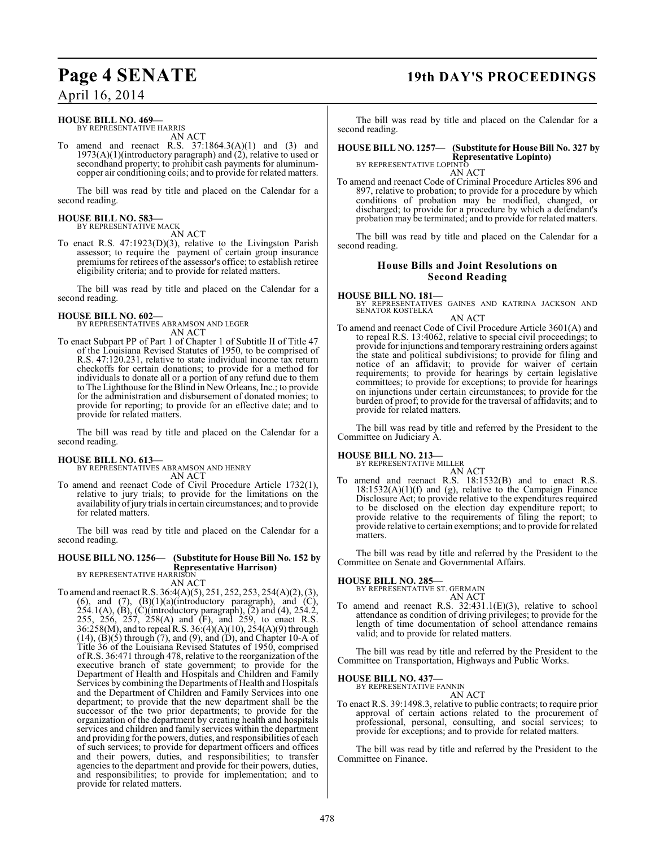## **Page 4 SENATE 19th DAY'S PROCEEDINGS**

April 16, 2014

#### **HOUSE BILL NO. 469—** BY REPRESENTATIVE HARRIS

AN ACT

To amend and reenact R.S. 37:1864.3(A)(1) and (3) and  $1973(A)(1)$ (introductory paragraph) and  $(2)$ , relative to used or secondhand property; to prohibit cash payments for aluminumcopper air conditioning coils; and to provide for related matters.

The bill was read by title and placed on the Calendar for a second reading.

#### **HOUSE BILL NO. 583—** BY REPRESENTATIVE MACK

AN ACT

To enact R.S. 47:1923(D)(3), relative to the Livingston Parish assessor; to require the payment of certain group insurance premiums for retirees of the assessor's office; to establish retiree eligibility criteria; and to provide for related matters.

The bill was read by title and placed on the Calendar for a second reading.

### **HOUSE BILL NO. 602—**

BY REPRESENTATIVES ABRAMSON AND LEGER AN ACT

To enact Subpart PP of Part 1 of Chapter 1 of Subtitle II of Title 47 of the Louisiana Revised Statutes of 1950, to be comprised of R.S. 47:120.231, relative to state individual income tax return checkoffs for certain donations; to provide for a method for individuals to donate all or a portion of any refund due to them to The Lighthouse for the Blind in New Orleans, Inc.; to provide for the administration and disbursement of donated monies; to provide for reporting; to provide for an effective date; and to provide for related matters.

The bill was read by title and placed on the Calendar for a second reading.

#### **HOUSE BILL NO. 613—**

BY REPRESENTATIVES ABRAMSON AND HENRY AN ACT

To amend and reenact Code of Civil Procedure Article 1732(1), relative to jury trials; to provide for the limitations on the availability of jury trials in certain circumstances; and to provide for related matters.

The bill was read by title and placed on the Calendar for a second reading.

#### **HOUSE BILL NO. 1256— (Substitute for House Bill No. 152 by Representative Harrison)** BY REPRESENTATIVE HARRISON

AN ACT

To amend and reenact R.S. 36:4(A)(5), 251, 252, 253, 254(A)(2), (3), (6), and (7),  $(B)(1)(a)$ (introductory paragraph), and  $(C)$ ,  $254.1(A)$ ,  $(B)$ ,  $(C)$ (introductory paragraph),  $(2)$  and  $(4)$ ,  $254.2$ , 255, 256, 257, 258(A) and (F), and 259, to enact R.S. 36:258(M), and to repealR.S. 36:(4)(A)(10), 254(A)(9) through  $(14)$ ,  $(\overline{B})(\overline{5})$  through  $(7)$ , and  $(9)$ , and  $(\overline{D})$ , and Chapter 10-A of Title 36 of the Louisiana Revised Statutes of 1950, comprised of R.S. 36:471 through 478, relative to the reorganization of the executive branch of state government; to provide for the Department of Health and Hospitals and Children and Family Services by combining the Departments of Health and Hospitals and the Department of Children and Family Services into one department; to provide that the new department shall be the successor of the two prior departments; to provide for the organization of the department by creating health and hospitals services and children and family services within the department and providing for the powers, duties, and responsibilities of each of such services; to provide for department officers and offices and their powers, duties, and responsibilities; to transfer agencies to the department and provide for their powers, duties, and responsibilities; to provide for implementation; and to provide for related matters.

The bill was read by title and placed on the Calendar for a second reading.

**HOUSE BILL NO. 1257— (Substitute for House Bill No. 327 by Representative Lopinto)** BY REPRESENTATIVE LOPINTO

AN ACT

To amend and reenact Code of Criminal Procedure Articles 896 and 897, relative to probation; to provide for a procedure by which conditions of probation may be modified, changed, or discharged; to provide for a procedure by which a defendant's probation may be terminated; and to provide for related matters.

The bill was read by title and placed on the Calendar for a second reading.

#### **House Bills and Joint Resolutions on Second Reading**

#### **HOUSE BILL NO. 181—**

BY REPRESENTATIVES GAINES AND KATRINA JACKSON AND SENATOR KOSTELKA

#### AN ACT

To amend and reenact Code of Civil Procedure Article 3601(A) and to repeal R.S. 13:4062, relative to special civil proceedings; to provide for injunctions and temporary restraining orders against the state and political subdivisions; to provide for filing and notice of an affidavit; to provide for waiver of certain requirements; to provide for hearings by certain legislative committees; to provide for exceptions; to provide for hearings on injunctions under certain circumstances; to provide for the burden of proof; to provide for the traversal of affidavits; and to provide for related matters.

The bill was read by title and referred by the President to the Committee on Judiciary A.

## **HOUSE BILL NO. 213—** BY REPRESENTATIVE MILLER

AN ACT

To amend and reenact R.S. 18:1532(B) and to enact R.S.  $18:1532(A)(1)(f)$  and (g), relative to the Campaign Finance Disclosure Act; to provide relative to the expenditures required to be disclosed on the election day expenditure report; to provide relative to the requirements of filing the report; to provide relative to certain exemptions; and to provide for related matters.

The bill was read by title and referred by the President to the Committee on Senate and Governmental Affairs.

### **HOUSE BILL NO. 285—**

BY REPRESENTATIVE ST. GERMAIN AN ACT

To amend and reenact R.S. 32:431.1(E)(3), relative to school attendance as condition of driving privileges; to provide for the length of time documentation of school attendance remains valid; and to provide for related matters.

The bill was read by title and referred by the President to the Committee on Transportation, Highways and Public Works.

**HOUSE BILL NO. 437—** BY REPRESENTATIVE FANNIN

AN ACT

To enact R.S. 39:1498.3, relative to public contracts; to require prior approval of certain actions related to the procurement of professional, personal, consulting, and social services; to provide for exceptions; and to provide for related matters.

The bill was read by title and referred by the President to the Committee on Finance.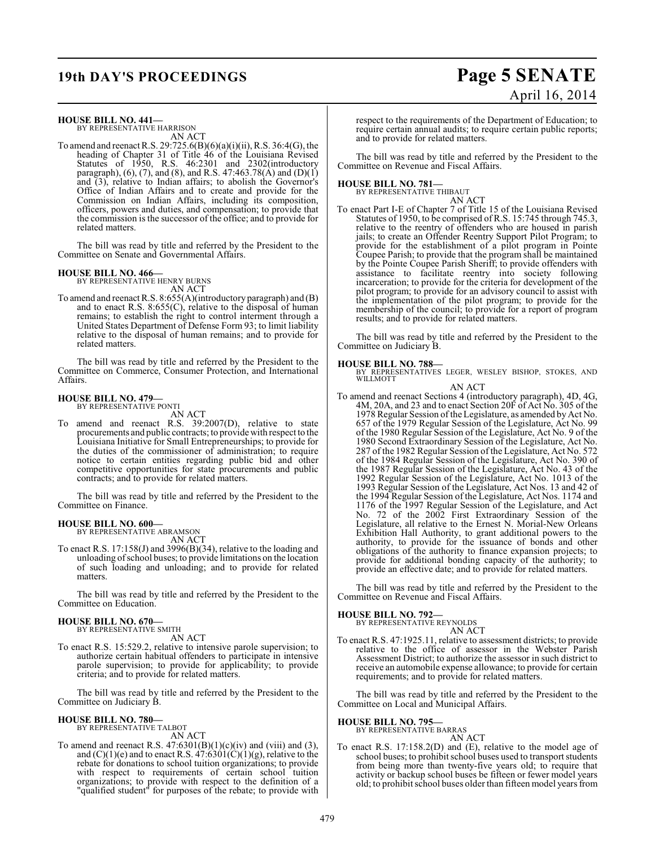## **19th DAY'S PROCEEDINGS Page 5 SENATE**

# April 16, 2014

**HOUSE BILL NO. 441—** BY REPRESENTATIVE HARRISON

AN ACT

To amend and reenact R.S. 29:725.6(B)(6)(a)(i)(ii), R.S. 36:4(G), the heading of Chapter 31 of Title 46 of the Louisiana Revised Statutes of 1950, R.S. 46:2301 and 2302(introductory paragraph), (6), (7), and (8), and R.S. 47:463.78(A) and (D)(1) and (3), relative to Indian affairs; to abolish the Governor's Office of Indian Affairs and to create and provide for the Commission on Indian Affairs, including its composition, officers, powers and duties, and compensation; to provide that the commission is the successor of the office; and to provide for related matters.

The bill was read by title and referred by the President to the Committee on Senate and Governmental Affairs.

## **HOUSE BILL NO. 466—** BY REPRESENTATIVE HENRY BURNS

AN ACT

To amend and reenact R.S. 8:655(A)(introductory paragraph) and (B) and to enact R.S. 8:655(C), relative to the disposal of human remains; to establish the right to control interment through a United States Department of Defense Form 93; to limit liability relative to the disposal of human remains; and to provide for related matters.

The bill was read by title and referred by the President to the Committee on Commerce, Consumer Protection, and International Affairs.

#### **HOUSE BILL NO. 479—** BY REPRESENTATIVE PONTI

AN ACT

To amend and reenact R.S. 39:2007(D), relative to state procurements and public contracts; to provide with respect to the Louisiana Initiative for Small Entrepreneurships; to provide for the duties of the commissioner of administration; to require notice to certain entities regarding public bid and other competitive opportunities for state procurements and public contracts; and to provide for related matters.

The bill was read by title and referred by the President to the Committee on Finance.

### **HOUSE BILL NO. 600—**

BY REPRESENTATIVE ABRAMSON AN ACT

To enact R.S. 17:158(J) and 3996(B)(34), relative to the loading and unloading of school buses; to provide limitations on the location of such loading and unloading; and to provide for related matters.

The bill was read by title and referred by the President to the Committee on Education.

#### **HOUSE BILL NO. 670—**

BY REPRESENTATIVE SMITH

- AN ACT
- To enact R.S. 15:529.2, relative to intensive parole supervision; to authorize certain habitual offenders to participate in intensive parole supervision; to provide for applicability; to provide criteria; and to provide for related matters.

The bill was read by title and referred by the President to the Committee on Judiciary B.

### **HOUSE BILL NO. 780—**

BY REPRESENTATIVE TALBOT AN ACT

To amend and reenact R.S.  $47:6301(B)(1)(c)(iv)$  and (viii) and (3), and  $(C)(1)(e)$  and to enact R.S.  $47:6301(C)(1)(g)$ , relative to the rebate for donations to school tuition organizations; to provide with respect to requirements of certain school tuition organizations; to provide with respect to the definition of a "qualified student" for purposes of the rebate; to provide with respect to the requirements of the Department of Education; to require certain annual audits; to require certain public reports; and to provide for related matters.

The bill was read by title and referred by the President to the Committee on Revenue and Fiscal Affairs.

#### **HOUSE BILL NO. 781—**

BY REPRESENTATIVE THIBAUT AN ACT

To enact Part I-E of Chapter 7 of Title 15 of the Louisiana Revised Statutes of 1950, to be comprised of R.S. 15:745 through 745.3, relative to the reentry of offenders who are housed in parish jails; to create an Offender Reentry Support Pilot Program; to provide for the establishment of a pilot program in Pointe Coupee Parish; to provide that the program shall be maintained by the Pointe Coupee Parish Sheriff; to provide offenders with assistance to facilitate reentry into society following incarceration; to provide for the criteria for development of the pilot program; to provide for an advisory council to assist with the implementation of the pilot program; to provide for the membership of the council; to provide for a report of program results; and to provide for related matters.

The bill was read by title and referred by the President to the Committee on Judiciary B.

#### **HOUSE BILL NO. 788—**

BY REPRESENTATIVES LEGER, WESLEY BISHOP, STOKES, AND WILLMOTT

- AN ACT
- To amend and reenact Sections 4 (introductory paragraph), 4D, 4G, 4M, 20A, and 23 and to enact Section 20F of Act No. 305 of the 1978 Regular Session of the Legislature, as amended by Act No. 657 of the 1979 Regular Session of the Legislature, Act No. 99 of the 1980 Regular Session of the Legislature, Act No. 9 of the 1980 Second Extraordinary Session of the Legislature, Act No. 287 of the 1982 Regular Session of the Legislature, Act No. 572 of the 1984 Regular Session of the Legislature, Act No. 390 of the 1987 Regular Session of the Legislature, Act No. 43 of the 1992 Regular Session of the Legislature, Act No. 1013 of the 1993 Regular Session of the Legislature, Act Nos. 13 and 42 of the 1994 Regular Session of the Legislature, Act Nos. 1174 and 1176 of the 1997 Regular Session of the Legislature, and Act No. 72 of the 2002 First Extraordinary Session of the Legislature, all relative to the Ernest N. Morial-New Orleans Exhibition Hall Authority, to grant additional powers to the authority, to provide for the issuance of bonds and other obligations of the authority to finance expansion projects; to provide for additional bonding capacity of the authority; to provide an effective date; and to provide for related matters.

The bill was read by title and referred by the President to the Committee on Revenue and Fiscal Affairs.

#### **HOUSE BILL NO. 792—**

BY REPRESENTATIVE REYNOLDS AN ACT

To enact R.S. 47:1925.11, relative to assessment districts; to provide relative to the office of assessor in the Webster Parish Assessment District; to authorize the assessor in such district to receive an automobile expense allowance; to provide for certain requirements; and to provide for related matters.

The bill was read by title and referred by the President to the Committee on Local and Municipal Affairs.

### **HOUSE BILL NO. 795—**

BY REPRESENTATIVE BARRAS AN ACT

To enact R.S. 17:158.2(D) and (E), relative to the model age of school buses; to prohibit school buses used to transport students from being more than twenty-five years old; to require that activity or backup school buses be fifteen or fewer model years old; to prohibit school buses older than fifteen model years from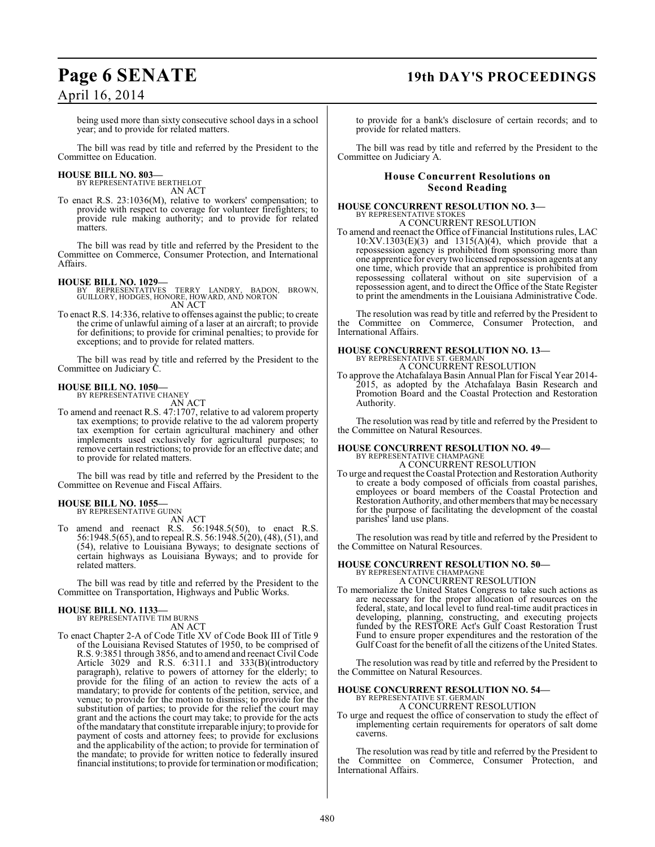## **Page 6 SENATE 19th DAY'S PROCEEDINGS**

being used more than sixty consecutive school days in a school year; and to provide for related matters.

The bill was read by title and referred by the President to the Committee on Education.

#### **HOUSE BILL NO. 803—** BY REPRESENTATIVE BERTHELOT

AN ACT

To enact R.S. 23:1036(M), relative to workers' compensation; to provide with respect to coverage for volunteer firefighters; to provide rule making authority; and to provide for related matters.

The bill was read by title and referred by the President to the Committee on Commerce, Consumer Protection, and International Affairs.

#### **HOUSE BILL NO. 1029—**

BY REPRESENTATIVES TERRY LANDRY, BADON, BROWN, GUILLORY, HODGES, HONORE, HOWARD, AND NORTON AN ACT

To enact R.S. 14:336, relative to offenses against the public; to create the crime of unlawful aiming of a laser at an aircraft; to provide for definitions; to provide for criminal penalties; to provide for exceptions; and to provide for related matters.

The bill was read by title and referred by the President to the Committee on Judiciary C.

#### **HOUSE BILL NO. 1050—** BY REPRESENTATIVE CHANEY

AN ACT

To amend and reenact R.S. 47:1707, relative to ad valorem property tax exemptions; to provide relative to the ad valorem property tax exemption for certain agricultural machinery and other implements used exclusively for agricultural purposes; to remove certain restrictions; to provide for an effective date; and to provide for related matters.

The bill was read by title and referred by the President to the Committee on Revenue and Fiscal Affairs.

## **HOUSE BILL NO. 1055—** BY REPRESENTATIVE GUINN

AN ACT

To amend and reenact R.S. 56:1948.5(50), to enact R.S. 56:1948.5(65), and to repeal R.S. 56:1948.5(20), (48), (51), and (54), relative to Louisiana Byways; to designate sections of certain highways as Louisiana Byways; and to provide for related matters.

The bill was read by title and referred by the President to the Committee on Transportation, Highways and Public Works.

#### **HOUSE BILL NO. 1133—** BY REPRESENTATIVE TIM BURNS

AN ACT

To enact Chapter 2-A of Code Title XV of Code Book III of Title 9 of the Louisiana Revised Statutes of 1950, to be comprised of R.S. 9:3851 through 3856, and to amend and reenact Civil Code Article 3029 and R.S. 6:311.1 and 333(B)(introductory paragraph), relative to powers of attorney for the elderly; to provide for the filing of an action to review the acts of a mandatary; to provide for contents of the petition, service, and venue; to provide for the motion to dismiss; to provide for the substitution of parties; to provide for the relief the court may grant and the actions the court may take; to provide for the acts of the mandatary that constitute irreparable injury; to provide for payment of costs and attorney fees; to provide for exclusions and the applicability of the action; to provide for termination of the mandate; to provide for written notice to federally insured financial institutions; to provide for termination or modification;

to provide for a bank's disclosure of certain records; and to provide for related matters.

The bill was read by title and referred by the President to the Committee on Judiciary A.

#### **House Concurrent Resolutions on Second Reading**

**HOUSE CONCURRENT RESOLUTION NO. 3—** BY REPRESENTATIVE STOKES A CONCURRENT RESOLUTION

To amend and reenact the Office of Financial Institutions rules, LAC 10:XV.1303(E)(3) and 1315(A)(4), which provide that a repossession agency is prohibited from sponsoring more than one apprentice for every two licensed repossession agents at any one time, which provide that an apprentice is prohibited from repossessing collateral without on site supervision of a repossession agent, and to direct the Office of the State Register to print the amendments in the Louisiana Administrative Code.

The resolution was read by title and referred by the President to the Committee on Commerce, Consumer Protection, and International Affairs.

#### **HOUSE CONCURRENT RESOLUTION NO. 13—** BY REPRESENTATIVE ST. GERMAIN

A CONCURRENT RESOLUTION

To approve the Atchafalaya Basin Annual Plan for Fiscal Year 2014- 2015, as adopted by the Atchafalaya Basin Research and Promotion Board and the Coastal Protection and Restoration Authority.

The resolution was read by title and referred by the President to the Committee on Natural Resources.

#### **HOUSE CONCURRENT RESOLUTION NO. 49—** BY REPRESENTATIVE CHAMPAGNE

A CONCURRENT RESOLUTION

To urge and request the Coastal Protection and Restoration Authority to create a body composed of officials from coastal parishes, employees or board members of the Coastal Protection and Restoration Authority, and other members that may be necessary for the purpose of facilitating the development of the coastal parishes' land use plans.

The resolution was read by title and referred by the President to the Committee on Natural Resources.

#### **HOUSE CONCURRENT RESOLUTION NO. 50—** BY REPRESENTATIVE CHAMPAGNE

A CONCURRENT RESOLUTION

To memorialize the United States Congress to take such actions as are necessary for the proper allocation of resources on the federal, state, and local level to fund real-time audit practices in developing, planning, constructing, and executing projects funded by the RESTORE Act's Gulf Coast Restoration Trust Fund to ensure proper expenditures and the restoration of the Gulf Coast for the benefit of all the citizens of the United States.

The resolution was read by title and referred by the President to the Committee on Natural Resources.

## **HOUSE CONCURRENT RESOLUTION NO. 54—** BY REPRESENTATIVE ST. GERMAIN

A CONCURRENT RESOLUTION

To urge and request the office of conservation to study the effect of implementing certain requirements for operators of salt dome caverns.

The resolution was read by title and referred by the President to the Committee on Commerce, Consumer Protection, and International Affairs.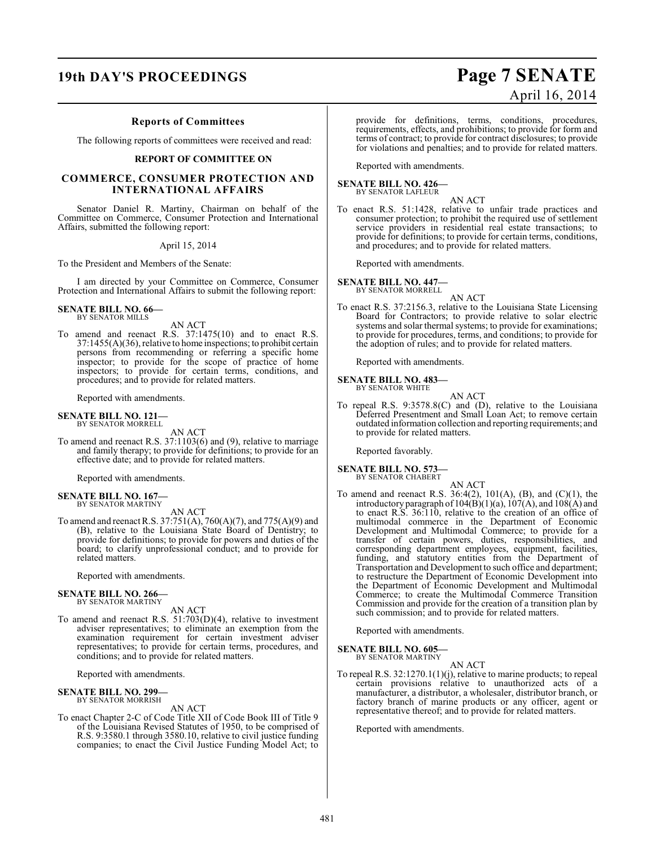## **19th DAY'S PROCEEDINGS Page 7 SENATE**

#### **Reports of Committees**

The following reports of committees were received and read:

#### **REPORT OF COMMITTEE ON**

#### **COMMERCE, CONSUMER PROTECTION AND INTERNATIONAL AFFAIRS**

Senator Daniel R. Martiny, Chairman on behalf of the Committee on Commerce, Consumer Protection and International Affairs, submitted the following report:

April 15, 2014

To the President and Members of the Senate:

I am directed by your Committee on Commerce, Consumer Protection and International Affairs to submit the following report:

### **SENATE BILL NO. 66—**

BY SENATOR MILLS

AN ACT

To amend and reenact R.S. 37:1475(10) and to enact R.S. 37:1455(A)(36), relative to home inspections; to prohibit certain persons from recommending or referring a specific home inspector; to provide for the scope of practice of home inspectors; to provide for certain terms, conditions, and procedures; and to provide for related matters.

Reported with amendments.

## **SENATE BILL NO. 121—** BY SENATOR MORRELL

AN ACT

To amend and reenact R.S. 37:1103(6) and (9), relative to marriage and family therapy; to provide for definitions; to provide for an effective date; and to provide for related matters.

Reported with amendments.

#### **SENATE BILL NO. 167—** BY SENATOR MARTINY

AN ACT

To amend and reenactR.S. 37:751(A), 760(A)(7), and 775(A)(9) and (B), relative to the Louisiana State Board of Dentistry; to provide for definitions; to provide for powers and duties of the board; to clarify unprofessional conduct; and to provide for related matters.

Reported with amendments.

#### **SENATE BILL NO. 266—** BY SENATOR MARTINY

AN ACT

To amend and reenact R.S. 51:703(D)(4), relative to investment adviser representatives; to eliminate an exemption from the examination requirement for certain investment adviser representatives; to provide for certain terms, procedures, and conditions; and to provide for related matters.

Reported with amendments.

#### **SENATE BILL NO. 299—** BY SENATOR MORRISH

AN ACT

To enact Chapter 2-C of Code Title XII of Code Book III of Title 9 of the Louisiana Revised Statutes of 1950, to be comprised of R.S. 9:3580.1 through 3580.10, relative to civil justice funding companies; to enact the Civil Justice Funding Model Act; to

provide for definitions, terms, conditions, procedures, requirements, effects, and prohibitions; to provide for form and terms of contract; to provide for contract disclosures; to provide

for violations and penalties; and to provide for related matters.

Reported with amendments.

#### **SENATE BILL NO. 426—** BY SENATOR LAFLEUR

AN ACT

To enact R.S. 51:1428, relative to unfair trade practices and consumer protection; to prohibit the required use of settlement service providers in residential real estate transactions; to provide for definitions; to provide for certain terms, conditions, and procedures; and to provide for related matters.

Reported with amendments.

**SENATE BILL NO. 447—**

BY SENATOR MORRELL AN ACT

To enact R.S. 37:2156.3, relative to the Louisiana State Licensing Board for Contractors; to provide relative to solar electric systems and solar thermal systems; to provide for examinations; to provide for procedures, terms, and conditions; to provide for the adoption of rules; and to provide for related matters.

Reported with amendments.

#### **SENATE BILL NO. 483—** BY SENATOR WHITE

AN ACT

To repeal R.S. 9:3578.8(C) and (D), relative to the Louisiana Deferred Presentment and Small Loan Act; to remove certain outdated information collection and reporting requirements; and to provide for related matters.

AN ACT

Reported favorably.

### **SENATE BILL NO. 573—** BY SENATOR CHABERT

To amend and reenact R.S. 36:4(2), 101(A), (B), and (C)(1), the introductory paragraph of  $104(B)(1)(a)$ ,  $107(A)$ , and  $108(A)$  and to enact R.S. 36:110, relative to the creation of an office of multimodal commerce in the Department of Economic Development and Multimodal Commerce; to provide for a transfer of certain powers, duties, responsibilities, and corresponding department employees, equipment, facilities, funding, and statutory entities from the Department of Transportation and Development to such office and department; to restructure the Department of Economic Development into the Department of Economic Development and Multimodal Commerce; to create the Multimodal Commerce Transition Commission and provide for the creation of a transition plan by such commission; and to provide for related matters.

Reported with amendments.

#### **SENATE BILL NO. 605—** BY SENATOR MARTINY

AN ACT

To repeal R.S. 32:1270.1(1)(j), relative to marine products; to repeal certain provisions relative to unauthorized acts of a manufacturer, a distributor, a wholesaler, distributor branch, or factory branch of marine products or any officer, agent or representative thereof; and to provide for related matters.

Reported with amendments.

# April 16, 2014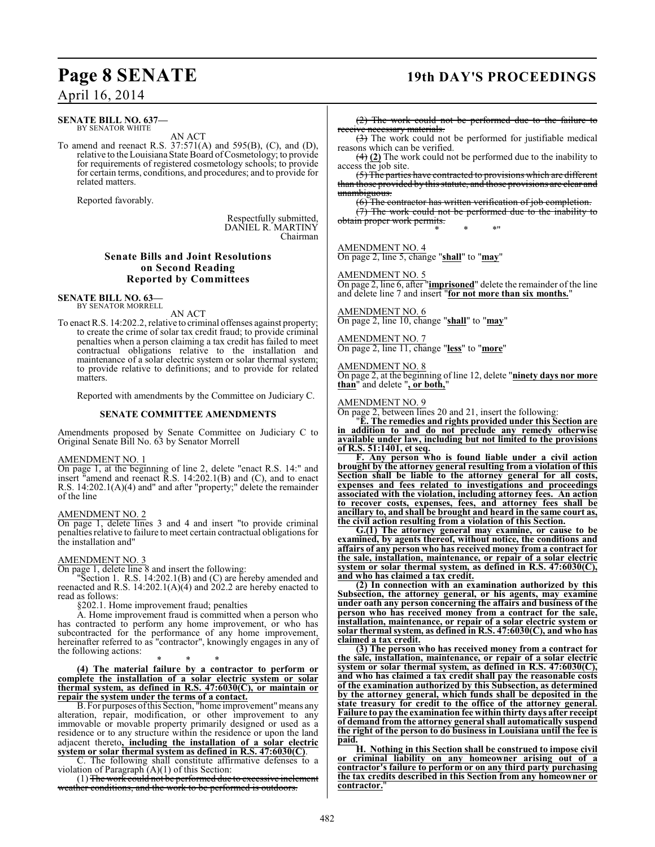### **Page 8 SENATE 19th DAY'S PROCEEDINGS**

### April 16, 2014

#### **SENATE BILL NO. 637—** BY SENATOR WHITE

AN ACT

To amend and reenact R.S. 37:571(A) and 595(B), (C), and (D), relative to the Louisiana State Board of Cosmetology; to provide for requirements of registered cosmetology schools; to provide for certain terms, conditions, and procedures; and to provide for related matters.

Reported favorably.

Respectfully submitted, DANIEL R. MARTINY Chairman

#### **Senate Bills and Joint Resolutions on Second Reading Reported by Committees**

**SENATE BILL NO. 63—** BY SENATOR MORRELL

AN ACT

To enact R.S. 14:202.2, relative to criminal offenses against property; to create the crime of solar tax credit fraud; to provide criminal penalties when a person claiming a tax credit has failed to meet contractual obligations relative to the installation and maintenance of a solar electric system or solar thermal system; to provide relative to definitions; and to provide for related matters.

Reported with amendments by the Committee on Judiciary C.

#### **SENATE COMMITTEE AMENDMENTS**

Amendments proposed by Senate Committee on Judiciary C to Original Senate Bill No. 63 by Senator Morrell

#### AMENDMENT NO. 1

On page 1, at the beginning of line 2, delete "enact R.S. 14:" and insert "amend and reenact R.S. 14:202.1(B) and (C), and to enact R.S. 14:202.1(A)(4) and" and after "property;" delete the remainder of the line

#### AMENDMENT NO. 2

On page 1, delete lines 3 and 4 and insert "to provide criminal penalties relative to failure to meet certain contractual obligations for the installation and"

### AMENDMENT NO. 3

On page 1, delete line 8 and insert the following:

"Section 1. R.S. 14:202.1(B) and (C) are hereby amended and reenacted and R.S. 14:202.1(A)(4) and 202.2 are hereby enacted to read as follows:

§202.1. Home improvement fraud; penalties

A. Home improvement fraud is committed when a person who has contracted to perform any home improvement, or who has subcontracted for the performance of any home improvement, hereinafter referred to as "contractor", knowingly engages in any of the following actions:

\* \* \* **(4) The material failure by a contractor to perform or complete the installation of a solar electric system or solar thermal system, as defined in R.S. 47:6030(C), or maintain or repair the system under the terms of a contact.**

B. For purposes of this Section, "home improvement" means any alteration, repair, modification, or other improvement to any immovable or movable property primarily designed or used as a residence or to any structure within the residence or upon the land adjacent thereto**, including the installation of a solar electric system or solar thermal system as defined in R.S. 47:6030(C)**.

C. The following shall constitute affirmative defenses to a violation of Paragraph  $(A)(1)$  of this Section:

(1) The work could not be performed due to excessive inclement weather conditions, and the work to be performed is outdoors.

(2) The work could not be performed due to the failure to receive necessary materials.

(3) The work could not be performed for justifiable medical reasons which can be verified.

(4) **(2)** The work could not be performed due to the inability to access the job site.

(5) The parties have contracted to provisions which are different than those provided by this statute, and those provisions are clear and unambiguous.

(6) The contractor has written verification of job completion.

 $(7)$  The work could not be performed due to the inability to obtain proper work permits. \* \* \*"

### AMENDMENT NO. 4

On page 2, line 5, change "**shall**" to "**may**"

#### AMENDMENT NO. 5

On page 2, line 6, after "**imprisoned**" delete the remainder of the line and delete line 7 and insert "**for not more than six months.**"

AMENDMENT NO. 6 On page 2, line 10, change "**shall**" to "**may**"

AMENDMENT NO. 7

On page 2, line 11, change "**less**" to "**more**"

AMENDMENT NO. 8

On page 2, at the beginning of line 12, delete "**ninety days nor more than**" and delete "**, or both,**"

#### AMENDMENT NO. 9

On page 2, between lines 20 and 21, insert the following:

"**E. The remedies and rights provided under this Section are in addition to and do not preclude any remedy otherwise available under law, including but not limited to the provisions of R.S. 51:1401, et seq.**

**F. Any person who is found liable under a civil action brought by the attorney general resulting from a violation of this Section shall be liable to the attorney general for all costs, expenses and fees related to investigations and proceedings associated with the violation, including attorney fees. An action to recover costs, expenses, fees, and attorney fees shall be ancillary to, and shall be brought and heard in the same court as, the civil action resulting from a violation of this Section.**

**G.(1) The attorney general may examine, or cause to be examined, by agents thereof, without notice, the conditions and affairs of any person who has received money from a contract for the sale, installation, maintenance, or repair of a solar electric system or solar thermal system, as defined in R.S. 47:6030(C), and who has claimed a tax credit.**

**(2) In connection with an examination authorized by this Subsection, the attorney general, or his agents, may examine under oath any person concerning the affairs and business of the person who has received money from a contract for the sale, installation, maintenance, or repair of a solar electric system or solar thermal system, as defined in R.S. 47:6030(C), and who has claimed a tax credit.**

**(3) The person who has received money from a contract for the sale, installation, maintenance, or repair of a solar electric system or solar thermal system, as defined in R.S. 47:6030(C), and who has claimed a tax credit shall pay the reasonable costs of the examination authorized by this Subsection, as determined by the attorney general, which funds shall be deposited in the state treasury for credit to the office of the attorney general. Failure to pay the examination fee within thirty days after receipt of demand from the attorney general shall automatically suspend the right of the person to do business in Louisiana until the fee is paid.**

**H. Nothing in this Section shall be construed to impose civil or criminal liability on any homeowner arising out of a contractor's failure to perform or on any third party purchasing the tax credits described in this Section from any homeowner or** contractor.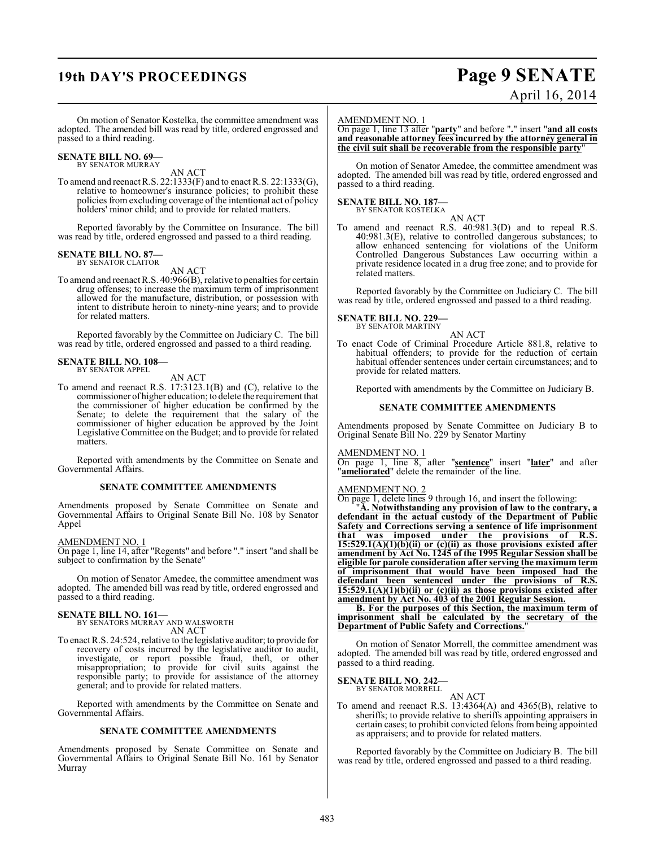## **19th DAY'S PROCEEDINGS Page 9 SENATE**

# April 16, 2014

On motion of Senator Kostelka, the committee amendment was adopted. The amended bill was read by title, ordered engrossed and passed to a third reading.

#### **SENATE BILL NO. 69—** BY SENATOR MURRAY

AN ACT

To amend and reenactR.S. 22:1333(F) and to enact R.S. 22:1333(G), relative to homeowner's insurance policies; to prohibit these policies from excluding coverage of the intentional act of policy holders' minor child; and to provide for related matters.

Reported favorably by the Committee on Insurance. The bill was read by title, ordered engrossed and passed to a third reading.

### **SENATE BILL NO. 87—** BY SENATOR CLAITOR

AN ACT

To amend and reenact R.S. 40:966(B), relative to penalties for certain drug offenses; to increase the maximum term of imprisonment allowed for the manufacture, distribution, or possession with intent to distribute heroin to ninety-nine years; and to provide for related matters.

Reported favorably by the Committee on Judiciary C. The bill was read by title, ordered engrossed and passed to a third reading.

#### **SENATE BILL NO. 108—** BY SENATOR APPEL

AN ACT

To amend and reenact R.S. 17:3123.1(B) and (C), relative to the commissioner of higher education; to delete the requirement that the commissioner of higher education be confirmed by the Senate; to delete the requirement that the salary of the commissioner of higher education be approved by the Joint Legislative Committee on the Budget; and to provide for related matters.

Reported with amendments by the Committee on Senate and Governmental Affairs.

#### **SENATE COMMITTEE AMENDMENTS**

Amendments proposed by Senate Committee on Senate and Governmental Affairs to Original Senate Bill No. 108 by Senator Appel

#### AMENDMENT NO. 1

On page 1, line 14, after "Regents" and before "." insert "and shall be subject to confirmation by the Senate"

On motion of Senator Amedee, the committee amendment was adopted. The amended bill was read by title, ordered engrossed and passed to a third reading.

### **SENATE BILL NO. 161—** BY SENATORS MURRAY AND WALSWORTH

AN ACT

To enact R.S. 24:524, relative to the legislative auditor; to provide for recovery of costs incurred by the legislative auditor to audit, investigate, or report possible fraud, theft, or other misappropriation; to provide for civil suits against the responsible party; to provide for assistance of the attorney general; and to provide for related matters.

Reported with amendments by the Committee on Senate and Governmental Affairs.

#### **SENATE COMMITTEE AMENDMENTS**

Amendments proposed by Senate Committee on Senate and Governmental Affairs to Original Senate Bill No. 161 by Senator Murray

#### AMENDMENT NO. 1

On page 1, line 13 after "**party**" and before "**.**" insert "**and all costs and reasonable attorney fees incurred by the attorney general in the civil suit shall be recoverable from the responsible party**"

On motion of Senator Amedee, the committee amendment was adopted. The amended bill was read by title, ordered engrossed and passed to a third reading.

#### **SENATE BILL NO. 187—** BY SENATOR KOSTELKA



To amend and reenact R.S. 40:981.3(D) and to repeal R.S. 40:981.3(E), relative to controlled dangerous substances; to allow enhanced sentencing for violations of the Uniform Controlled Dangerous Substances Law occurring within a private residence located in a drug free zone; and to provide for related matters.

Reported favorably by the Committee on Judiciary C. The bill was read by title, ordered engrossed and passed to a third reading.

**SENATE BILL NO. 229—**

BY SENATOR MARTINY AN ACT

To enact Code of Criminal Procedure Article 881.8, relative to habitual offenders; to provide for the reduction of certain habitual offender sentences under certain circumstances; and to provide for related matters.

Reported with amendments by the Committee on Judiciary B.

#### **SENATE COMMITTEE AMENDMENTS**

Amendments proposed by Senate Committee on Judiciary B to Original Senate Bill No. 229 by Senator Martiny

#### AMENDMENT NO. 1

On page 1, line 8, after "**sentence**" insert "**later**" and after "**ameliorated**" delete the remainder of the line.

#### AMENDMENT NO. 2

On page 1, delete lines 9 through 16, and insert the following:

"**A. Notwithstanding any provision of law to the contrary, a defendant in the actual custody of the Department of Public Safety and Corrections serving a sentence of life imprisonment that was imposed under the provisions of R.S. 15:529.1(A)(1)(b)(ii) or (c)(ii) as those provisions existed after amendment by Act No. 1245 of the 1995 Regular Session shall be eligible for parole consideration after serving the maximum term of imprisonment that would have been imposed had the defendant been sentenced under the provisions of R.S. 15:529.1(A)(1)(b)(ii) or (c)(ii) as those provisions existed after amendment by Act No. 403 of the 2001 Regular Session.**

**B. For the purposes of this Section, the maximum term of imprisonment shall be calculated by the secretary of the Department of Public Safety and Corrections.**"

On motion of Senator Morrell, the committee amendment was adopted. The amended bill was read by title, ordered engrossed and passed to a third reading.

#### **SENATE BILL NO. 242—** BY SENATOR MORRELL

AN ACT To amend and reenact R.S. 13:4364(A) and 4365(B), relative to sheriffs; to provide relative to sheriffs appointing appraisers in certain cases; to prohibit convicted felons from being appointed as appraisers; and to provide for related matters.

Reported favorably by the Committee on Judiciary B. The bill was read by title, ordered engrossed and passed to a third reading.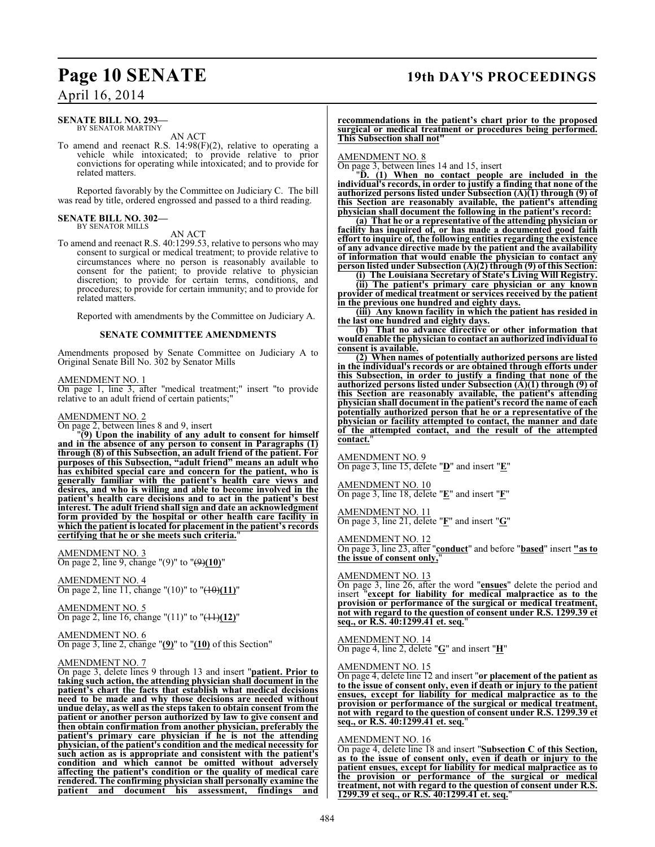### **Page 10 SENATE 19th DAY'S PROCEEDINGS**

### April 16, 2014

#### **SENATE BILL NO. 293—** BY SENATOR MARTINY

AN ACT

To amend and reenact R.S. 14:98(F)(2), relative to operating a vehicle while intoxicated; to provide relative to prior convictions for operating while intoxicated; and to provide for related matters.

Reported favorably by the Committee on Judiciary C. The bill was read by title, ordered engrossed and passed to a third reading.

### **SENATE BILL NO. 302—** BY SENATOR MILLS

AN ACT

To amend and reenact R.S. 40:1299.53, relative to persons who may consent to surgical or medical treatment; to provide relative to circumstances where no person is reasonably available to consent for the patient; to provide relative to physician discretion; to provide for certain terms, conditions, and procedures; to provide for certain immunity; and to provide for related matters.

Reported with amendments by the Committee on Judiciary A.

### **SENATE COMMITTEE AMENDMENTS**

Amendments proposed by Senate Committee on Judiciary A to Original Senate Bill No. 302 by Senator Mills

#### AMENDMENT NO. 1

On page 1, line 3, after "medical treatment;" insert "to provide relative to an adult friend of certain patients;"

#### AMENDMENT NO. 2

On page 2, between lines 8 and 9, insert

"**(9) Upon the inability of any adult to consent for himself and in the absence of any person to consent in Paragraphs (1) through (8) of this Subsection, an adult friend of the patient. For purposes of this Subsection, "adult friend" means an adult who has exhibited special care and concern for the patient, who is generally familiar with the patient's health care views and desires, and who is willing and able to become involved in the patient's health care decisions and to act in the patient's best interest. The adult friend shall sign and date an acknowledgment form provided by the hospital or other health care facility in which the patient is located for placement in the patient's records certifying that he or she meets such criteria.**"

### AMENDMENT NO. 3

On page 2, line 9, change "(9)" to "(9)**(10)**"

AMENDMENT NO. 4 On page 2, line 11, change "(10)" to "(10)**(11)**"

AMENDMENT NO. 5 On page 2, line 16, change "(11)" to "(11)**(12)**"

#### AMENDMENT NO. 6 On page 3, line 2, change "**(9)**" to "**(10)** of this Section"

### AMENDMENT NO. 7

On page 3, delete lines 9 through 13 and insert "**patient. Prior to taking such action, the attending physician shall document in the patient's chart the facts that establish what medical decisions need to be made and why those decisions are needed without undue delay, as well as the steps taken to obtain consent from the patient or another person authorized by law to give consent and then obtain confirmation from another physician, preferably the patient's primary care physician if he is not the attending physician, of the patient's condition and the medical necessity for such action as is appropriate and consistent with the patient's condition and which cannot be omitted without adversely affecting the patient's condition or the quality of medical care rendered. The confirming physician shall personally examine the patient and document his assessment, findings and**

**recommendations in the patient's chart prior to the proposed surgical or medical treatment or procedures being performed. This Subsection shall not"**

#### AMENDMENT NO. 8

On page 3, between lines 14 and 15, insert

"**D. (1) When no contact people are included in the individual's records, in order to justify a finding that none of the authorized persons listed under Subsection (A)(1) through (9) of this Section are reasonably available, the patient's attending physician shall document the following in the patient's record:**

**(a) That he or a representative of the attending physician or facility has inquired of, or has made a documented good faith effort to inquire of, the following entities regarding the existence of any advance directive made by the patient and the availability of information that would enable the physician to contact any person listed under Subsection (A)(2) through (9) of this Section:**

**(i) The Louisiana Secretary of State's Living Will Registry. (ii) The patient's primary care physician or any known**

**provider of medical treatment or services received by the patient in the previous one hundred and eighty days.**

**(iii) Any known facility in which the patient has resided in the last one hundred and eighty days.**

**(b) That no advance directive or other information that would enable the physician to contact an authorized individual to consent is available.**

**(2) When names of potentially authorized persons are listed in the individual's records or are obtained through efforts under this Subsection, in order to justify a finding that none of the authorized persons listed under Subsection (A)(1) through (9) of this Section are reasonably available, the patient's attending physician shall document in the patient's record the name of each potentially authorized person that he or a representative of the physician or facility attempted to contact, the manner and date of the attempted contact, and the result of the attempted contact.**"

#### AMENDMENT NO. 9

On page 3, line 15, delete "**D**" and insert "**E**"

#### AMENDMENT NO. 10

On page 3, line 18, delete "**E**" and insert "**F**"

#### AMENDMENT NO. 11

On page 3, line 21, delete "**F**" and insert "**G**"

#### AMENDMENT NO. 12

On page 3, line 23, after "**conduct**" and before "**based**" insert **"as to the issue of consent only,**"

#### AMENDMENT NO. 13

On page 3, line 26, after the word "**ensues**" delete the period and insert "**except for liability for medical malpractice as to the provision or performance of the surgical or medical treatment, not with regard to the question of consent under R.S. 1299.39 et seq., or R.S. 40:1299.41 et. seq.**"

AMENDMENT NO. 14 On page 4, line 2, delete "**G**" and insert "**H**"

#### AMENDMENT NO. 15

On page 4, delete line 12 and insert "**or placement of the patient as to the issue of consent only, even if death or injury to the patient ensues, except for liability for medical malpractice as to the provision or performance of the surgical or medical treatment, not with regard to the question of consent under R.S. 1299.39 et seq., or R.S. 40:1299.41 et. seq.**"

#### AMENDMENT NO. 16

On page 4, delete line 18 and insert "**Subsection C of this Section, as to the issue of consent only, even if death or injury to the patient ensues, except for liability for medical malpractice as to the provision or performance of the surgical or medical treatment, not with regard to the question of consent under R.S. 1299.39 et seq., or R.S. 40:1299.41 et. seq.**"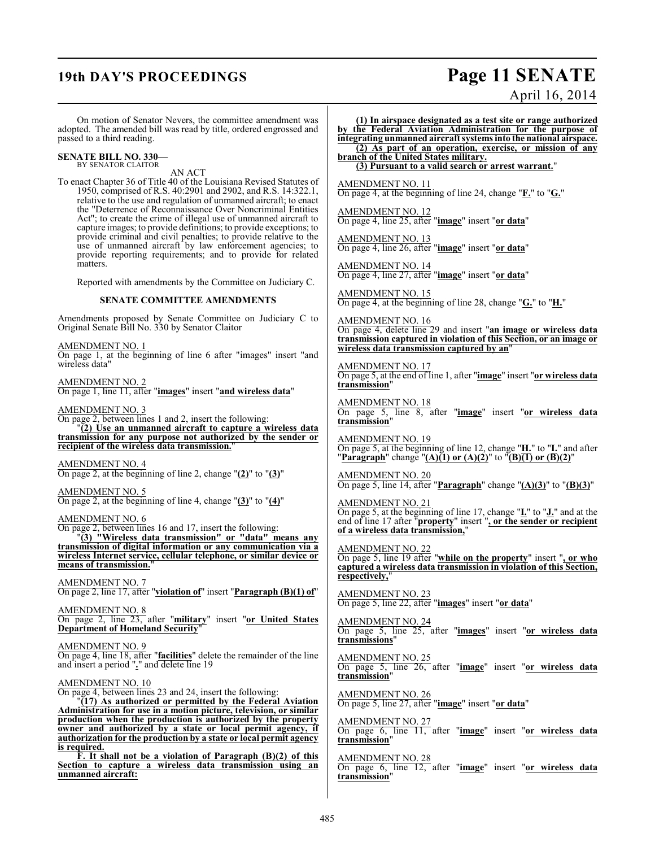## **19th DAY'S PROCEEDINGS Page 11 SENATE**

April 16, 2014

On motion of Senator Nevers, the committee amendment was adopted. The amended bill was read by title, ordered engrossed and passed to a third reading.

#### **SENATE BILL NO. 330—** BY SENATOR CLAITOR

AN ACT

To enact Chapter 36 of Title 40 of the Louisiana Revised Statutes of 1950, comprised of R.S. 40:2901 and 2902, and R.S. 14:322.1, relative to the use and regulation of unmanned aircraft; to enact the "Deterrence of Reconnaissance Over Noncriminal Entities Act"; to create the crime of illegal use of unmanned aircraft to capture images; to provide definitions; to provide exceptions; to provide criminal and civil penalties; to provide relative to the use of unmanned aircraft by law enforcement agencies; to provide reporting requirements; and to provide for related matters.

Reported with amendments by the Committee on Judiciary C.

#### **SENATE COMMITTEE AMENDMENTS**

Amendments proposed by Senate Committee on Judiciary C to Original Senate Bill No. 330 by Senator Claitor

AMENDMENT NO. 1

On page 1, at the beginning of line 6 after "images" insert "and wireless data"

AMENDMENT NO. 2 On page 1, line 11, after "**images**" insert "**and wireless data**"

#### AMENDMENT NO. 3

On page 2, between lines 1 and 2, insert the following: "**(2) Use an unmanned aircraft to capture a wireless data transmission for any purpose not authorized by the sender or recipient of the wireless data transmission.**"

AMENDMENT NO. 4 On page 2, at the beginning of line 2, change "**(2)**" to "**(3)**"

AMENDMENT NO. 5 On page 2, at the beginning of line 4, change "**(3)**" to "**(4)**"

#### AMENDMENT NO. 6

On page 2, between lines 16 and 17, insert the following: "**(3) "Wireless data transmission" or "data" means any**

**transmission of digital information or any communication via a wireless Internet service, cellular telephone, or similar device or means of transmission.**"

AMENDMENT NO. 7 On page 2, line 17, after "**violation of**" insert "**Paragraph (B)(1) of**"

AMENDMENT NO. 8 On page 2, line 23, after "**military**" insert "**or United States Department of Homeland Security**"

#### AMENDMENT NO. 9

On page 4, line 18, after "**facilities**" delete the remainder of the line and insert a period "**.**" and delete line 19

#### AMENDMENT NO. 10

On page 4, between lines 23 and 24, insert the following:

"**(17) As authorized or permitted by the Federal Aviation Administration for use in a motion picture, television, or similar production when the production is authorized by the property owner and authorized by a state or local permit agency, if authorization for the production by a state or local permit agency is required.**

**F. It shall not be a violation of Paragraph (B)(2) of this Section to capture a wireless data transmission using an unmanned aircraft:**

**(1) In airspace designated as a test site or range authorized by the Federal Aviation Administration for the purpose of integrating unmanned aircraft systems into the national airspace. (2) As part of an operation, exercise, or mission of any branch of the United States military. (3) Pursuant to a valid search or arrest warrant.**" AMENDMENT NO. 11

On page 4, at the beginning of line 24, change "**F.**" to "**G.**"

AMENDMENT NO. 12 On page 4, line 25, after "**image**" insert "**or data**"

AMENDMENT NO. 13 On page 4, line 26, after "**image**" insert "**or data**"

AMENDMENT NO. 14 On page 4, line 27, after "**image**" insert "**or data**"

AMENDMENT NO. 15 On page 4, at the beginning of line 28, change "**G.**" to "**H.**"

AMENDMENT NO. 16 On page 4, delete line 29 and insert "**an image or wireless data transmission captured in violation of this Section, or an image or wireless data transmission captured by an**"

AMENDMENT NO. 17 On page 5, at the end of line 1, after "**image**" insert "**or wireless data transmission**"

AMENDMENT NO. 18 On page 5, line 8, after "**image**" insert "**or wireless data transmission**"

AMENDMENT NO. 19 On page 5, at the beginning of line 12, change "**H.**" to "**I.**" and after "**Paragraph**" change "**(A)(1) or (A)(2)**" to "**(B)(1) or (B)(2)**"

AMENDMENT NO. 20 On page 5, line 14, after "**Paragraph**" change "**(A)(3)**" to "**(B)(3)**"

AMENDMENT NO. 21 On page 5, at the beginning of line 17, change "**I.**" to "**J.**" and at the end of line 17 after "**property**" insert "**, or the sender or recipient of a wireless data transmission,**"

AMENDMENT NO. 22

On page 5, line 19 after "**while on the property**" insert "**, or who captured a wireless data transmission in violation of this Section, respectively,**"

AMENDMENT NO. 23 On page 5, line 22, after "**images**" insert "**or data**"

AMENDMENT NO. 24 On page 5, line 25, after "**images**" insert "**or wireless data transmissions**"

AMENDMENT NO. 25 On page 5, line 26, after "**image**" insert "**or wireless data transmission**"

AMENDMENT NO. 26 On page 5, line 27, after "**image**" insert "**or data**"

AMENDMENT NO. 27 On page 6, line 11, after "**image**" insert "**or wireless data transmission**"

AMENDMENT NO. 28 On page 6, line 12, after "**image**" insert "**or wireless data transmission**"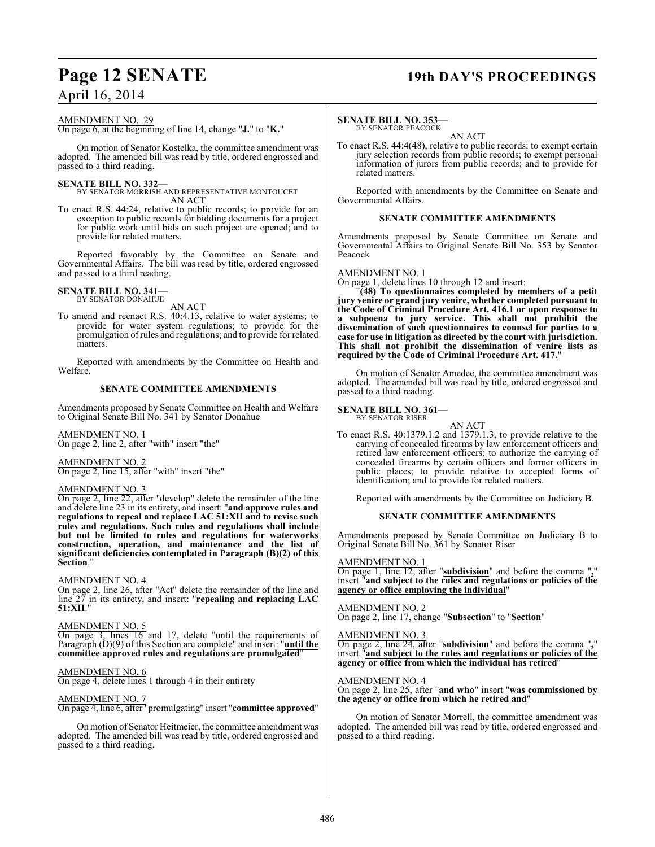### **Page 12 SENATE 19th DAY'S PROCEEDINGS**

#### AMENDMENT NO. 29

On page 6, at the beginning of line 14, change "**J.**" to "**K.**"

On motion of Senator Kostelka, the committee amendment was adopted. The amended bill was read by title, ordered engrossed and passed to a third reading.

#### **SENATE BILL NO. 332—**

BY SENATOR MORRISH AND REPRESENTATIVE MONTOUCET AN ACT

To enact R.S. 44:24, relative to public records; to provide for an exception to public records for bidding documents for a project for public work until bids on such project are opened; and to provide for related matters.

Reported favorably by the Committee on Senate and Governmental Affairs. The bill was read by title, ordered engrossed and passed to a third reading.

#### **SENATE BILL NO. 341—** BY SENATOR DONAHUE

AN ACT

To amend and reenact R.S. 40:4.13, relative to water systems; to provide for water system regulations; to provide for the promulgation of rules and regulations; and to provide for related matters.

Reported with amendments by the Committee on Health and Welfare.

#### **SENATE COMMITTEE AMENDMENTS**

Amendments proposed by Senate Committee on Health and Welfare to Original Senate Bill No. 341 by Senator Donahue

AMENDMENT NO. 1 On page 2, line 2, after "with" insert "the"

#### AMENDMENT NO. 2

On page 2, line 15, after "with" insert "the"

#### AMENDMENT NO. 3

On page 2, line 22, after "develop" delete the remainder of the line and delete line 23 in its entirety, and insert: "**and approve rules and regulations to repeal and replace LAC 51:XII and to revise such rules and regulations. Such rules and regulations shall include but not be limited to rules and regulations for waterworks construction, operation, and maintenance and the list of significant deficiencies contemplated in Paragraph (B)(2) of this Section.** 

#### AMENDMENT NO. 4

On page 2, line 26, after "Act" delete the remainder of the line and line 27 in its entirety, and insert: "**repealing and replacing LAC 51:XII**."

#### AMENDMENT NO. 5

On page 3, lines 16 and 17, delete "until the requirements of Paragraph (D)(9) of this Section are complete" and insert: "**until the committee approved rules and regulations are promulgated**"

### AMENDMENT NO. 6

On page 4, delete lines 1 through 4 in their entirety

### AMENDMENT NO. 7

On page 4, line 6, after "promulgating" insert "**committee approved**"

On motion of Senator Heitmeier, the committee amendment was adopted. The amended bill was read by title, ordered engrossed and passed to a third reading.

#### **SENATE BILL NO. 353—**

BY SENATOR PEACOCK

AN ACT To enact R.S. 44:4(48), relative to public records; to exempt certain jury selection records from public records; to exempt personal information of jurors from public records; and to provide for related matters.

Reported with amendments by the Committee on Senate and Governmental Affairs.

#### **SENATE COMMITTEE AMENDMENTS**

Amendments proposed by Senate Committee on Senate and Governmental Affairs to Original Senate Bill No. 353 by Senator Peacock

#### AMENDMENT NO. 1

On page 1, delete lines 10 through 12 and insert:

"**(48) To questionnaires completed by members of a petit jury venire or grand jury venire, whether completed pursuant to the Code of Criminal Procedure Art. 416.1 or upon response to a subpoena to jury service. This shall not prohibit the dissemination of such questionnaires to counsel for parties to a case for use in litigation as directed by the court with jurisdiction. This shall not prohibit the dissemination of venire lists as required by the Code of Criminal Procedure Art. 417.**"

On motion of Senator Amedee, the committee amendment was adopted. The amended bill was read by title, ordered engrossed and passed to a third reading.

#### **SENATE BILL NO. 361—** BY SENATOR RISER

AN ACT

To enact R.S. 40:1379.1.2 and 1379.1.3, to provide relative to the carrying of concealed firearms by law enforcement officers and retired law enforcement officers; to authorize the carrying of concealed firearms by certain officers and former officers in public places; to provide relative to accepted forms of identification; and to provide for related matters.

Reported with amendments by the Committee on Judiciary B.

#### **SENATE COMMITTEE AMENDMENTS**

Amendments proposed by Senate Committee on Judiciary B to Original Senate Bill No. 361 by Senator Riser

#### AMENDMENT NO. 1

On page 1, line 12, after "**subdivision**" and before the comma "**,**" insert "**and subject to the rules and regulations or policies of the agency or office employing the individual**"

#### AMENDMENT NO. 2

On page 2, line 17, change "**Subsection**" to "**Section**"

#### AMENDMENT NO. 3

On page 2, line 24, after "**subdivision**" and before the comma "**,**" insert "**and subject to the rules and regulations or policies of the agency or office from which the individual has retired**"

#### AMENDMENT NO. 4

On page 2, line 25, after "**and who**" insert "**was commissioned by the agency or office from which he retired and**"

On motion of Senator Morrell, the committee amendment was adopted. The amended bill was read by title, ordered engrossed and passed to a third reading.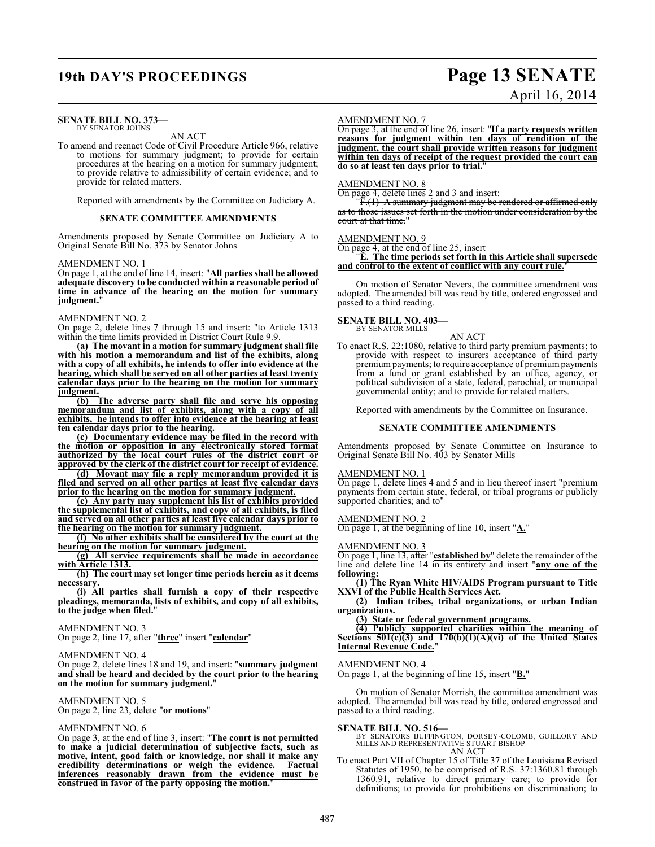## **19th DAY'S PROCEEDINGS Page 13 SENATE**

#### **SENATE BILL NO. 373—** BY SENATOR JOHNS

### AN ACT

To amend and reenact Code of Civil Procedure Article 966, relative to motions for summary judgment; to provide for certain procedures at the hearing on a motion for summary judgment; to provide relative to admissibility of certain evidence; and to provide for related matters.

Reported with amendments by the Committee on Judiciary A.

#### **SENATE COMMITTEE AMENDMENTS**

Amendments proposed by Senate Committee on Judiciary A to Original Senate Bill No. 373 by Senator Johns

#### AMENDMENT NO. 1

On page 1, at the end of line 14, insert: "**All parties shall be allowed adequate discovery to be conducted within a reasonable period of time in advance of the hearing on the motion for summary judgment.** 

#### AMENDMENT NO. 2

On page 2, delete lines 7 through 15 and insert: "to Article 1313 within the time limits provided in District Court Rule 9.9.

**(a) The movant in a motion for summary judgment shall file with his motion a memorandum and list of the exhibits, along with a copy of all exhibits, he intends to offer into evidence at the hearing, which shall be served on all other parties at least twenty calendar days prior to the hearing on the motion for summary judgment.**

**(b) The adverse party shall file and serve his opposing memorandum and list of exhibits, along with a copy of all exhibits, he intends to offer into evidence at the hearing at least ten calendar days prior to the hearing.**

**(c) Documentary evidence may be filed in the record with the motion or opposition in any electronically stored format** authorized by the local court rules of the district court or **approved by the clerk of the district court for receipt of evidence.**

**(d) Movant may file a reply memorandum provided it is filed and served on all other parties at least five calendar days prior to the hearing on the motion for summary judgment.**

**(e) Any party may supplement his list of exhibits provided the supplemental list of exhibits, and copy of all exhibits, is filed and served on all other parties at least five calendar days prior to the hearing on the motion for summary judgment.**

**(f) No other exhibits shall be considered by the court at the hearing on the motion for summary judgment.**

**(g) All service requirements shall be made in accordance with Article 1313.**

**(h) The court may set longer time periods herein as it deems necessary.**

**(i) All parties shall furnish a copy of their respective pleadings, memoranda, lists of exhibits, and copy of all exhibits, to the judge when filed.**"

#### AMENDMENT NO. 3

On page 2, line 17, after "**three**" insert "**calendar**"

#### AMENDMENT NO. 4

On page 2, delete lines 18 and 19, and insert: "**summary judgment and shall be heard and decided by the court prior to the hearing on the motion for summary judgment.**"

### AMENDMENT NO. 5

On page 2, line 23, delete "**or motions**"

#### AMENDMENT NO. 6

On page 3, at the end of line 3, insert: "**The court is not permitted to make a judicial determination of subjective facts, such as motive, intent, good faith or knowledge, nor shall it make any credibility determinations or weigh the evidence. Factual inferences reasonably drawn from the evidence must be construed in favor of the party opposing the motion.**"

#### AMENDMENT NO. 7

On page 3, at the end of line 26, insert: "**If a party requests written reasons for judgment within ten days of rendition of the judgment, the court shall provide written reasons for judgment within ten days of receipt of the request provided the court can do so at least ten days prior to trial.**"

#### AMENDMENT NO. 8

On page 4, delete lines 2 and 3 and insert:

"F.(1) A summary judgment may be rendered or affirmed only as to those issues set forth in the motion under consideration by the court at that time."

#### AMENDMENT NO. 9

On page 4, at the end of line 25, insert

#### "**E. The time periods set forth in this Article shall supersede and control to the extent of conflict with any court rule.**"

On motion of Senator Nevers, the committee amendment was adopted. The amended bill was read by title, ordered engrossed and passed to a third reading.

#### **SENATE BILL NO. 403—** BY SENATOR MILLS

AN ACT

To enact R.S. 22:1080, relative to third party premium payments; to provide with respect to insurers acceptance of third party premium payments; to require acceptance of premium payments from a fund or grant established by an office, agency, or political subdivision of a state, federal, parochial, or municipal governmental entity; and to provide for related matters.

Reported with amendments by the Committee on Insurance.

#### **SENATE COMMITTEE AMENDMENTS**

Amendments proposed by Senate Committee on Insurance to Original Senate Bill No. 403 by Senator Mills

#### AMENDMENT NO. 1

On page 1, delete lines 4 and 5 and in lieu thereof insert "premium payments from certain state, federal, or tribal programs or publicly supported charities; and to"

AMENDMENT NO. 2

On page 1, at the beginning of line 10, insert "**A.**"

#### AMENDMENT NO. 3

On page 1, line 13, after "**established by**" delete the remainder of the line and delete line 14 in its entirety and insert "**any one of the following:**

**(1) The Ryan White HIV/AIDS Program pursuant to Title XXVI of the Public Health Services Act.**

**(2) Indian tribes, tribal organizations, or urban Indian organizations.**

**(3) State or federal government programs.**

**(4) Publicly supported charities within the meaning of Sections 501(c)(3) and 170(b)(1)(A)(vi) of the United States Internal Revenue Code.**"

#### AMENDMENT NO. 4

On page 1, at the beginning of line 15, insert "**B.**"

On motion of Senator Morrish, the committee amendment was adopted. The amended bill was read by title, ordered engrossed and passed to a third reading.

**SENATE BILL NO. 516—**<br>BY SENATORS BUFFINGTON, DORSEY-COLOMB, GUILLORY AND MILLS AND REPRESENTATIVE STUART BISHOP AN ACT

To enact Part VII of Chapter 15 of Title 37 of the Louisiana Revised Statutes of 1950, to be comprised of R.S. 37:1360.81 through 1360.91, relative to direct primary care; to provide for definitions; to provide for prohibitions on discrimination; to

# April 16, 2014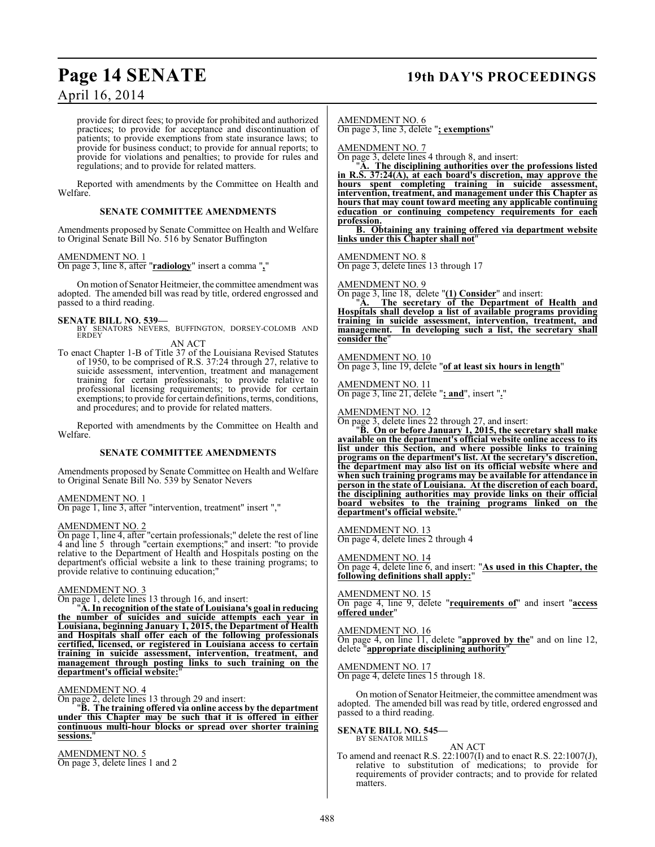### **Page 14 SENATE 19th DAY'S PROCEEDINGS**

### April 16, 2014

provide for direct fees; to provide for prohibited and authorized practices; to provide for acceptance and discontinuation of patients; to provide exemptions from state insurance laws; to provide for business conduct; to provide for annual reports; to provide for violations and penalties; to provide for rules and regulations; and to provide for related matters.

Reported with amendments by the Committee on Health and Welfare.

#### **SENATE COMMITTEE AMENDMENTS**

Amendments proposed by Senate Committee on Health and Welfare to Original Senate Bill No. 516 by Senator Buffington

#### AMENDMENT NO. 1

On page 3, line 8, after "**radiology**" insert a comma "**,**"

On motion of Senator Heitmeier, the committee amendment was adopted. The amended bill was read by title, ordered engrossed and passed to a third reading.

**SENATE BILL NO. 539—**<br>BY SENATORS NEVERS, BUFFINGTON, DORSEY-COLOMB AND<br>ERDEY AN ACT

To enact Chapter 1-B of Title 37 of the Louisiana Revised Statutes of 1950, to be comprised of R.S. 37:24 through 27, relative to suicide assessment, intervention, treatment and management training for certain professionals; to provide relative to professional licensing requirements; to provide for certain exemptions; to provide for certain definitions, terms, conditions, and procedures; and to provide for related matters.

Reported with amendments by the Committee on Health and Welfare.

#### **SENATE COMMITTEE AMENDMENTS**

Amendments proposed by Senate Committee on Health and Welfare to Original Senate Bill No. 539 by Senator Nevers

AMENDMENT NO. 1 On page 1, line 3, after "intervention, treatment" insert ","

#### AMENDMENT NO. 2

On page 1, line 4, after "certain professionals;" delete the rest of line 4 and line 5 through "certain exemptions;" and insert: "to provide relative to the Department of Health and Hospitals posting on the department's official website a link to these training programs; to provide relative to continuing education;"

#### AMENDMENT NO. 3

On page 1, delete lines 13 through 16, and insert:

"**A. In recognition of the state of Louisiana's goal in reducing the number of suicides and suicide attempts each year in Louisiana, beginning January 1, 2015, the Department of Health and Hospitals shall offer each of the following professionals certified, licensed, or registered in Louisiana access to certain training in suicide assessment, intervention, treatment, and management through posting links to such training on the** department's official website:

#### AMENDMENT NO. 4

On page 2, delete lines 13 through 29 and insert:

"**B. The training offered via online access by the department under this Chapter may be such that it is offered in either continuous multi-hour blocks or spread over shorter training sessions.**"

AMENDMENT NO. 5 On page 3, delete lines 1 and 2

AMENDMENT NO. 6 On page 3, line 3, delete "**; exemptions**"

AMENDMENT NO. 7

On page 3, delete lines 4 through 8, and insert:

"**A. The disciplining authorities over the professions listed in R.S. 37:24(A), at each board's discretion, may approve the hours spent completing training in suicide assessment, intervention, treatment, and management under this Chapter as hours that may count toward meeting any applicable continuing education or continuing competency requirements for each profession.**

**B. Obtaining any training offered via department website links under this Chapter shall not**"

AMENDMENT NO. 8

On page 3, delete lines 13 through 17

#### AMENDMENT NO. 9

On page 3, line 18, delete "**(1) Consider**" and insert:

"**A. The secretary of the Department of Health and Hospitals shall develop a list of available programs providing training in suicide assessment, intervention, treatment, and management. In developing such a list, the secretary shall consider the**"

AMENDMENT NO. 10

On page 3, line 19, delete "**of at least six hours in length**"

AMENDMENT NO. 11 On page 3, line 21, delete "**; and**", insert "**.**"

#### AMENDMENT NO. 12

On page 3, delete lines 22 through 27, and insert:

"**B. On or before January 1, 2015, the secretary shall make available on the department's official website online access to its list under this Section, and where possible links to training programs on the department's list. At the secretary's discretion, the department may also list on its official website where and when such training programs may be available for attendance in person in the state of Louisiana. At the discretion of each board, the disciplining authorities may provide links on their official board websites to the training programs linked on the department's official website.**"

AMENDMENT NO. 13 On page 4, delete lines 2 through 4

AMENDMENT NO. 14

On page 4, delete line 6, and insert: "**As used in this Chapter, the following definitions shall apply:**"

AMENDMENT NO. 15 On page 4, line 9, delete "**requirements of**" and insert "**access offered under**"

AMENDMENT NO. 16 On page 4, on line 11, delete "**approved by the**" and on line 12, delete "**appropriate disciplining authority**"

AMENDMENT NO. 17 On page 4, delete lines 15 through 18.

On motion of Senator Heitmeier, the committee amendment was adopted. The amended bill was read by title, ordered engrossed and passed to a third reading.

#### **SENATE BILL NO. 545—** BY SENATOR MILLS

AN ACT To amend and reenact R.S. 22:1007(I) and to enact R.S. 22:1007(J), relative to substitution of medications; to provide for requirements of provider contracts; and to provide for related matters.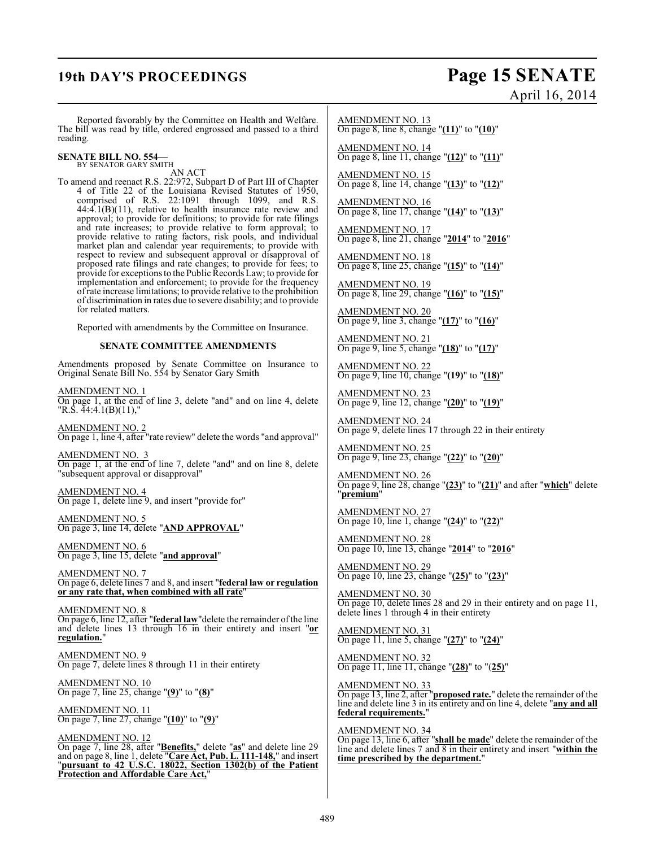## **19th DAY'S PROCEEDINGS Page 15 SENATE** April 16, 2014

Reported favorably by the Committee on Health and Welfare. The bill was read by title, ordered engrossed and passed to a third reading.

### **SENATE BILL NO. 554—** BY SENATOR GARY SMITH

AN ACT

To amend and reenact R.S. 22:972, Subpart D of Part III of Chapter 4 of Title 22 of the Louisiana Revised Statutes of 1950, comprised of R.S. 22:1091 through 1099, and R.S.  $44:4.1(B)(11)$ , relative to health insurance rate review and approval; to provide for definitions; to provide for rate filings and rate increases; to provide relative to form approval; to provide relative to rating factors, risk pools, and individual market plan and calendar year requirements; to provide with respect to review and subsequent approval or disapproval of proposed rate filings and rate changes; to provide for fees; to provide for exceptionsto the Public Records Law; to provide for implementation and enforcement; to provide for the frequency of rate increase limitations; to provide relative to the prohibition of discrimination in rates due to severe disability; and to provide for related matters.

Reported with amendments by the Committee on Insurance.

#### **SENATE COMMITTEE AMENDMENTS**

Amendments proposed by Senate Committee on Insurance to Original Senate Bill No. 554 by Senator Gary Smith

AMENDMENT NO. 1 On page 1, at the end of line 3, delete "and" and on line 4, delete "R.S.  $\overline{4}4:4.1(B)(11)$ ,"

AMENDMENT NO. 2 On page 1, line 4, after "rate review" delete the words "and approval"

AMENDMENT NO. 3 On page 1, at the end of line 7, delete "and" and on line 8, delete "subsequent approval or disapproval"

AMENDMENT NO. 4 On page 1, delete line 9, and insert "provide for"

AMENDMENT NO. 5 On page 3, line 14, delete "**AND APPROVAL**"

AMENDMENT NO. 6 On page 3, line 15, delete "**and approval**"

AMENDMENT NO. 7 On page 6, delete lines 7 and 8, and insert "**federal law or regulation or any rate that, when combined with all rate**"

AMENDMENT NO. 8 On page 6, line 12, after "**federal law**"delete the remainder of the line and delete lines 13 through 16 in their entirety and insert "**or regulation.**"

AMENDMENT NO. 9 On page 7, delete lines 8 through 11 in their entirety

AMENDMENT NO. 10 On page 7, line 25, change "**(9)**" to "**(8)**"

AMENDMENT NO. 11 On page 7, line 27, change "**(10)**" to "**(9)**"

AMENDMENT NO. 12 On page 7, line 28, after "**Benefits,**" delete "**as**" and delete line 29 and on page 8, line 1, delete "**Care Act, Pub. L. 111-148,**" and insert "**pursuant to 42 U.S.C. 18022, Section 1302(b) of the Patient Protection and Affordable Care Act,**"

AMENDMENT NO. 13 On page 8, line 8, change "**(11)**" to "**(10)**"

AMENDMENT NO. 14 On page 8, line 11, change "**(12)**" to "**(11)**"

AMENDMENT NO. 15 On page 8, line 14, change "**(13)**" to "**(12)**"

AMENDMENT NO. 16 On page 8, line 17, change "**(14)**" to "**(13)**"

AMENDMENT NO. 17 On page 8, line 21, change "**2014**" to "**2016**"

AMENDMENT NO. 18 On page 8, line 25, change "**(15)**" to "**(14)**"

AMENDMENT NO. 19 On page 8, line 29, change "**(16)**" to "**(15)**"

AMENDMENT NO. 20 On page 9, line 3, change "**(17)**" to "**(16)**"

AMENDMENT NO. 21 On page 9, line 5, change "**(18)**" to "**(17)**"

AMENDMENT NO. 22 On page 9, line 10, change "**(19)**" to "**(18)**"

AMENDMENT NO. 23 On page 9, line 12, change "**(20)**" to "**(19)**"

AMENDMENT NO. 24 On page 9, delete lines 17 through 22 in their entirety

AMENDMENT NO. 25 On page 9, line 23, change "**(22)**" to "**(20)**"

AMENDMENT NO. 26 On page 9, line 28, change "**(23)**" to "**(21)**" and after "**which**" delete "**premium**"

AMENDMENT NO. 27 On page 10, line 1, change "**(24)**" to "**(22)**"

AMENDMENT NO. 28 On page 10, line 13, change "**2014**" to "**2016**"

AMENDMENT NO. 29 On page 10, line 23, change "**(25)**" to "**(23)**"

AMENDMENT NO. 30 On page 10, delete lines 28 and 29 in their entirety and on page 11, delete lines 1 through 4 in their entirety

AMENDMENT NO. 31 On page 11, line 5, change "**(27)**" to "**(24)**"

AMENDMENT NO. 32 On page 11, line 11, change "**(28)**" to "(**25)**"

AMENDMENT NO. 33 On page 13, line 2, after "**proposed rate.**" delete the remainder of the line and delete line 3 in its entirety and on line 4, delete "**any and all federal requirements.**"

AMENDMENT NO. 34 On page 13, line 6, after "**shall be made**" delete the remainder of the line and delete lines 7 and 8 in their entirety and insert "**within the time prescribed by the department.**"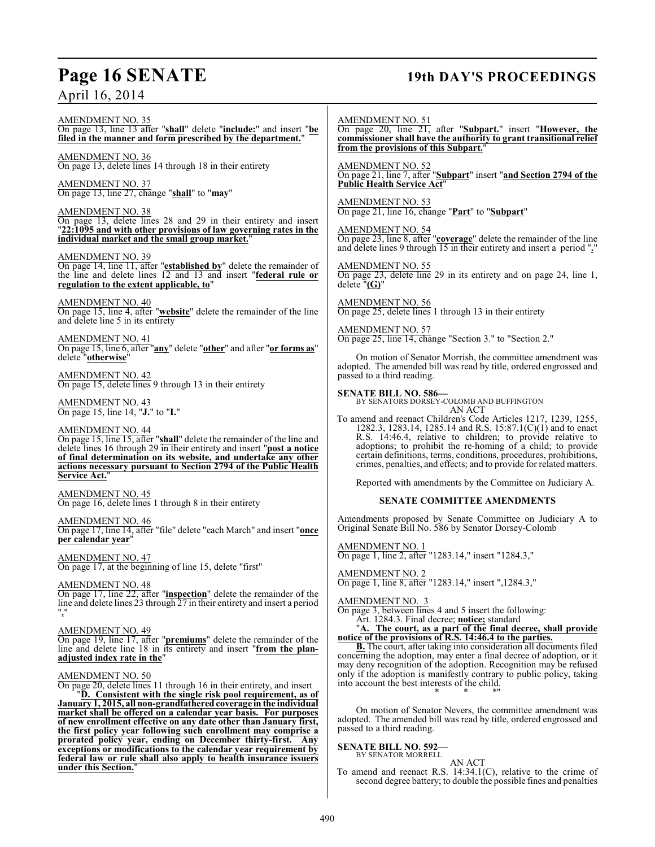### **Page 16 SENATE 19th DAY'S PROCEEDINGS**

AMENDMENT NO. 51

On page 20, line 21, after "**Subpart.**" insert "**However, the commissioner shall have the authority to grant transitional relief from the provisions of this Subpart.**"

AMENDMENT NO. 52 On page 21, line 7, after "**Subpart**" insert "**and Section 2794 of the Public Health Service Act**"

AMENDMENT NO. 53 On page 21, line 16, change "**Part**" to "**Subpart**"

AMENDMENT NO. 54

On page 23, line 8, after "**coverage**" delete the remainder of the line and delete lines 9 through 15 in their entirety and insert a period "**.**"

AMENDMENT NO. 55 On page 23, delete line 29 in its entirety and on page 24, line 1, delete "**(G)**"

AMENDMENT NO. 56 On page 25, delete lines 1 through 13 in their entirety

AMENDMENT NO. 57 On page 25, line 14, change "Section 3." to "Section 2."

On motion of Senator Morrish, the committee amendment was adopted. The amended bill was read by title, ordered engrossed and passed to a third reading.

**SENATE BILL NO. 586—** BY SENATORS DORSEY-COLOMB AND BUFFINGTON AN ACT

To amend and reenact Children's Code Articles 1217, 1239, 1255, 1282.3, 1283.14, 1285.14 and R.S. 15:87.1(C)(1) and to enact R.S. 14:46.4, relative to children; to provide relative to adoptions; to prohibit the re-homing of a child; to provide certain definitions, terms, conditions, procedures, prohibitions, crimes, penalties, and effects; and to provide for related matters.

Reported with amendments by the Committee on Judiciary A.

### **SENATE COMMITTEE AMENDMENTS**

Amendments proposed by Senate Committee on Judiciary A to Original Senate Bill No. 586 by Senator Dorsey-Colomb

AMENDMENT NO. 1 On page 1, line 2, after "1283.14," insert "1284.3,"

AMENDMENT NO. 2 On page 1, line 8, after "1283.14," insert ",1284.3,"

AMENDMENT NO. 3

On page 3, between lines 4 and 5 insert the following: Art. 1284.3. Final decree; **notice;** standard

"**A. The court, as a part of the final decree, shall provide notice of the provisions of R.S. 14:46.4 to the parties.**

**B.** The court, after taking into consideration all documents filed concerning the adoption, may enter a final decree of adoption, or it may deny recognition of the adoption. Recognition may be refused only if the adoption is manifestly contrary to public policy, taking into account the best interests of the child. \* \* \*"

On motion of Senator Nevers, the committee amendment was adopted. The amended bill was read by title, ordered engrossed and passed to a third reading.

### **SENATE BILL NO. 592—** BY SENATOR MORRELL

AN ACT

To amend and reenact R.S. 14:34.1(C), relative to the crime of second degree battery; to double the possible fines and penalties

AMENDMENT NO. 35 On page 13, line 13 after "**shall**" delete "**include:**" and insert "**be filed in the manner and form prescribed by the department.**"

AMENDMENT NO. 36 On page 13, delete lines 14 through 18 in their entirety

AMENDMENT NO. 37 On page 13, line 27, change "**shall**" to "**may**"

AMENDMENT NO. 38 On page 13, delete lines 28 and 29 in their entirety and insert "**22:1095 and with other provisions of law governing rates in the individual market and the small group market.**"

#### AMENDMENT NO. 39

On page 14, line 11, after "**established by**" delete the remainder of the line and delete lines 12 and 13 and insert "**federal rule or regulation to the extent applicable, to**"

AMENDMENT NO. 40 On page 15, line 4, after "**website**" delete the remainder of the line and delete line 5 in its entirety

AMENDMENT NO. 41 On page 15, line 6, after "**any**" delete "**other**" and after "**or forms as**" delete "**otherwise**"

AMENDMENT NO. 42 On page 15, delete lines 9 through 13 in their entirety

AMENDMENT NO. 43 On page 15, line 14, "**J.**" to "**I.**"

### AMENDMENT NO. 44

On page 15, line 15, after "**shall**" delete the remainder of the line and delete lines 16 through 29 in their entirety and insert "**post a notice of final determination on its website, and undertake any other actions necessary pursuant to Section 2794 of the Public Health Service Act.**"

AMENDMENT NO. 45 On page 16, delete lines 1 through 8 in their entirety

#### AMENDMENT NO. 46

On page 17, line 14, after "file" delete "each March" and insert "**once per calendar year**"

AMENDMENT NO. 47 On page 17, at the beginning of line 15, delete "first"

AMENDMENT NO. 48 On page 17, line 22, after "**inspection**" delete the remainder of the line and delete lines 23 through 27 in their entirety and insert a period "**.**"

#### AMENDMENT NO. 49

On page 19, line 17, after "**premiums**" delete the remainder of the line and delete line 18 in its entirety and insert "**from the planadjusted index rate in the**"

### AMENDMENT NO. 50

On page 20, delete lines 11 through 16 in their entirety, and insert

"**D. Consistent with the single risk pool requirement, as of January 1, 2015, all non-grandfathered coverage in the individual market shall be offered on a calendar year basis. For purposes of new enrollment effective on any date other than January first, the first policy year following such enrollment may comprise a prorated policy year, ending on December thirty-first. Any exceptions or modifications to the calendar year requirement by federal law or rule shall also apply to health insurance issuers under this Section.**"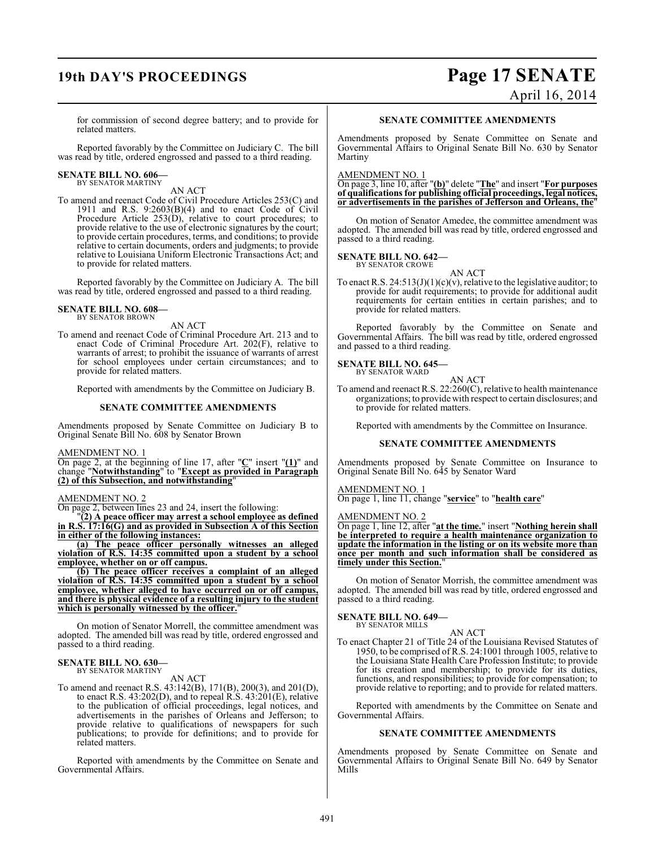## **19th DAY'S PROCEEDINGS Page 17 SENATE** April 16, 2014

for commission of second degree battery; and to provide for related matters.

Reported favorably by the Committee on Judiciary C. The bill was read by title, ordered engrossed and passed to a third reading.

### **SENATE BILL NO. 606—** BY SENATOR MARTINY

AN ACT

To amend and reenact Code of Civil Procedure Articles 253(C) and 1911 and R.S.  $9:2603(B)(4)$  and to enact Code of Civil Procedure Article 253(D), relative to court procedures; to provide relative to the use of electronic signatures by the court; to provide certain procedures, terms, and conditions; to provide relative to certain documents, orders and judgments; to provide relative to Louisiana Uniform Electronic Transactions Act; and to provide for related matters.

Reported favorably by the Committee on Judiciary A. The bill was read by title, ordered engrossed and passed to a third reading.

#### **SENATE BILL NO. 608—** BY SENATOR BROWN

AN ACT

To amend and reenact Code of Criminal Procedure Art. 213 and to enact Code of Criminal Procedure Art. 202(F), relative to warrants of arrest; to prohibit the issuance of warrants of arrest for school employees under certain circumstances; and to provide for related matters.

Reported with amendments by the Committee on Judiciary B.

#### **SENATE COMMITTEE AMENDMENTS**

Amendments proposed by Senate Committee on Judiciary B to Original Senate Bill No. 608 by Senator Brown

### AMENDMENT NO. 1

On page 2, at the beginning of line 17, after "**C**" insert "**(1)**" and change "**Notwithstanding**" to "**Except as provided in Paragraph (2) of this Subsection, and notwithstanding**"

#### AMENDMENT NO. 2

On page 2, between lines 23 and 24, insert the following:

"**(2) A peace officer may arrest a school employee as defined in R.S. 17:16(G) and as provided in Subsection A of this Section in either of the following instances:**

**(a) The peace officer personally witnesses an alleged violation of R.S. 14:35 committed upon a student by a school employee, whether on or off campus.**

**(b) The peace officer receives a complaint of an alleged violation of R.S. 14:35 committed upon a student by a school employee, whether alleged to have occurred on or off campus, and there is physical evidence of a resulting injury to the student** which is personally witnessed by the officer.

On motion of Senator Morrell, the committee amendment was adopted. The amended bill was read by title, ordered engrossed and passed to a third reading.

#### **SENATE BILL NO. 630—** BY SENATOR MARTINY

AN ACT

To amend and reenact R.S. 43:142(B), 171(B), 200(3), and 201(D), to enact R.S. 43:202(D), and to repeal R.S. 43:201(E), relative to the publication of official proceedings, legal notices, and advertisements in the parishes of Orleans and Jefferson; to provide relative to qualifications of newspapers for such publications; to provide for definitions; and to provide for related matters.

Reported with amendments by the Committee on Senate and Governmental Affairs.

#### **SENATE COMMITTEE AMENDMENTS**

Amendments proposed by Senate Committee on Senate and Governmental Affairs to Original Senate Bill No. 630 by Senator Martiny

#### AMENDMENT NO. 1

On page 3, line 10, after "**(b)**" delete "**The**" and insert "**For purposes of qualifications for publishing official proceedings, legal notices, or advertisements in the parishes of Jefferson and Orleans, the**"

On motion of Senator Amedee, the committee amendment was adopted. The amended bill was read by title, ordered engrossed and passed to a third reading.

#### **SENATE BILL NO. 642—** BY SENATOR CROWE

AN ACT

To enact R.S.  $24:513(J)(1)(c)(v)$ , relative to the legislative auditor; to provide for audit requirements; to provide for additional audit requirements for certain entities in certain parishes; and to provide for related matters.

Reported favorably by the Committee on Senate and Governmental Affairs. The bill was read by title, ordered engrossed and passed to a third reading.

#### **SENATE BILL NO. 645—**

BY SENATOR WARD

AN ACT To amend and reenact R.S. 22:260(C), relative to health maintenance organizations; to provide with respect to certain disclosures; and to provide for related matters.

Reported with amendments by the Committee on Insurance.

#### **SENATE COMMITTEE AMENDMENTS**

Amendments proposed by Senate Committee on Insurance to Original Senate Bill No. 645 by Senator Ward

#### AMENDMENT NO. 1

On page 1, line 11, change "**service**" to "**health care**"

#### AMENDMENT NO. 2

On page 1, line 12, after "**at the time.**" insert "**Nothing herein shall be interpreted to require a health maintenance organization to update the information in the listing or on its website more than once per month and such information shall be considered as timely under this Section.**"

On motion of Senator Morrish, the committee amendment was adopted. The amended bill was read by title, ordered engrossed and passed to a third reading.

## **SENATE BILL NO. 649—** BY SENATOR MILLS

AN ACT To enact Chapter 21 of Title 24 of the Louisiana Revised Statutes of 1950, to be comprised of R.S. 24:1001 through 1005, relative to the Louisiana State Health Care Profession Institute; to provide for its creation and membership; to provide for its duties, functions, and responsibilities; to provide for compensation; to provide relative to reporting; and to provide for related matters.

Reported with amendments by the Committee on Senate and Governmental Affairs.

#### **SENATE COMMITTEE AMENDMENTS**

Amendments proposed by Senate Committee on Senate and Governmental Affairs to Original Senate Bill No. 649 by Senator Mills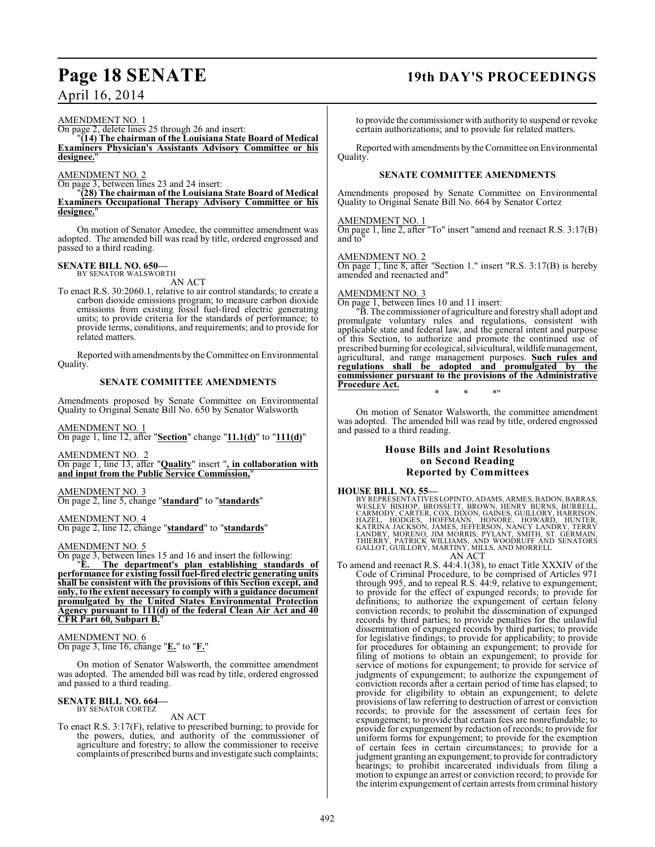#### AMENDMENT NO. 1

On page 2, delete lines 25 through 26 and insert:

"**(14) The chairman of the Louisiana State Board of Medical Examiners Physician's Assistants Advisory Committee or his** designee.

#### AMENDMENT NO. 2

On page 3, between lines 23 and 24 insert:

"**(28) The chairman of the Louisiana State Board of Medical Examiners Occupational Therapy Advisory Committee or his designee.**"

On motion of Senator Amedee, the committee amendment was adopted. The amended bill was read by title, ordered engrossed and passed to a third reading.

### **SENATE BILL NO. 650—** BY SENATOR WALSWORTH

AN ACT

To enact R.S. 30:2060.1, relative to air control standards; to create a carbon dioxide emissions program; to measure carbon dioxide emissions from existing fossil fuel-fired electric generating units; to provide criteria for the standards of performance; to provide terms, conditions, and requirements; and to provide for related matters.

Reported with amendments by the Committee on Environmental Quality.

#### **SENATE COMMITTEE AMENDMENTS**

Amendments proposed by Senate Committee on Environmental Quality to Original Senate Bill No. 650 by Senator Walsworth

AMENDMENT NO. 1

On page 1, line 12, after "**Section**" change "**11.1(d)**" to "**111(d)**"

AMENDMENT NO. 2 On page 1, line 13, after "**Quality**" insert "**, in collaboration with and input from the Public Service Commission,**"

AMENDMENT NO. 3 On page 2, line 5, change "**standard**" to "**standards**"

AMENDMENT NO. 4 On page 2, line 12, change "**standard**" to "**standards**"

AMENDMENT NO. 5

On page 3, between lines 15 and 16 and insert the following:

"**E. The department's plan establishing standards of performance for existing fossil fuel-fired electric generating units shall be consistent with the provisions of this Section except, and only, to the extent necessary to comply with a guidance document promulgated by the United States Environmental Protection Agency pursuant to 111(d) of the federal Clean Air Act and 40 CFR Part 60, Subpart B.**"

AMENDMENT NO. 6 On page 3, line 16, change "**E.**" to "**F.**"

On motion of Senator Walsworth, the committee amendment was adopted. The amended bill was read by title, ordered engrossed and passed to a third reading.

#### **SENATE BILL NO. 664—** BY SENATOR CORTEZ

### AN ACT

To enact R.S. 3:17(F), relative to prescribed burning; to provide for the powers, duties, and authority of the commissioner of agriculture and forestry; to allow the commissioner to receive complaints of prescribed burns and investigate such complaints;

### **Page 18 SENATE 19th DAY'S PROCEEDINGS**

to provide the commissioner with authority to suspend or revoke certain authorizations; and to provide for related matters.

Reported with amendments by the Committee on Environmental Quality.

#### **SENATE COMMITTEE AMENDMENTS**

Amendments proposed by Senate Committee on Environmental Quality to Original Senate Bill No. 664 by Senator Cortez

#### AMENDMENT NO. 1

On page 1, line 2, after "To" insert "amend and reenact R.S. 3:17(B) and to"

#### AMENDMENT NO. 2

On page 1, line 8, after "Section 1." insert "R.S. 3:17(B) is hereby amended and reenacted and"

#### AMENDMENT NO. 3

On page 1, between lines 10 and 11 insert:

"B. The commissioner of agriculture and forestry shall adopt and promulgate voluntary rules and regulations, consistent with applicable state and federal law, and the general intent and purpose of this Section, to authorize and promote the continued use of prescribed burning for ecological, silvicultural, wildlife management, agricultural, and range management purposes. **Such rules and regulations shall be adopted and promulgated by the commissioner pursuant to the provisions of the Administrative Procedure Act.** \* \* \*"

On motion of Senator Walsworth, the committee amendment was adopted. The amended bill was read by title, ordered engrossed and passed to a third reading.

#### **House Bills and Joint Resolutions on Second Reading Reported by Committees**

#### **HOUSE BILL NO. 55—**

BY REPRESENTATIVES LOPINTO, ADAMS, ARMES, BADON, BARRAS, WESLEY BISHOP, PROSSETT, BROWN, HENRY BURNON, BURRELL,<br>CARMODY, CARTER, COX, DIXON, GAINES, GUILLORY, HARRISON,<br>HAZEL, HODGES, HOFFMANN, HONORE, HOWARD, HUNTER,<br>KATR

AN ACT

To amend and reenact R.S. 44:4.1(38), to enact Title XXXIV of the Code of Criminal Procedure, to be comprised of Articles 971 through 995, and to repeal R.S. 44:9, relative to expungement; to provide for the effect of expunged records; to provide for definitions; to authorize the expungement of certain felony conviction records; to prohibit the dissemination of expunged records by third parties; to provide penalties for the unlawful dissemination of expunged records by third parties; to provide for legislative findings; to provide for applicability; to provide for procedures for obtaining an expungement; to provide for filing of motions to obtain an expungement; to provide for service of motions for expungement; to provide for service of judgments of expungement; to authorize the expungement of conviction records after a certain period of time has elapsed; to provide for eligibility to obtain an expungement; to delete provisions of law referring to destruction of arrest or conviction records; to provide for the assessment of certain fees for expungement; to provide that certain fees are nonrefundable; to provide for expungement by redaction of records; to provide for uniform forms for expungement; to provide for the exemption of certain fees in certain circumstances; to provide for a judgment granting an expungement; to provide for contradictory hearings; to prohibit incarcerated individuals from filing a motion to expunge an arrest or conviction record; to provide for the interim expungement of certain arrests fromcriminal history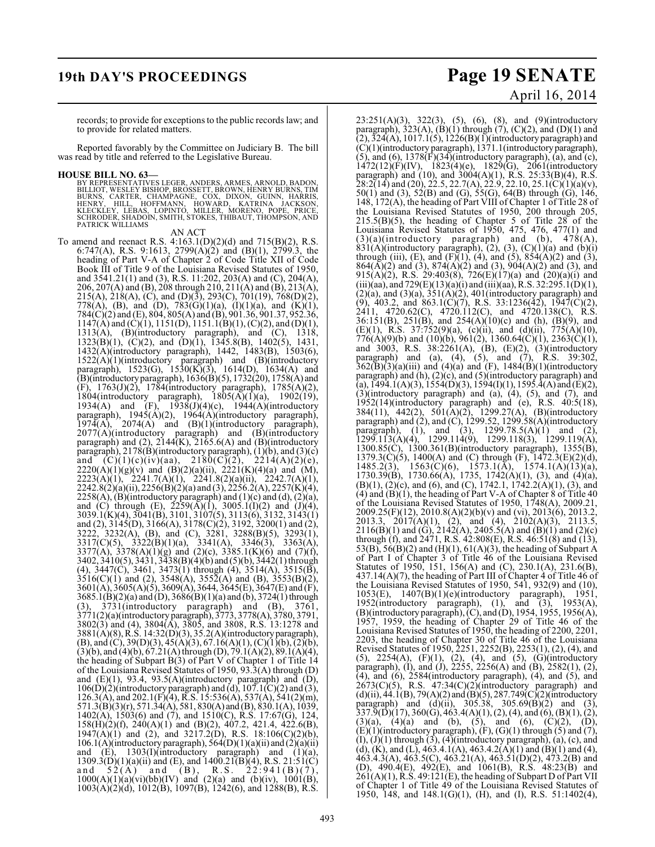## **19th DAY'S PROCEEDINGS Page 19 SENATE** April 16, 2014

records; to provide for exceptions to the public records law; and to provide for related matters.

Reported favorably by the Committee on Judiciary B. The bill was read by title and referred to the Legislative Bureau.

#### **HOUSE BILL NO. 63—**

BY REPRESENTATIVES LEGER, ANDERS, ARMES, ARNOLD, BADON,<br>BILLIOT, WESLEY BISHOP, BROSSETT, BROWN, HENRY BURNS, TIM<br>BURNS, CARTER, CHAMPAGNE, COX, DIXON, GUINN, HARRIS,<br>HENRY, HILL, HOFFMANN, HOWARD, KATRINA JACKSON,<br>KLECKLE PATRICK WILLIAMS

AN ACT

To amend and reenact R.S. 4:163.1(D)(2)(d) and 715(B)(2), R.S. 6:747(A), R.S. 9:1613, 2799(A)(2) and (B)(1), 2799.3, the heading of Part V-A of Chapter 2 of Code Title XII of Code Book III of Title 9 of the Louisiana Revised Statutes of 1950, and 3541.21(1) and (3), R.S. 11:202, 203(A) and (C), 204(A), 206, 207(A) and (B), 208 through 210, 211(A) and (B), 213(A), 215(A), 218(A), (C), and (D)(3), 293(C), 701(19), 768(D)(2), 778(A), (B), and (D), 783(G)(1)(a), (I)(1)(a), and (K)(1), 784(C)(2) and (E), 804, 805(A) and (B), 901.36, 901.37, 952.36,  $1147(A)$  and  $(C)(1)$ ,  $1151(D)$ ,  $1151.1(B)(1)$ ,  $(C)(2)$ , and  $(D)(1)$ , 1313(A), (B)(introductory paragraph), and (C), 1318, 1323(B)(1), (C)(2), and (D)(1), 1345.8(B), 1402(5), 1431, 1432(A)(introductory paragraph), 1442, 1483(B), 1503(6),  $1522(A)(1)(introducing paragraph)$  and  $(B)(introducing$ paragraph), 1523(G), 1530(K)(3), 1614(D), 1634(A) and (B)(introductory paragraph), 1636(B)(5), 1732(20), 1758(A) and (F), 1763(J)(2), 1784(introductory paragraph), 1785(A)(2), 1804(introductory paragraph),  $1805(A)(1)(a)$ ,  $1902(19)$ , 1934(A) and  $(F)$ , 1938(J)(4)(c), 1944(A)(introductory paragraph), 1945(A)(2), 1964(A)(introductory paragraph),  $1974(A)$ ,  $2074(A)$  and  $(B)(1)(introduction$  paragraph),  $2077(A)$ (introductory paragraph) and  $(B)$ (introductory paragraph) and  $(2)$ ,  $2144(K)$ ,  $2165.6(A)$  and  $(B)$ (introductory paragraph), 2178(B)(introductory paragraph), (1)(b), and (3)(c) and  $(C)(1)(c)(iv)(aa)$ ,  $2180(C)(2)$ ,  $2214(A)(2)(e)$ ,  $2220(A)(1)(g)(v)$  and  $(B)(2)(a)(ii)$ ,  $2221(K)(4)(a)$  and  $(M)$ , 2223(A)(1), 2241.7(A)(1), 2241.8(2)(a)(ii), 2242.7(A)(1),  $2242.8(2)(a)(ii)$ ,  $2256(B)(2)(a)$  and  $(3)$ ,  $2256.2(A)$ ,  $2257(K)(4)$ ,  $2258(A)$ , (B)(introductory paragraph) and (1)(c) and (d), (2)(a), and (C) through (E),  $2259(A)(1)$ ,  $3005.1(1)(2)$  and  $(1)(4)$ , 3039.1(K)(4), 3041(B), 3101, 3107(5), 3113(6), 3132, 3143(1) and (2), 3145(D), 3166(A), 3178(C)(2), 3192, 3200(1) and (2), 3222, 3232(A), (B), and (C), 3281, 3288(B)(5), 3293(1), 3317(C)(5), 3322(B)(1)(a), 3341(A), 3346(3), 3363(A), 3377(A), 3378(A)(1)(g) and (2)(c), 3385.1(K)(6) and (7)(f), 3402, 3410(5), 3431, 3438(B)(4)(b) and (5)(b), 3442(1) through (4), 3447(C), 3461, 3473(1) through (4), 3514(A), 3515(B),  $3516(C)(1)$  and (2),  $3548(A)$ ,  $3552(A)$  and (B),  $3553(B)(2)$ , 3601(A), 3605(A)(5), 3609(A), 3644, 3645(E), 3647(E) and (F), 3685.1(B)(2)(a) and (D), 3686(B)(1)(a) and (b), 3724(1) through (3), 3731(introductory paragraph) and (B), 3761, 3771(2)(a)(introductory paragraph), 3773, 3778(A), 3780, 3791, 3802(3) and (4), 3804(A), 3805, and 3808, R.S. 13:1278 and 3881(A)(8), R.S. 14:32(D)(3), 35.2(A)(introductory paragraph),  $(B)$ , and  $(C)$ , 39 $(D)(3)$ , 45 $(A)(3)$ , 67.16 $(A)(1)$ ,  $(C)(1)(b)$ ,  $(2)(b)$ ,  $(3)(b)$ , and  $(4)(b)$ ,  $67.21(A)$  through  $(D)$ ,  $79.1(A)(2)$ ,  $89.1(A)(4)$ , the heading of Subpart  $\hat{B}(3)$  of Part V of Chapter 1 of Title 14 of the Louisiana Revised Statutes of 1950, 93.3(A) through (D) and  $(E)(1)$ , 93.4, 93.5(A)(introductory paragraph) and  $(D)$ ,  $106(D)(2)$ (introductory paragraph) and (d),  $107.1(C)(2)$  and (3),  $126.3(A)$ , and  $202.1(F)(4)$ , R.S.  $15:536(A)$ ,  $537(A)$ ,  $541(2)(m)$ , 571.3(B)(3)(r), 571.34(A), 581, 830(A) and (B), 830.1(A), 1039, 1402(A), 1503(6) and (7), and 1510(C), R.S. 17:67(G), 124, 158(H)(2)(f), 240(A)(1) and (B)(2), 407.2, 421.4, 422.6(B),  $1947(A)(1)$  and (2), and  $3217.2(D)$ , R.S.  $18:106(C)(2)(b)$ , 106.1(A)(introductory paragraph),  $564(D)(1)(a)(ii)$  and  $(2)(a)(ii)$ and  $(E)$ , 1303(I)(introductory paragraph) and  $(1)(a)$ ,  $1309.3(D)(1)(a)(ii)$  and  $(E)$ , and  $1400.21(B)(4)$ , R.S.  $21:51(C)$ and  $52(A)$  and  $(B)$ , R.S.  $22:941(B)(7)$ ,  $1000(A)(1)(a)(vi)(bb)(IV)$  and  $(2)(a)$  and  $(b)(iv)$ ,  $1001(B)$ , 1003(A)(2)(d), 1012(B), 1097(B), 1242(6), and 1288(B), R.S.

23:251(A)(3), 322(3), (5), (6), (8), and (9)(introductory paragraph),  $323(A)$ ,  $(B)(1)$  through  $(7)$ ,  $(C)(2)$ , and  $(D)(1)$  and  $(2), 324(A), 1017.1(5), 1226(B)(1)$ (introductory paragraph) and (C)(1)(introductory paragraph), 1371.1(introductory paragraph),  $(5)$ , and  $(6)$ , 1378 $(F)(34)$ (introductory paragraph),  $(a)$ , and  $(c)$ ,  $1472(12)(F)(IV)$ ,  $1823(4)(e)$ ,  $1829(G)$ ,  $2061(introductory)$ paragraph) and (10), and 3004(A)(1), R.S. 25:33(B)(4), R.S.  $28:2(14)$  and (20), 22.5, 22.7(A), 22.9, 22.10, 25.1(C)(1)(a)(v), 50(1) and (3), 52(B) and (G), 55(G), 64(B) through (G), 146, 148, 172(A), the heading of Part VIII of Chapter 1 of Title 28 of the Louisiana Revised Statutes of 1950, 200 through 205,  $215.5(B)(5)$ , the heading of Chapter 5 of Title 28 of the Louisiana Revised Statutes of 1950, 475, 476, 477(1) and  $(3)(a)$ (introductory paragraph) and (b),  $478(A)$ ,  $831(A)$ (introductory paragraph), (2), (3), (C)(1)(a) and (b)(i) through (iii), (E), and (F)(1), (4), and (5),  $854(A)(2)$  and (3),  $864(A)(2)$  and  $(3)$ ,  $874(A)(2)$  and  $(3)$ ,  $904(A)(2)$  and  $(3)$ , and 915(A)(2), R.S. 29:403(8), 726(E)(17)(a) and (20)(a)(i) and (iii)(aa), and 729(E)(13)(a)(i) and (iii)(aa), R.S. 32:295.1(D)(1),  $(2)(a)$ , and  $(3)(a)$ ,  $351(A)(2)$ ,  $401(introductor)$  paragraph) and (9), 403.2, and 863.1(C)(7), R.S. 33:1236(42), 1947(C)(2), 2411, 4720.62(C), 4720.112(C), and 4720.138(C), R.S. 36:151(B), 251(B), and 254(A)(10)(c) and (h), (B)(9), and (E)(1), R.S.  $37:752(9)(a)$ , (c)(ii), and (d)(ii),  $775(A)(10)$ ,  $776(A)(9)(b)$  and  $(10)(b)$ ,  $961(2)$ ,  $1360.64(C)(1)$ ,  $2363(C)(1)$ , and 3003, R.S. 38:2261(A), (B), (E)(2), (3)(introductory paragraph) and (a), (4), (5), and (7), R.S. 39:302,  $362(\overline{B})(3)(a)(iii)$  and  $(4)(a)$  and  $(F)$ ,  $1484(\overline{B})(1)(introducing$ paragraph) and (h), (2)(c), and (5)(introductory paragraph) and (a), 1494.1(A)(3), 1554(D)(3), 1594(I)(1), 1595.4(A) and (E)(2), (3)(introductory paragraph) and (a), (4), (5), and (7), and 1952(14)(introductory paragraph) and (e), R.S. 40:5(18), 384(11), 442(2), 501(A)(2), 1299.27(A), (B)(introductory paragraph) and (2), and (C), 1299.52, 1299.58(A)(introductory paragraph), (1), and (3),  $1299.78.5(A)(1)$  and (2), 1299.113(A)(4), 1299.114(9), 1299.118(3), 1299.119(A), 1300.85(C), 1300.361(B)(introductory paragraph), 1355(B), 1379.3(C)(5), 1400(A) and (C) through  $(F)$ , 1472.3(E)(2)(d), 1485.2(3), 1563(C)(6), 1573.1(A), 1574.1(A)(13)(a), 1730.39(B), 1730.66(A), 1735, 1742(A)(1), (3), and (4)(a),  $(B)(1)$ ,  $(2)(c)$ , and  $(6)$ , and  $(C)$ , 1742.1, 1742.2(A)(1), (3), and  $(4)$  and  $(B)(1)$ , the heading of Part V-A of Chapter 8 of Title 40 of the Louisiana Revised Statutes of 1950, 1748(A), 2009.21, 2009.25(F)(12), 2010.8(A)(2)(b)(v) and (vi), 2013(6), 2013.2, 2013.3, 2017(A)(1), (2), and (4), 2102(A)(3), 2113.5, 2116(B)(1) and (G), 2142(A), 2405.5(A) and (B)(1) and (2)(c) through (f), and 2471, R.S. 42:808(E), R.S. 46:51(8) and (13), 53(B), 56(B)(2) and (H)(1), 61(A)(3), the heading of Subpart A of Part I of Chapter 3 of Title 46 of the Louisiana Revised Statutes of 1950, 151, 156(A) and (C), 230.1(A), 231.6(B), 437.14(A)(7), the heading of Part III of Chapter  $\hat{4}$  of Title 46 of the Louisiana Revised Statutes of 1950, 541, 932(9) and (10), 1053(E), 1407(B)(1)(e)(introductory paragraph), 1951, 1952(introductory paragraph), (1), and (3), 1953(A), (B)(introductory paragraph), (C), and (D), 1954, 1955, 1956(A), 1957, 1959, the heading of Chapter 29 of Title 46 of the Louisiana Revised Statutes of 1950, the heading of 2200, 2201, 2203, the heading of Chapter 30 of Title 46 of the Louisiana Revised Statutes of 1950, 2251, 2252(B), 2253(1), (2), (4), and (5),  $2254(A)$ ,  $(F)(1)$ ,  $(2)$ ,  $(4)$ , and  $(5)$ ,  $(G)(introducing$ paragraph), (I), and (J), 2255, 2256(A) and (B), 2582(1), (2), (4), and (6), 2584(introductory paragraph), (4), and (5), and  $2673(C)(5)$ , R.S.  $47:34(C)(2)$ (introductory paragraph) and  $(d)(ii)$ , 44.1(B), 79(A)(2) and (B)(5), 287.749(C)(2)(introductory paragraph) and  $(d)(ii)$ , 305.38, 305.69 $(B)(2)$  and (3),  $337.\overline{9}$  $(\overline{D})(17)$ ,  $360$  $(\overline{G})$ ,  $463.4$  $(A)(1)$ ,  $(2)$ ,  $(4)$ , and  $(6)$ ,  $(B)(1)$ ,  $(2)$ ,  $(3)(a)$ ,  $(4)(a)$  and  $(b)$ ,  $(5)$ , and  $(6)$ ,  $(C)(2)$ ,  $(D)$ ,  $(E)(1)$ (introductory paragraph),  $(F)$ ,  $(G)(1)$  through  $(5)$  and  $(7)$ ,  $(I), (J)(1)$  through  $(3), (4)$ (introductory paragraph),  $(a), (c),$  and (d), (K), and (L), 463.4.1(A), 463.4.2(A)(1) and (B)(1) and (4),  $463.4.3(A), 463.5(C), 463.21(A), 463.51(D)(2), 473.2(B)$  and (D), 490.4(E), 492(E), and 1061(B), R.S. 48:23(B) and  $261(A)(1)$ , R.S. 49:121(E), the heading of Subpart D of Part VII of Chapter 1 of Title 49 of the Louisiana Revised Statutes of 1950, 148, and 148.1(G)(1), (H), and (I), R.S. 51:1402(4),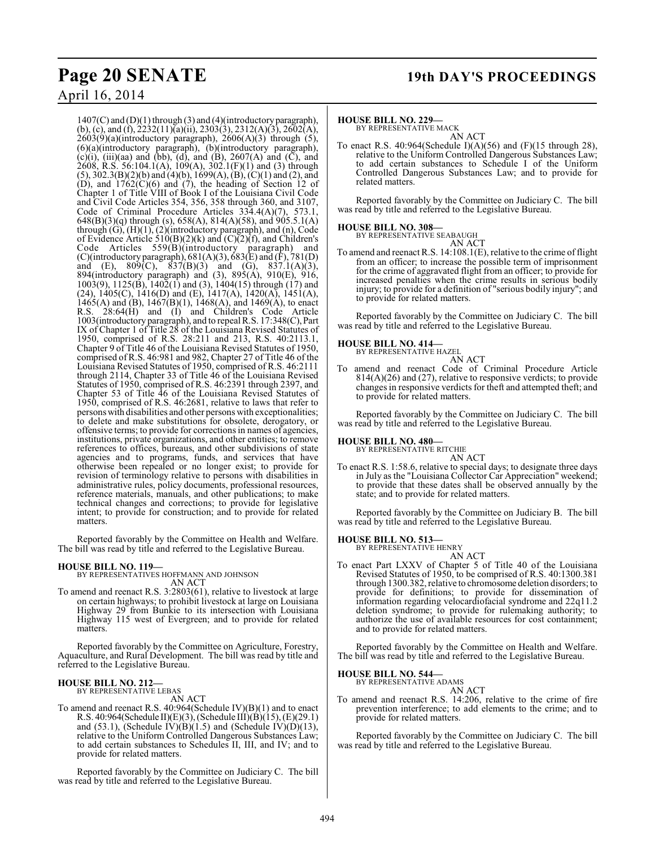$1407(C)$  and  $(D)(1)$  through  $(3)$  and  $(4)$ (introductory paragraph), (b), (c), and (f),  $\overline{2232(11)}$ (a)(ii),  $\overline{2303(3)}$ ,  $\overline{2312(A)}$ (3),  $\overline{2602(A)}$ , 2603(9)(a)(introductory paragraph), 2606(A)(3) through (5), (6)(a)(introductory paragraph), (b)(introductory paragraph), (c)(i), (iii)(aa) and (bb), (d), and (B), 2607(A) and (C), and  $\hat{2608}$ , R.S. 56:104.1(A), 109(A), 302.1(F)(1) and (3) through (5), 302.3(B)(2)(b) and (4)(b), 1699(A), (B), (C)(1) and (2), and  $(D)$ , and  $1762(C)(6)$  and  $(7)$ , the heading of Section 12 of Chapter 1 of Title VIII of Book I of the Louisiana Civil Code and Civil Code Articles 354, 356, 358 through 360, and 3107, Code of Criminal Procedure Articles 334.4(A)(7), 573.1, 648(B)(3)(q) through (s), 658(A), 814(A)(58), and 905.5.1(A) through (G), (H)(1), (2)(introductory paragraph), and (n), Code of Evidence Article  $510(B)(2)(k)$  and  $(C)(2)(f)$ , and Children's Code Articles 559(B)(introductory paragraph) and (C)(introductory paragraph),  $681(A)(3)$ ,  $683(E)$  and  $(F)$ ,  $781(D)$ and (E),  $809(C)$ ,  $837(B)(3)$  and (G),  $837.1(A)(3)$ , 894(introductory paragraph) and (3), 895(A), 910(E), 916, 1003(9), 1125(B), 1402(1) and (3), 1404(15) through (17) and (24),  $1405(C)$ ,  $1416(D)$  and (E),  $1417(A)$ ,  $1420(A)$ ,  $1451(A)$ , 1465(A) and (B),  $1467(B)(1)$ ,  $1468(A)$ , and  $1469(A)$ , to enact R.S. 28:64(H) and (I) and Children's Code Article 1003(introductory paragraph), and to repeal R.S. 17:348(C), Part IX of Chapter 1 of Title 28 of the Louisiana Revised Statutes of 1950, comprised of R.S. 28:211 and 213, R.S. 40:2113.1, Chapter 9 of Title 46 of the Louisiana Revised Statutes of 1950, comprised of R.S. 46:981 and 982, Chapter 27 of Title 46 of the Louisiana Revised Statutes of 1950, comprised of R.S. 46:2111 through 2114, Chapter 33 of Title 46 of the Louisiana Revised Statutes of 1950, comprised of R.S. 46:2391 through 2397, and Chapter 53 of Title 46 of the Louisiana Revised Statutes of 1950, comprised of R.S. 46:2681, relative to laws that refer to persons with disabilities and other persons with exceptionalities; to delete and make substitutions for obsolete, derogatory, or offensive terms; to provide for corrections in names of agencies, institutions, private organizations, and other entities; to remove references to offices, bureaus, and other subdivisions of state agencies and to programs, funds, and services that have otherwise been repealed or no longer exist; to provide for revision of terminology relative to persons with disabilities in administrative rules, policy documents, professional resources, reference materials, manuals, and other publications; to make technical changes and corrections; to provide for legislative intent; to provide for construction; and to provide for related matters.

Reported favorably by the Committee on Health and Welfare. The bill was read by title and referred to the Legislative Bureau.

#### **HOUSE BILL NO. 119—**

BY REPRESENTATIVES HOFFMANN AND JOHNSON AN ACT

To amend and reenact R.S. 3:2803(61), relative to livestock at large on certain highways; to prohibit livestock at large on Louisiana Highway 29 from Bunkie to its intersection with Louisiana Highway 115 west of Evergreen; and to provide for related matters.

Reported favorably by the Committee on Agriculture, Forestry, Aquaculture, and Rural Development. The bill was read by title and referred to the Legislative Bureau.

#### **HOUSE BILL NO. 212—** BY REPRESENTATIVE LEBAS

AN ACT

To amend and reenact R.S. 40:964(Schedule IV)(B)(1) and to enact R.S. 40:964(Schedule II)(E)(3), (Schedule III)(B)(15), (E)(29.1) and (53.1), (Schedule  $\hat{IV}(\hat{B})(1.5)$  and (Schedule  $\hat{IV}(\hat{D})(13)$ , relative to the Uniform Controlled Dangerous Substances Law; to add certain substances to Schedules II, III, and IV; and to provide for related matters.

Reported favorably by the Committee on Judiciary C. The bill was read by title and referred to the Legislative Bureau.

#### **HOUSE BILL NO. 229—**

BY REPRESENTATIVE MACK

AN ACT To enact R.S. 40:964(Schedule I)(A)(56) and (F)(15 through 28), relative to the Uniform Controlled Dangerous Substances Law; to add certain substances to Schedule I of the Uniform Controlled Dangerous Substances Law; and to provide for related matters.

Reported favorably by the Committee on Judiciary C. The bill was read by title and referred to the Legislative Bureau.

#### **HOUSE BILL NO. 308—**

BY REPRESENTATIVE SEABAUGH AN ACT

To amend and reenact R.S. 14:108.1(E), relative to the crime of flight from an officer; to increase the possible term of imprisonment for the crime of aggravated flight from an officer; to provide for increased penalties when the crime results in serious bodily injury; to provide for a definition of "serious bodily injury"; and to provide for related matters.

Reported favorably by the Committee on Judiciary C. The bill was read by title and referred to the Legislative Bureau.

#### **HOUSE BILL NO. 414—**



amend and reenact Code of Criminal Procedure Article  $814(A)(26)$  and  $(27)$ , relative to responsive verdicts; to provide changes in responsive verdicts for theft and attempted theft; and to provide for related matters.

Reported favorably by the Committee on Judiciary C. The bill was read by title and referred to the Legislative Bureau.

## **HOUSE BILL NO. 480—** BY REPRESENTATIVE RITCHIE

AN ACT To enact R.S. 1:58.6, relative to special days; to designate three days in July as the "Louisiana Collector Car Appreciation" weekend; to provide that these dates shall be observed annually by the state; and to provide for related matters.

Reported favorably by the Committee on Judiciary B. The bill was read by title and referred to the Legislative Bureau.

#### **HOUSE BILL NO. 513—**

BY REPRESENTATIVE HENRY AN ACT

To enact Part LXXV of Chapter 5 of Title 40 of the Louisiana Revised Statutes of 1950, to be comprised of R.S. 40:1300.381 through 1300.382, relative to chromosome deletion disorders; to provide for definitions; to provide for dissemination of information regarding velocardiofacial syndrome and 22q11.2 deletion syndrome; to provide for rulemaking authority; to authorize the use of available resources for cost containment; and to provide for related matters.

Reported favorably by the Committee on Health and Welfare. The bill was read by title and referred to the Legislative Bureau.

**HOUSE BILL NO. 544—**

BY REPRESENTATIVE ADAMS AN ACT

To amend and reenact R.S. 14:206, relative to the crime of fire prevention interference; to add elements to the crime; and to provide for related matters.

Reported favorably by the Committee on Judiciary C. The bill was read by title and referred to the Legislative Bureau.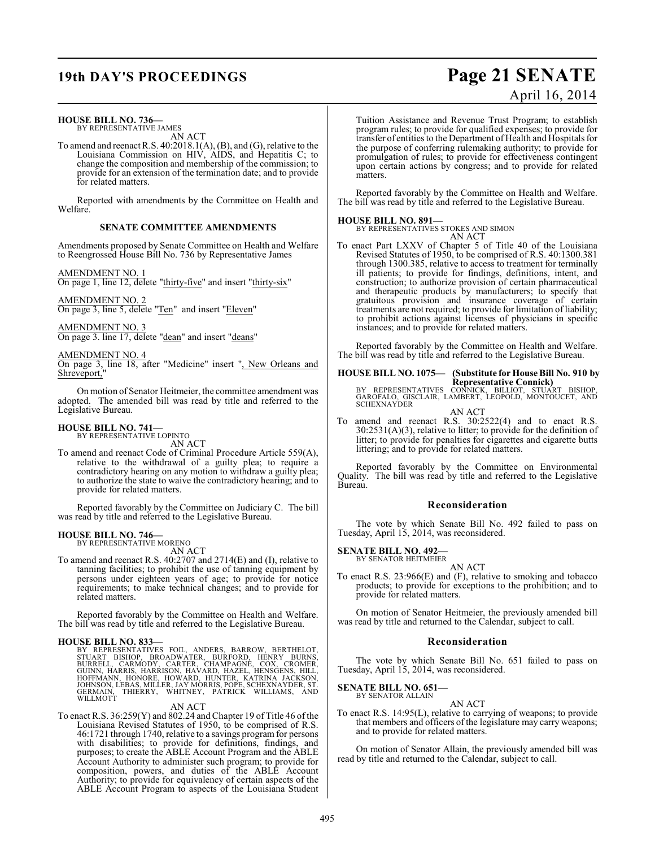## **19th DAY'S PROCEEDINGS Page 21 SENATE**

# April 16, 2014

### **HOUSE BILL NO. 736—**

BY REPRESENTATIVE JAMES AN ACT

To amend and reenact R.S.  $40:2018.1(A), (B)$ , and  $(G)$ , relative to the Louisiana Commission on HIV, AIDS, and Hepatitis C; to change the composition and membership of the commission; to provide for an extension of the termination date; and to provide for related matters.

Reported with amendments by the Committee on Health and Welfare.

#### **SENATE COMMITTEE AMENDMENTS**

Amendments proposed by Senate Committee on Health and Welfare to Reengrossed House Bill No. 736 by Representative James

AMENDMENT NO. 1

On page 1, line 12, delete "thirty-five" and insert "thirty-six"

AMENDMENT NO. 2 On page 3, line 5, delete "Ten" and insert "Eleven"

AMENDMENT NO. 3 On page 3. line 17, delete "dean" and insert "deans"

AMENDMENT NO. 4

On page 3, line 18, after "Medicine" insert ", New Orleans and Shreveport,

On motion of Senator Heitmeier, the committee amendment was adopted. The amended bill was read by title and referred to the Legislative Bureau.

### **HOUSE BILL NO. 741—**

BY REPRESENTATIVE LOPINTO AN ACT

To amend and reenact Code of Criminal Procedure Article 559(A), relative to the withdrawal of a guilty plea; to require a contradictory hearing on any motion to withdraw a guilty plea; to authorize the state to waive the contradictory hearing; and to provide for related matters.

Reported favorably by the Committee on Judiciary C. The bill was read by title and referred to the Legislative Bureau.

## **HOUSE BILL NO. 746—** BY REPRESENTATIVE MORENO

AN ACT

To amend and reenact R.S. 40:2707 and 2714(E) and (I), relative to tanning facilities; to prohibit the use of tanning equipment by persons under eighteen years of age; to provide for notice requirements; to make technical changes; and to provide for related matters.

Reported favorably by the Committee on Health and Welfare. The bill was read by title and referred to the Legislative Bureau.

#### **HOUSE BILL NO. 833—**

BY REPRESENTATIVES FOIL, ANDERS, BARROW, BERTHELOT,<br>STUART BISHOP, BROADWATER, BURFORD, HÉNRY BURNS,<br>BURRELL, CARMODY, CARTER, CHAMPAGNE, COX, CROMER,<br>GUINN, HARRIS, HARRISON, HAVARD, HAZEL, HENSGENS, HILL,<br>HOFFMANN, HONOR

AN ACT

To enact R.S. 36:259(Y) and 802.24 and Chapter 19 of Title 46 of the Louisiana Revised Statutes of 1950, to be comprised of R.S. 46:1721 through 1740, relative to a savings program for persons with disabilities; to provide for definitions, findings, and purposes; to create the ABLE Account Program and the ABLE Account Authority to administer such program; to provide for composition, powers, and duties of the ABLE Account Authority; to provide for equivalency of certain aspects of the ABLE Account Program to aspects of the Louisiana Student Tuition Assistance and Revenue Trust Program; to establish program rules; to provide for qualified expenses; to provide for transfer of entities to the Department of Health and Hospitals for the purpose of conferring rulemaking authority; to provide for promulgation of rules; to provide for effectiveness contingent upon certain actions by congress; and to provide for related matters.

Reported favorably by the Committee on Health and Welfare. The bill was read by title and referred to the Legislative Bureau.

#### **HOUSE BILL NO. 891—**

BY REPRESENTATIVES STOKES AND SIMON AN ACT

To enact Part LXXV of Chapter 5 of Title 40 of the Louisiana Revised Statutes of 1950, to be comprised of R.S. 40:1300.381 through 1300.385, relative to access to treatment for terminally ill patients; to provide for findings, definitions, intent, and construction; to authorize provision of certain pharmaceutical and therapeutic products by manufacturers; to specify that gratuitous provision and insurance coverage of certain treatments are not required; to provide for limitation of liability; to prohibit actions against licenses of physicians in specific instances; and to provide for related matters.

Reported favorably by the Committee on Health and Welfare. The bill was read by title and referred to the Legislative Bureau.

## **HOUSE BILL NO. 1075— (Substitute for House Bill No. 910 by**

**Representative Connick)<br>BY REPRESENTATIVES CONNICK, BILLIOT, STUART BISHOP,<br>GAROFALO, GISCLAIR, LAMBERT, LEOPOLD, MONTOUCET, AND<br>SCHEXNAYDER** 

AN ACT To amend and reenact R.S. 30:2522(4) and to enact R.S. 30:2531(A)(3), relative to litter; to provide for the definition of litter; to provide for penalties for cigarettes and cigarette butts littering; and to provide for related matters.

Reported favorably by the Committee on Environmental Quality. The bill was read by title and referred to the Legislative Bureau.

#### **Reconsideration**

The vote by which Senate Bill No. 492 failed to pass on Tuesday, April 15, 2014, was reconsidered.

**SENATE BILL NO. 492—** BY SENATOR HEITMEIER

#### AN ACT

To enact R.S. 23:966(E) and (F), relative to smoking and tobacco products; to provide for exceptions to the prohibition; and to provide for related matters.

On motion of Senator Heitmeier, the previously amended bill was read by title and returned to the Calendar, subject to call.

#### **Reconsideration**

The vote by which Senate Bill No. 651 failed to pass on Tuesday, April 15, 2014, was reconsidered.

#### **SENATE BILL NO. 651—** BY SENATOR ALLAIN

AN ACT

To enact R.S. 14:95(L), relative to carrying of weapons; to provide that members and officers of the legislature may carry weapons; and to provide for related matters.

On motion of Senator Allain, the previously amended bill was read by title and returned to the Calendar, subject to call.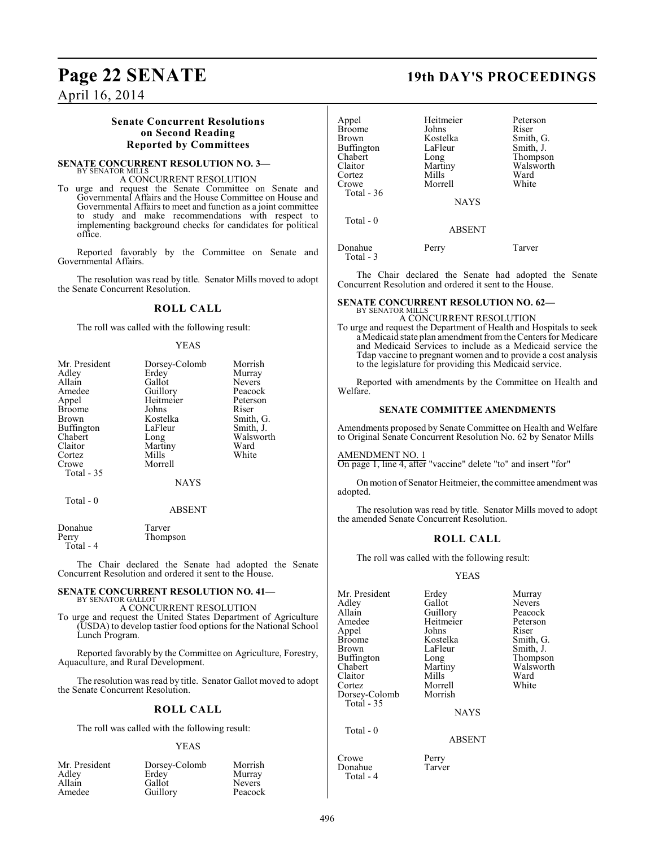### **Senate Concurrent Resolutions on Second Reading Reported by Committees**

#### **SENATE CONCURRENT RESOLUTION NO. 3—** BY SENATOR MILLS

#### A CONCURRENT RESOLUTION

To urge and request the Senate Committee on Senate and Governmental Affairs and the House Committee on House and Governmental Affairs to meet and function as a joint committee to study and make recommendations with respect to implementing background checks for candidates for political office.

Reported favorably by the Committee on Senate and Governmental Affairs.

The resolution was read by title. Senator Mills moved to adopt the Senate Concurrent Resolution.

### **ROLL CALL**

The roll was called with the following result:

#### YEAS

| Mr. President | Dorsey-Colomb | Morrish   |
|---------------|---------------|-----------|
| Adley         | Erdey         | Murray    |
| Allain        | Gallot        | Nevers    |
| Amedee        | Guillory      | Peacock   |
| Appel         | Heitmeier     | Peterson  |
| <b>Broome</b> | Johns         | Riser     |
| <b>Brown</b>  | Kostelka      | Smith, G. |
| Buffington    | LaFleur       | Smith, J. |
| Chabert       | Long          | Walsworth |
| Claitor       | Martiny       | Ward      |
| Cortez        | Mills         | White     |
| Crowe         | Morrell       |           |
| Total $-35$   |               |           |
|               | <b>NAYS</b>   |           |
| Total - 0     |               |           |
|               |               |           |

ABSENT

| Donahue    | Tarver   |
|------------|----------|
| Perry      | Thompson |
| Total $-4$ |          |

The Chair declared the Senate had adopted the Senate Concurrent Resolution and ordered it sent to the House.

#### **SENATE CONCURRENT RESOLUTION NO. 41—** BY SENATOR GALLOT

A CONCURRENT RESOLUTION

To urge and request the United States Department of Agriculture (USDA) to develop tastier food options for the National School Lunch Program.

Reported favorably by the Committee on Agriculture, Forestry, Aquaculture, and Rural Development.

The resolution was read by title. Senator Gallot moved to adopt the Senate Concurrent Resolution.

### **ROLL CALL**

The roll was called with the following result:

#### YEAS

| Mr. President | Dorsey-Colomb | Morrish       |
|---------------|---------------|---------------|
| Adley         | Erdey         | Murray        |
| Allain        | Gallot        | <b>Nevers</b> |
| Amedee        | Guillory      | Peacock       |

### **Page 22 SENATE 19th DAY'S PROCEEDINGS**

| Appel<br>Broome<br>Brown<br>Buffington<br>Chabert<br>Claitor<br>Cortez<br>Crowe<br>Total - 36 | Heitmeier<br>Johns<br>Kostelka<br>LaFleur<br>Long<br>Martiny<br>Mills<br>Morrell<br><b>NAYS</b> | Peterson<br>Riser<br>Smith, G.<br>Smith, J.<br>Thompson<br>Walsworth<br>Ward<br>White |
|-----------------------------------------------------------------------------------------------|-------------------------------------------------------------------------------------------------|---------------------------------------------------------------------------------------|
| Total - 0                                                                                     | <b>ABSENT</b>                                                                                   |                                                                                       |
| Donahue<br>Total - 3                                                                          | Perry                                                                                           | Tarver                                                                                |

The Chair declared the Senate had adopted the Senate Concurrent Resolution and ordered it sent to the House.

#### **SENATE CONCURRENT RESOLUTION NO. 62—** BY SENATOR MILLS

A CONCURRENT RESOLUTION

To urge and request the Department of Health and Hospitals to seek a Medicaid state plan amendment from the Centers for Medicare and Medicaid Services to include as a Medicaid service the Tdap vaccine to pregnant women and to provide a cost analysis to the legislature for providing this Medicaid service.

Reported with amendments by the Committee on Health and Welfare.

#### **SENATE COMMITTEE AMENDMENTS**

Amendments proposed by Senate Committee on Health and Welfare to Original Senate Concurrent Resolution No. 62 by Senator Mills

AMENDMENT NO. 1

On page 1, line 4, after "vaccine" delete "to" and insert "for"

On motion of Senator Heitmeier, the committee amendment was adopted.

The resolution was read by title. Senator Mills moved to adopt the amended Senate Concurrent Resolution.

### **ROLL CALL**

The roll was called with the following result:

#### YEAS

| Mr. President     | Erdey           | Murray        |
|-------------------|-----------------|---------------|
| Adley             | Gallot          | <b>Nevers</b> |
| Allain            | Guillory        | Peacock       |
| Amedee            | Heitmeier       | Peterson      |
| Appel             | Johns           | Riser         |
| <b>Broome</b>     | Kostelka        | Smith, G.     |
| Brown             | LaFleur         | Smith, J.     |
| <b>Buffington</b> | Long            | Thompson      |
| Chabert           | Martiny         | Walsworth     |
| Claitor           | Mills           | Ward          |
| Cortez            | Morrell         | White         |
| Dorsey-Colomb     | Morrish         |               |
| Total - 35        |                 |               |
|                   | <b>NI A VZC</b> |               |

NAYS

ABSENT

Crowe Perry<br>Donahue Tarver Donahue Total - 4

Total - 0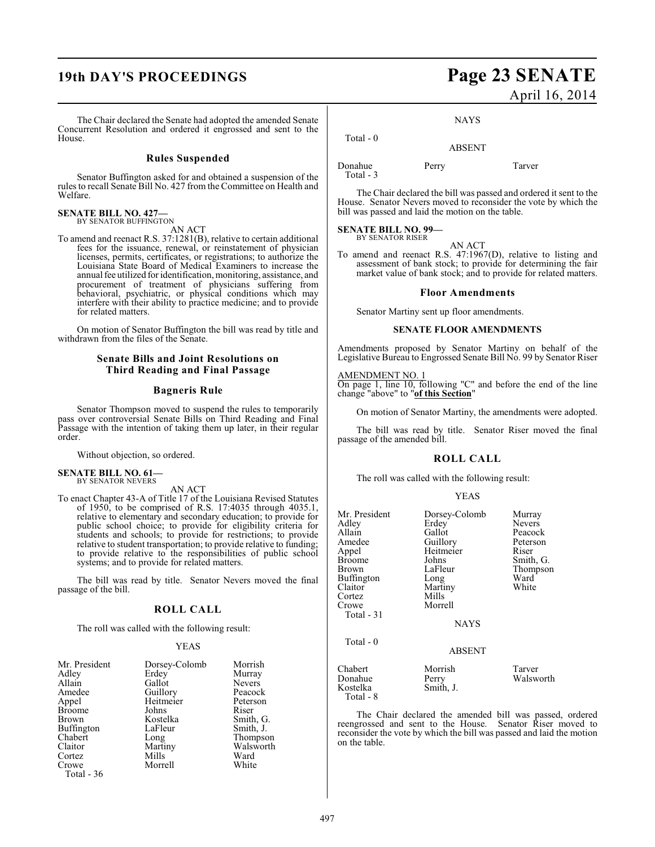The Chair declared the Senate had adopted the amended Senate Concurrent Resolution and ordered it engrossed and sent to the

#### **Rules Suspended**

Senator Buffington asked for and obtained a suspension of the rules to recall Senate Bill No. 427 from the Committee on Health and Welfare.

### **SENATE BILL NO. 427—**<br>BY SENATOR BUFFINGTON

House.

AN ACT

To amend and reenact R.S. 37:1281(B), relative to certain additional fees for the issuance, renewal, or reinstatement of physician licenses, permits, certificates, or registrations; to authorize the Louisiana State Board of Medical Examiners to increase the annual fee utilized for identification, monitoring, assistance, and procurement of treatment of physicians suffering from behavioral, psychiatric, or physical conditions which may interfere with their ability to practice medicine; and to provide for related matters.

On motion of Senator Buffington the bill was read by title and withdrawn from the files of the Senate.

#### **Senate Bills and Joint Resolutions on Third Reading and Final Passage**

#### **Bagneris Rule**

Senator Thompson moved to suspend the rules to temporarily pass over controversial Senate Bills on Third Reading and Final Passage with the intention of taking them up later, in their regular order.

Without objection, so ordered.

#### **SENATE BILL NO. 61—** BY SENATOR NEVERS

AN ACT

To enact Chapter 43-A of Title 17 of the Louisiana Revised Statutes of 1950, to be comprised of R.S. 17:4035 through 4035.1, relative to elementary and secondary education; to provide for public school choice; to provide for eligibility criteria for students and schools; to provide for restrictions; to provide relative to student transportation; to provide relative to funding; to provide relative to the responsibilities of public school systems; and to provide for related matters.

The bill was read by title. Senator Nevers moved the final passage of the bill.

#### **ROLL CALL**

The roll was called with the following result:

#### YEAS

| Mr. President     | Dorsey-Colomb | Morrish       |
|-------------------|---------------|---------------|
| Adley             | Erdey         | Murray        |
| Allain            | Gallot        | <b>Nevers</b> |
| Amedee            | Guillory      | Peacock       |
| Appel             | Heitmeier     | Peterson      |
| <b>Broome</b>     | Johns         | Riser         |
| <b>Brown</b>      | Kostelka      | Smith, G.     |
| <b>Buffington</b> | LaFleur       | Smith, J.     |
| Chabert           | Long          | Thompson      |
| Claitor           | Martiny       | Walsworth     |
| Cortez            | Mills         | Ward          |
| Crowe             | Morrell       | White         |
| Total - 36        |               |               |

## **19th DAY'S PROCEEDINGS Page 23 SENATE** April 16, 2014

NAYS

ABSENT

Donahue Perry Tarver Total - 3

Total - 0

The Chair declared the bill was passed and ordered it sent to the House. Senator Nevers moved to reconsider the vote by which the bill was passed and laid the motion on the table.

#### **SENATE BILL NO. 99—** BY SENATOR RISER

AN ACT

To amend and reenact R.S. 47:1967(D), relative to listing and assessment of bank stock; to provide for determining the fair market value of bank stock; and to provide for related matters.

#### **Floor Amendments**

Senator Martiny sent up floor amendments.

#### **SENATE FLOOR AMENDMENTS**

Amendments proposed by Senator Martiny on behalf of the Legislative Bureau to Engrossed Senate Bill No. 99 by Senator Riser

#### AMENDMENT NO. 1

On page 1, line 10, following "C" and before the end of the line change "above" to "**of this Section**"

On motion of Senator Martiny, the amendments were adopted.

The bill was read by title. Senator Riser moved the final passage of the amended bill.

### **ROLL CALL**

The roll was called with the following result:

| <b>YEAS</b> |
|-------------|
|             |

| Mr. President<br>Adley<br>Allain<br>Amedee<br>Appel<br>Broome<br>Brown<br>Buffington<br>Claitor<br>Cortez<br>Crowe<br>Total - 31 | Dorsey-Colomb<br>Erdey<br>Gallot<br>Guillory<br>Heitmeier<br>Johns<br>LaFleur<br>Long<br>Martiny<br>Mills<br>Morrell<br><b>NAYS</b> | Murray<br><b>Nevers</b><br>Peacock<br>Peterson<br>Riser<br>Smith, G.<br>Thompson<br>Ward<br>White |
|----------------------------------------------------------------------------------------------------------------------------------|-------------------------------------------------------------------------------------------------------------------------------------|---------------------------------------------------------------------------------------------------|
| Total - 0                                                                                                                        | <b>ABSENT</b>                                                                                                                       |                                                                                                   |
| Chabert<br>Donahue<br>Kostelka<br>Total - 8                                                                                      | Morrish<br>Perry<br>Smith, J.                                                                                                       | Tarver<br>Walsworth                                                                               |

The Chair declared the amended bill was passed, ordered reengrossed and sent to the House. Senator Riser moved to reconsider the vote by which the bill was passed and laid the motion on the table.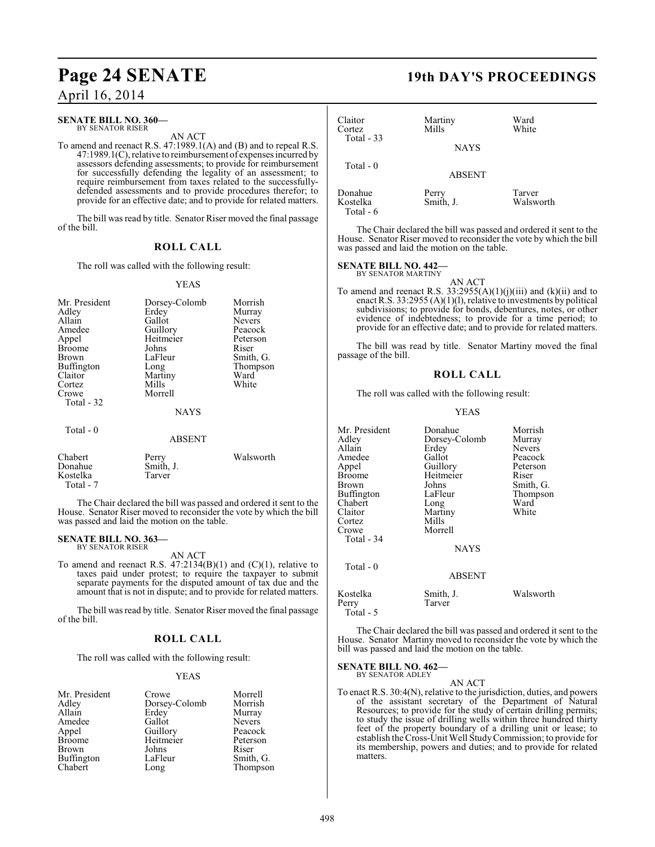#### **SENATE BILL NO. 360—** BY SENATOR RISER

AN ACT

To amend and reenact R.S. 47:1989.1(A) and (B) and to repeal R.S. 47:1989.1(C), relative to reimbursement of expenses incurred by assessors defending assessments; to provide for reimbursement for successfully defending the legality of an assessment; to require reimbursement from taxes related to the successfullydefended assessments and to provide procedures therefor; to provide for an effective date; and to provide for related matters.

The bill was read by title. Senator Riser moved the final passage of the bill.

### **ROLL CALL**

The roll was called with the following result:

#### YEAS

| Mr. President<br>Adley<br>Allain<br>Amedee<br>Appel<br><b>Broome</b><br><b>Brown</b><br><b>Buffington</b><br>Claitor<br>Cortez<br>Crowe | Dorsey-Colomb<br>Erdey<br>Gallot<br>Guillory<br>Heitmeier<br>Johns<br>LaFleur<br>Long<br>Martiny<br>Mills<br>Morrell | Morrish<br>Murray<br><b>Nevers</b><br>Peacock<br>Peterson<br>Riser<br>Smith, G.<br>Thompson<br>Ward<br>White |
|-----------------------------------------------------------------------------------------------------------------------------------------|----------------------------------------------------------------------------------------------------------------------|--------------------------------------------------------------------------------------------------------------|
| Total - 32<br>Total $-0$                                                                                                                | <b>NAYS</b><br><b>ABSENT</b>                                                                                         |                                                                                                              |
| Chabert                                                                                                                                 | Perry                                                                                                                | Walsworth                                                                                                    |

Donahue Smith, J.<br>Kostelka Tarver Kostelka Total - 7

The Chair declared the bill was passed and ordered it sent to the House. Senator Riser moved to reconsider the vote by which the bill was passed and laid the motion on the table.

#### **SENATE BILL NO. 363—** BY SENATOR RISER

AN ACT

To amend and reenact R.S.  $47:2134(B)(1)$  and  $(C)(1)$ , relative to taxes paid under protest; to require the taxpayer to submit separate payments for the disputed amount of tax due and the amount that is not in dispute; and to provide for related matters.

The bill was read by title. Senator Riser moved the final passage of the bill.

#### **ROLL CALL**

The roll was called with the following result:

#### YEAS

| Mr. President | Crowe         | Morrell       |
|---------------|---------------|---------------|
| Adley         | Dorsey-Colomb | Morrish       |
| Allain        | Erdey         | Murray        |
| Amedee        | Gallot        | <b>Nevers</b> |
| Appel         | Guillory      | Peacock       |
| <b>Broome</b> | Heitmeier     | Peterson      |
| Brown         | Johns         | Riser         |
| Buffington    | LaFleur       | Smith, G.     |
| Chabert       | Long          | Thompson      |

## **Page 24 SENATE 19th DAY'S PROCEEDINGS**

| Claitor<br>Cortez<br>Total $-33$ | Martiny<br>Mills<br><b>NAYS</b> | Ward<br>White       |
|----------------------------------|---------------------------------|---------------------|
| Total $-0$                       | <b>ABSENT</b>                   |                     |
| Donahue<br>Kostelka<br>Total - 6 | Perry<br>Smith, J.              | Tarver<br>Walsworth |

The Chair declared the bill was passed and ordered it sent to the House. Senator Riser moved to reconsider the vote by which the bill was passed and laid the motion on the table.

### **SENATE BILL NO. 442—** BY SENATOR MARTINY

AN ACT

To amend and reenact R.S.  $33:2955(A)(1)(j)(iii)$  and  $(k)(ii)$  and to enact R.S. 33:2955 (A)(1)(l), relative to investments by political subdivisions; to provide for bonds, debentures, notes, or other evidence of indebtedness; to provide for a time period; to provide for an effective date; and to provide for related matters.

The bill was read by title. Senator Martiny moved the final passage of the bill.

#### **ROLL CALL**

The roll was called with the following result:

#### YEAS

| Mr. President<br>Adley<br>Allain<br>Amedee<br>Appel<br><b>Broome</b><br>Brown<br>Buffington<br>Chabert<br>Claitor<br>Cortez<br>Crowe<br>Total - 34 | Donahue<br>Dorsey-Colomb<br>Erdey<br>Gallot<br>Guillory<br>Heitmeier<br>Johns<br>LaFleur<br>Long<br>Martiny<br>Mills<br>Morrell<br><b>NAYS</b> | Morrish<br>Murray<br><b>Nevers</b><br>Peacock<br>Peterson<br>Riser<br>Smith, G.<br>Thompson<br>Ward<br>White |
|----------------------------------------------------------------------------------------------------------------------------------------------------|------------------------------------------------------------------------------------------------------------------------------------------------|--------------------------------------------------------------------------------------------------------------|
| Total - 0                                                                                                                                          | <b>ABSENT</b>                                                                                                                                  |                                                                                                              |
| Kostelka<br>Perry<br>Total - 5                                                                                                                     | Smith, J.<br>Tarver                                                                                                                            | Walsworth                                                                                                    |

The Chair declared the bill was passed and ordered it sent to the House. Senator Martiny moved to reconsider the vote by which the bill was passed and laid the motion on the table.

## **SENATE BILL NO. 462—** BY SENATOR ADLEY

AN ACT To enact R.S. 30:4(N), relative to the jurisdiction, duties, and powers of the assistant secretary of the Department of Natural Resources; to provide for the study of certain drilling permits; to study the issue of drilling wells within three hundred thirty feet of the property boundary of a drilling unit or lease; to establish the Cross-Unit Well Study Commission; to provide for its membership, powers and duties; and to provide for related matters.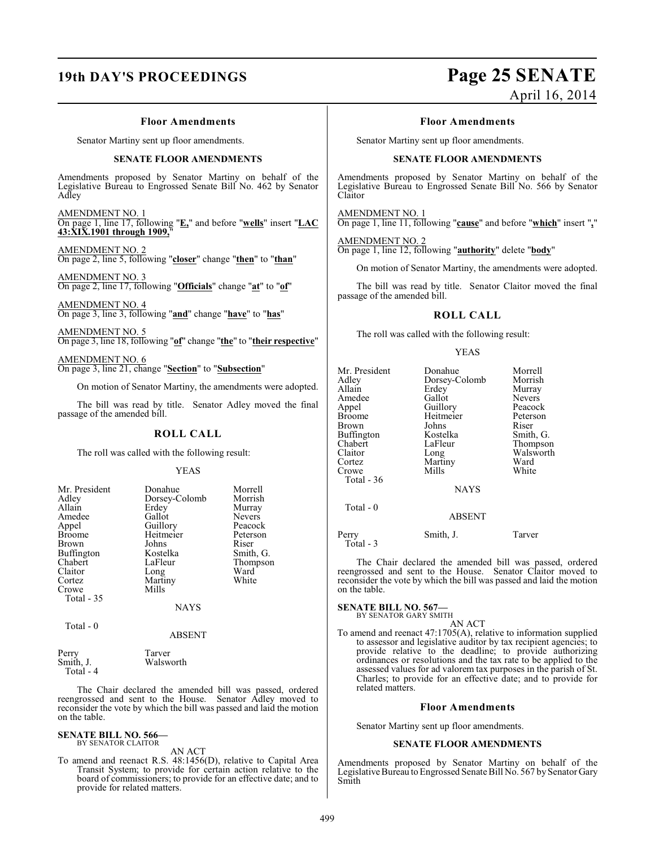## **19th DAY'S PROCEEDINGS Page 25 SENATE**

# April 16, 2014

#### **Floor Amendments**

Senator Martiny sent up floor amendments.

#### **SENATE FLOOR AMENDMENTS**

Amendments proposed by Senator Martiny on behalf of the Legislative Bureau to Engrossed Senate Bill No. 462 by Senator Adley

AMENDMENT NO. 1 On page 1, line 17, following "**E,**" and before "**wells**" insert "**LAC 43:XIX.1901 through 1909,**"

AMENDMENT NO. 2 On page 2, line 5, following "**closer**" change "**then**" to "**than**"

AMENDMENT NO. 3 On page 2, line 17, following "**Officials**" change "**at**" to "**of**"

AMENDMENT NO. 4 On page 3, line 3, following "**and**" change "**have**" to "**has**"

AMENDMENT NO. 5 On page 3, line 18, following "**of**" change "**the**" to "**their respective**"

AMENDMENT NO. 6 On page 3, line 21, change "**Section**" to "**Subsection**"

On motion of Senator Martiny, the amendments were adopted.

The bill was read by title. Senator Adley moved the final passage of the amended bill.

#### **ROLL CALL**

The roll was called with the following result:

#### YEAS

| Mr. President | Donahue       | Morrell       |
|---------------|---------------|---------------|
| Adley         | Dorsey-Colomb | Morrish       |
| Allain        | Erdey         | Murray        |
| Amedee        | Gallot        | <b>Nevers</b> |
| Appel         | Guillory      | Peacock       |
| <b>Broome</b> | Heitmeier     | Peterson      |
| <b>Brown</b>  | Johns         | Riser         |
| Buffington    | Kostelka      | Smith, G.     |
| Chabert       | LaFleur       | Thompson      |
| Claitor       | Long          | Ward          |
| Cortez        | Martiny       | White         |
| Crowe         | Mills         |               |
| Total - 35    |               |               |
|               | <b>NAYS</b>   |               |

#### ABSENT

| Perry      | Tarver    |
|------------|-----------|
| Smith, J.  | Walsworth |
| Total $-4$ |           |

Total - 0

The Chair declared the amended bill was passed, ordered reengrossed and sent to the House. Senator Adley moved to reconsider the vote by which the bill was passed and laid the motion on the table.

### **SENATE BILL NO. 566—** BY SENATOR CLAITOR

AN ACT To amend and reenact R.S. 48:1456(D), relative to Capital Area Transit System; to provide for certain action relative to the board of commissioners; to provide for an effective date; and to provide for related matters.

#### **Floor Amendments**

Senator Martiny sent up floor amendments.

#### **SENATE FLOOR AMENDMENTS**

Amendments proposed by Senator Martiny on behalf of the Legislative Bureau to Engrossed Senate Bill No. 566 by Senator Claitor

AMENDMENT NO. 1

On page 1, line 11, following "**cause**" and before "**which**" insert "**,**"

### AMENDMENT NO. 2

On page 1, line 12, following "**authority**" delete "**body**"

On motion of Senator Martiny, the amendments were adopted.

The bill was read by title. Senator Claitor moved the final passage of the amended bill.

#### **ROLL CALL**

The roll was called with the following result:

#### YEAS

| Mr. President<br>Adlev<br>Allain<br>Amedee<br>Appel<br>Broome<br>Brown<br>Buffington<br>Chabert<br>Claitor<br>Cortez | Donahue<br>Dorsey-Colomb<br>Erdey<br>Gallot<br>Guillory<br>Heitmeier<br>Johns<br>Kostelka<br>LaFleur<br>Long<br>Martiny | Morrell<br>Morrish<br>Murray<br><b>Nevers</b><br>Peacock<br>Peterson<br>Riser<br>Smith, G.<br>Thompson<br>Walsworth<br>Ward |
|----------------------------------------------------------------------------------------------------------------------|-------------------------------------------------------------------------------------------------------------------------|-----------------------------------------------------------------------------------------------------------------------------|
| Total - 36                                                                                                           | <b>NAYS</b>                                                                                                             |                                                                                                                             |
| Total - 0                                                                                                            | <b>ABSENT</b>                                                                                                           |                                                                                                                             |
| Perry                                                                                                                | Smith, J.                                                                                                               | Tarver                                                                                                                      |

 $T_{\text{total}}$  - 3 The Chair declared the amended bill was passed, ordered

reengrossed and sent to the House. Senator Claitor moved to reconsider the vote by which the bill was passed and laid the motion on the table.

### **SENATE BILL NO. 567—**<br>BY SENATOR GARY SMITH

AN ACT

To amend and reenact 47:1705(A), relative to information supplied to assessor and legislative auditor by tax recipient agencies; to provide relative to the deadline; to provide authorizing ordinances or resolutions and the tax rate to be applied to the assessed values for ad valorem tax purposes in the parish of St. Charles; to provide for an effective date; and to provide for related matters.

#### **Floor Amendments**

Senator Martiny sent up floor amendments.

#### **SENATE FLOOR AMENDMENTS**

Amendments proposed by Senator Martiny on behalf of the Legislative Bureau to Engrossed Senate Bill No. 567 by Senator Gary Smith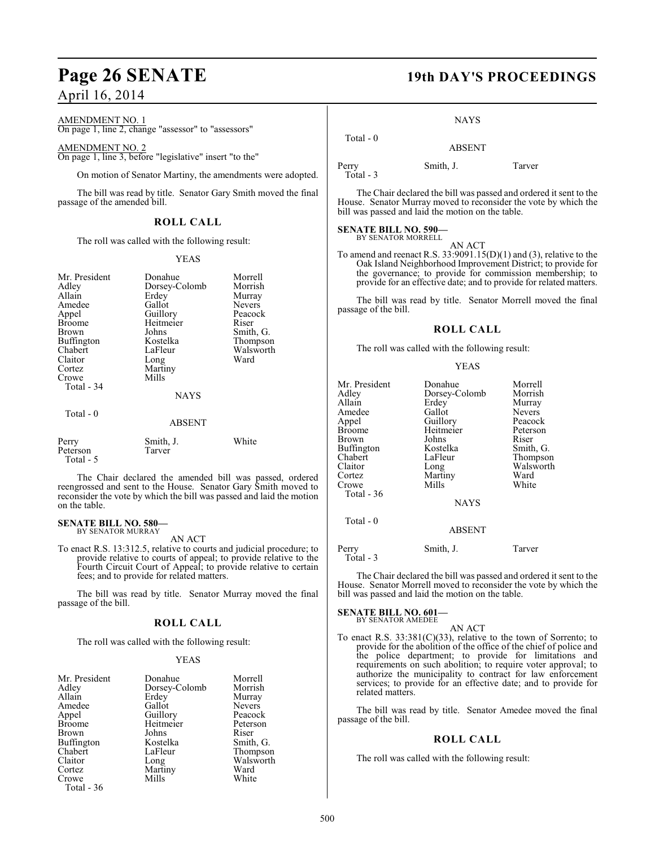## **Page 26 SENATE 19th DAY'S PROCEEDINGS**

### April 16, 2014

### AMENDMENT NO. 1

On page 1, line 2, change "assessor" to "assessors"

#### AMENDMENT NO. 2

On page 1, line 3, before "legislative" insert "to the"

On motion of Senator Martiny, the amendments were adopted.

The bill was read by title. Senator Gary Smith moved the final passage of the amended bill.

#### **ROLL CALL**

The roll was called with the following result:

#### YEAS

| Mr. President<br>Adley<br>Allain<br>Amedee<br>Appel<br><b>Broome</b><br>Brown<br><b>Buffington</b><br>Chabert<br>Claitor<br>Cortez<br>Crowe<br>Total - 34<br>Total - 0 | Donahue<br>Dorsey-Colomb<br>Erdey<br>Gallot<br>Guillory<br>Heitmeier<br>Johns<br>Kostelka<br>LaFleur<br>Long<br>Martiny<br>Mills<br><b>NAYS</b><br><b>ABSENT</b> | Morrell<br>Morrish<br>Murray<br><b>Nevers</b><br>Peacock<br>Riser<br>Smith, G.<br>Thompson<br>Walsworth<br>Ward |
|------------------------------------------------------------------------------------------------------------------------------------------------------------------------|------------------------------------------------------------------------------------------------------------------------------------------------------------------|-----------------------------------------------------------------------------------------------------------------|
| Perry<br>Peterson<br>Total - 5                                                                                                                                         | Smith, J.<br>Tarver                                                                                                                                              | White                                                                                                           |

The Chair declared the amended bill was passed, ordered reengrossed and sent to the House. Senator Gary Smith moved to reconsider the vote by which the bill was passed and laid the motion on the table.

#### **SENATE BILL NO. 580—** BY SENATOR MURRAY

AN ACT

To enact R.S. 13:312.5, relative to courts and judicial procedure; to provide relative to courts of appeal; to provide relative to the Fourth Circuit Court of Appeal; to provide relative to certain fees; and to provide for related matters.

The bill was read by title. Senator Murray moved the final passage of the bill.

#### **ROLL CALL**

The roll was called with the following result:

#### YEAS

| Mr. President<br>Adley<br>Allain<br>Amedee<br>Appel<br><b>Broome</b><br><b>Brown</b><br>Buffington<br>Chabert<br>Claitor<br>Cortez | Donahue<br>Dorsey-Colomb<br>Erdey<br>Gallot<br>Guillory<br>Heitmeier<br>Johns<br>Kostelka<br>LaFleur<br>Long<br>Martiny | Morrell<br>Morrish<br>Murray<br><b>Nevers</b><br>Peacock<br>Peterson<br>Riser<br>Smith, G.<br>Thompson<br>Walsworth<br>Ward |
|------------------------------------------------------------------------------------------------------------------------------------|-------------------------------------------------------------------------------------------------------------------------|-----------------------------------------------------------------------------------------------------------------------------|
| Crowe                                                                                                                              | Mills                                                                                                                   | White                                                                                                                       |
| Total - 36                                                                                                                         |                                                                                                                         |                                                                                                                             |

NAYS

 Total - 0 ABSENT

Perry Smith, J. Tarver

Total - 3

The Chair declared the bill was passed and ordered it sent to the House. Senator Murray moved to reconsider the vote by which the bill was passed and laid the motion on the table.

### **SENATE BILL NO. 590—** BY SENATOR MORRELL

AN ACT

To amend and reenact R.S. 33:9091.15(D)(1) and (3), relative to the Oak Island Neighborhood Improvement District; to provide for the governance; to provide for commission membership; to provide for an effective date; and to provide for related matters.

The bill was read by title. Senator Morrell moved the final passage of the bill.

#### **ROLL CALL**

The roll was called with the following result:

#### YEAS

| Mr. President     | Donahue       | Morrell       |
|-------------------|---------------|---------------|
| Adley             | Dorsey-Colomb | Morrish       |
| Allain            | Erdey         | Murray        |
| Amedee            | Gallot        | <b>Nevers</b> |
| Appel             | Guillory      | Peacock       |
| <b>Broome</b>     | Heitmeier     | Peterson      |
| Brown             | Johns         | Riser         |
| <b>Buffington</b> | Kostelka      | Smith, G.     |
| Chabert           | LaFleur       | Thompson      |
| Claitor           | Long          | Walsworth     |
| Cortez            | Martiny       | Ward          |
| Crowe             | Mills         | White         |
| Total - 36        |               |               |
|                   | <b>NAYS</b>   |               |
| Total $-0$        | <b>ABSENT</b> |               |
|                   |               |               |

Perry Smith, J. Tarver Total - 3

The Chair declared the bill was passed and ordered it sent to the House. Senator Morrell moved to reconsider the vote by which the bill was passed and laid the motion on the table.

#### **SENATE BILL NO. 601—** BY SENATOR AMEDEE

AN ACT

To enact R.S. 33:381(C)(33), relative to the town of Sorrento; to provide for the abolition of the office of the chief of police and the police department; to provide for limitations and requirements on such abolition; to require voter approval; to authorize the municipality to contract for law enforcement services; to provide for an effective date; and to provide for related matters.

The bill was read by title. Senator Amedee moved the final passage of the bill.

#### **ROLL CALL**

The roll was called with the following result: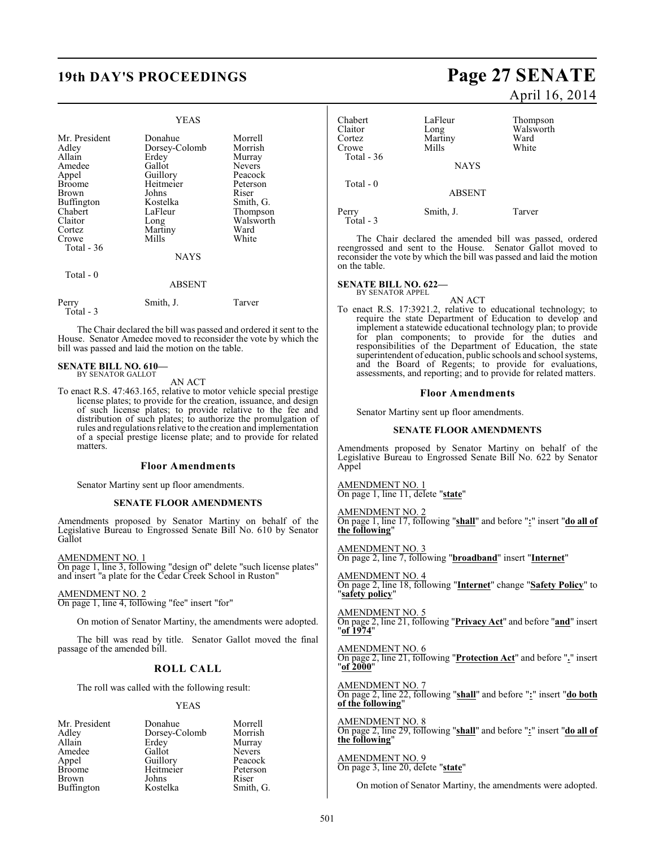### **19th DAY'S PROCEEDINGS Page 27 SENATE**

|                                                                                                                                                     | YEAS                                                                                                                             |                                                                                                                                      |
|-----------------------------------------------------------------------------------------------------------------------------------------------------|----------------------------------------------------------------------------------------------------------------------------------|--------------------------------------------------------------------------------------------------------------------------------------|
| Mr. President<br>Adley<br>Allain<br>Amedee<br>Appel<br><b>Broome</b><br>Brown<br>Buffington<br>Chabert<br>Claitor<br>Cortez<br>Crowe<br>Total $-36$ | Donahue<br>Dorsey-Colomb<br>Erdey<br>Gallot<br>Guillory<br>Heitmeier<br>Johns<br>Kostelka<br>LaFleur<br>Long<br>Martiny<br>Mills | Morrell<br>Morrish<br>Murray<br><b>Nevers</b><br>Peacock<br>Peterson<br>Riser<br>Smith, G.<br>Thompson<br>Walsworth<br>Ward<br>White |
|                                                                                                                                                     | <b>NAYS</b>                                                                                                                      |                                                                                                                                      |
| Total - 0                                                                                                                                           | ABSENT                                                                                                                           |                                                                                                                                      |
| Perry<br>Total - 3                                                                                                                                  | Smith, J.                                                                                                                        | Tarver                                                                                                                               |

The Chair declared the bill was passed and ordered it sent to the House. Senator Amedee moved to reconsider the vote by which the bill was passed and laid the motion on the table.

#### **SENATE BILL NO. 610—** BY SENATOR GALLOT

AN ACT

To enact R.S. 47:463.165, relative to motor vehicle special prestige license plates; to provide for the creation, issuance, and design of such license plates; to provide relative to the fee and distribution of such plates; to authorize the promulgation of rules and regulations relative to the creation and implementation of a special prestige license plate; and to provide for related matters.

#### **Floor Amendments**

Senator Martiny sent up floor amendments.

#### **SENATE FLOOR AMENDMENTS**

Amendments proposed by Senator Martiny on behalf of the Legislative Bureau to Engrossed Senate Bill No. 610 by Senator Gallot

#### AMENDMENT NO. 1

On page 1, line 3, following "design of" delete "such license plates" and insert "a plate for the Cedar Creek School in Ruston"

#### AMENDMENT NO. 2

On page 1, line 4, following "fee" insert "for"

On motion of Senator Martiny, the amendments were adopted.

The bill was read by title. Senator Gallot moved the final passage of the amended bill.

#### **ROLL CALL**

The roll was called with the following result:

#### YEAS

| Mr. President | Donahue       | Morrell       |
|---------------|---------------|---------------|
| Adley         | Dorsey-Colomb | Morrish       |
| Allain        | Erdey         | Murray        |
| Amedee        | Gallot        | <b>Nevers</b> |
| Appel         | Guillory      | Peacock       |
| <b>Broome</b> | Heitmeier     | Peterson      |
| Brown         | Johns         | Riser         |
| Buffington    | Kostelka      | Smith, G.     |

# April 16, 2014

| Chabert<br>Claitor<br>Cortez<br>Crowe | LaFleur<br>Long<br>Martiny<br>Mills | Thompson<br>Walsworth<br>Ward<br>White |
|---------------------------------------|-------------------------------------|----------------------------------------|
| Total - $36$                          | <b>NAYS</b>                         |                                        |
| Total $-0$                            | <b>ABSENT</b>                       |                                        |
| Perry<br>$Total - 3$                  | Smith, J.                           | Tarver                                 |

The Chair declared the amended bill was passed, ordered reengrossed and sent to the House. Senator Gallot moved to reconsider the vote by which the bill was passed and laid the motion on the table.

#### **SENATE BILL NO. 622—** BY SENATOR APPEL

AN ACT

To enact R.S. 17:3921.2, relative to educational technology; to require the state Department of Education to develop and implement a statewide educational technology plan; to provide for plan components; to provide for the duties and responsibilities of the Department of Education, the state superintendent of education, public schools and school systems, and the Board of Regents; to provide for evaluations, assessments, and reporting; and to provide for related matters.

#### **Floor Amendments**

Senator Martiny sent up floor amendments.

#### **SENATE FLOOR AMENDMENTS**

Amendments proposed by Senator Martiny on behalf of the Legislative Bureau to Engrossed Senate Bill No. 622 by Senator Appel

AMENDMENT NO. 1 On page 1, line 11, delete "**state**"

AMENDMENT NO. 2 On page 1, line 17, following "**shall**" and before "**:**" insert "**do all of the following**"

AMENDMENT NO. 3 On page 2, line 7, following "**broadband**" insert "**Internet**"

AMENDMENT NO. 4 On page 2, line 18, following "**Internet**" change "**Safety Policy**" to "**safety policy**"

AMENDMENT NO. 5 On page 2, line 21, following "**Privacy Act**" and before "**and**" insert "**of 1974**"

AMENDMENT NO. 6 On page 2, line 21, following "**Protection Act**" and before "**.**" insert "**of 2000**"

AMENDMENT NO. 7 On page 2, line 22, following "**shall**" and before "**:**" insert "**do both of the following**"

AMENDMENT NO. 8 On page 2, line 29, following "**shall**" and before "**:**" insert "**do all of the following**"

AMENDMENT NO. 9 On page 3, line 20, delete "**state**"

On motion of Senator Martiny, the amendments were adopted.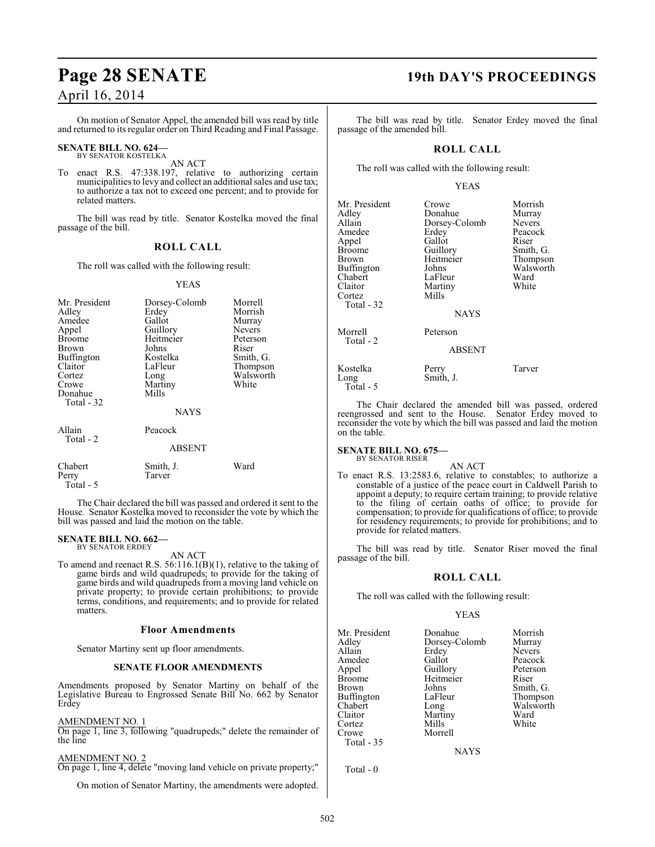On motion of Senator Appel, the amended bill was read by title and returned to its regular order on Third Reading and Final Passage.

### **SENATE BILL NO. 624—** BY SENATOR KOSTELKA

AN ACT

To enact R.S. 47:338.197, relative to authorizing certain municipalities to levy and collect an additional sales and use tax; to authorize a tax not to exceed one percent; and to provide for related matters.

The bill was read by title. Senator Kostelka moved the final passage of the bill.

#### **ROLL CALL**

The roll was called with the following result:

#### YEAS

| Mr. President<br>Adley<br>Amedee<br>Appel<br><b>Broome</b><br>Brown<br>Buffington<br>Claitor<br>Cortez<br>Crowe<br>Donahue<br>Total - 32 | Dorsey-Colomb<br>Erdey<br>Gallot<br>Guillory<br>Heitmeier<br>Johns<br>Kostelka<br>LaFleur<br>Long<br>Martiny<br>Mills<br><b>NAYS</b> | Morrell<br>Morrish<br>Murray<br><b>Nevers</b><br>Peterson<br>Riser<br>Smith, G.<br>Thompson<br>Walsworth<br>White |
|------------------------------------------------------------------------------------------------------------------------------------------|--------------------------------------------------------------------------------------------------------------------------------------|-------------------------------------------------------------------------------------------------------------------|
| Allain<br>Total - 2                                                                                                                      | Peacock                                                                                                                              |                                                                                                                   |
| Chabert                                                                                                                                  | <b>ABSENT</b>                                                                                                                        |                                                                                                                   |
| Perry<br>Total - 5                                                                                                                       | Smith, J.<br>Tarver                                                                                                                  | Ward                                                                                                              |

The Chair declared the bill was passed and ordered it sent to the House. Senator Kostelka moved to reconsider the vote by which the bill was passed and laid the motion on the table.

#### **SENATE BILL NO. 662—** BY SENATOR ERDEY

AN ACT

To amend and reenact R.S. 56:116.1(B)(1), relative to the taking of game birds and wild quadrupeds; to provide for the taking of game birds and wild quadrupeds from a moving land vehicle on private property; to provide certain prohibitions; to provide terms, conditions, and requirements; and to provide for related matters.

#### **Floor Amendments**

Senator Martiny sent up floor amendments.

#### **SENATE FLOOR AMENDMENTS**

Amendments proposed by Senator Martiny on behalf of the Legislative Bureau to Engrossed Senate Bill No. 662 by Senator Erdey

#### AMENDMENT NO. 1

On page 1, line 3, following "quadrupeds;" delete the remainder of the line

#### AMENDMENT NO. 2

On page 1, line 4, delete "moving land vehicle on private property;"

On motion of Senator Martiny, the amendments were adopted.

### **Page 28 SENATE 19th DAY'S PROCEEDINGS**

The bill was read by title. Senator Erdey moved the final passage of the amended bill.

#### **ROLL CALL**

The roll was called with the following result:

#### YEAS

| Mr. President<br>Adley<br>Allain<br>Amedee<br>Appel<br>Broome<br>Brown<br>Buffington<br>Chabert<br>Claitor<br>Cortez<br>Total - 32 | Crowe<br>Donahue<br>Dorsey-Colomb<br>Erdey<br>Gallot<br>Guillory<br>Heitmeier<br>Johns<br>LaFleur<br>Martiny<br>Mills<br><b>NAYS</b> | Morrish<br>Murray<br>Nevers<br>Peacock<br>Riser<br>Smith, G.<br>Thompson<br>Walsworth<br>Ward<br>White |
|------------------------------------------------------------------------------------------------------------------------------------|--------------------------------------------------------------------------------------------------------------------------------------|--------------------------------------------------------------------------------------------------------|
| Morrell<br>Total - 2                                                                                                               | Peterson<br><b>ABSENT</b>                                                                                                            |                                                                                                        |
| Kostelka<br>Long<br>Total - 5                                                                                                      | Perry<br>Smith, J.                                                                                                                   | Tarver                                                                                                 |

The Chair declared the amended bill was passed, ordered reengrossed and sent to the House. Senator Erdey moved to reconsider the vote by which the bill was passed and laid the motion on the table.

#### **SENATE BILL NO. 675—** BY SENATOR RISER

AN ACT

To enact R.S. 13:2583.6, relative to constables; to authorize a constable of a justice of the peace court in Caldwell Parish to appoint a deputy; to require certain training; to provide relative to the filing of certain oaths of office; to provide for compensation; to provide for qualifications of office; to provide for residency requirements; to provide for prohibitions; and to provide for related matters.

The bill was read by title. Senator Riser moved the final passage of the bill.

#### **ROLL CALL**

The roll was called with the following result:

#### YEAS

| Mr. President | Donahue       | Morrish       |
|---------------|---------------|---------------|
| Adlev         | Dorsey-Colomb | Murray        |
| Allain        | Erdey         | <b>Nevers</b> |
| Amedee        | Gallot        | Peacock       |
| Appel         | Guillory      | Peterson      |
| Broome        | Heitmeier     | Riser         |
| Brown         | Johns         | Smith, G.     |
| Buffington    | LaFleur       | Thompson      |
| Chabert       | Long          | Walsworth     |
| Claitor       | Martiny       | Ward          |
| Cortez        | Mills         | White         |
| Crowe         | Morrell       |               |
| Total - 35    |               |               |

**NAYS** 

Total - 0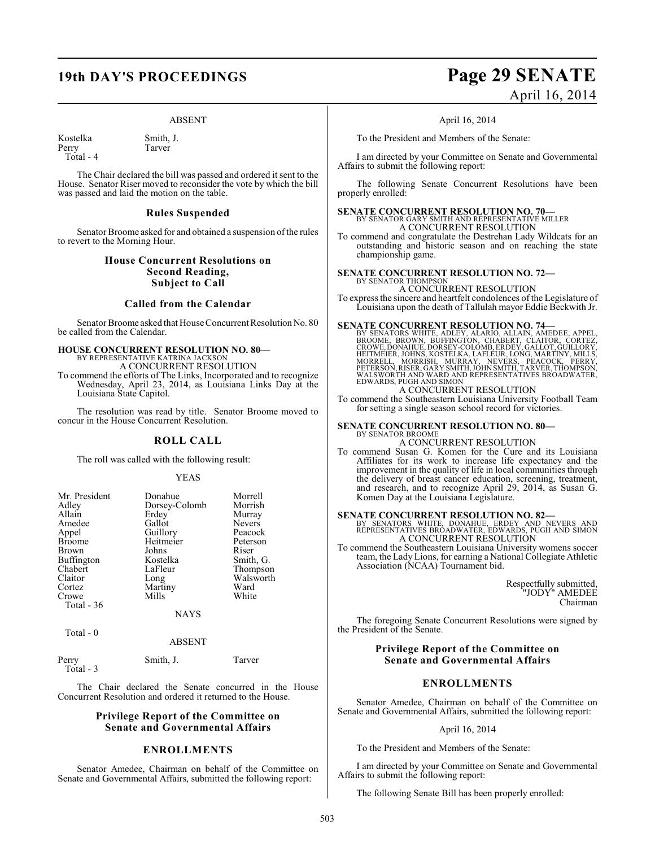#### ABSENT

Kostelka Smith, J.<br>Perry Tarver Perry Total - 4

The Chair declared the bill was passed and ordered it sent to the House. Senator Riser moved to reconsider the vote by which the bill was passed and laid the motion on the table.

#### **Rules Suspended**

Senator Broome asked for and obtained a suspension of the rules to revert to the Morning Hour.

### **House Concurrent Resolutions on Second Reading, Subject to Call**

#### **Called from the Calendar**

Senator Broome asked that House Concurrent Resolution No. 80 be called from the Calendar.

### **HOUSE CONCURRENT RESOLUTION NO. 80—**

BY REPRESENTATIVE KATRINA JACKSON A CONCURRENT RESOLUTION

To commend the efforts of The Links, Incorporated and to recognize Wednesday, April 23, 2014, as Louisiana Links Day at the Louisiana State Capitol.

The resolution was read by title. Senator Broome moved to concur in the House Concurrent Resolution.

#### **ROLL CALL**

The roll was called with the following result:

#### YEAS

| Mr. President | Donahue       | Morrell   |
|---------------|---------------|-----------|
| Adley         | Dorsey-Colomb | Morrish   |
| Allain        | Erdey         | Murray    |
| Amedee        | Gallot        | Nevers    |
| Appel         | Guillory      | Peacock   |
| <b>Broome</b> | Heitmeier     | Peterson  |
| <b>Brown</b>  | Johns         | Riser     |
| Buffington    | Kostelka      | Smith, G. |
| Chabert       | LaFleur       | Thompson  |
| Claitor       | Long          | Walsworth |
| Cortez        | Martiny       | Ward      |
| Crowe         | Mills         | White     |
| Total - 36    |               |           |
|               | NAYS          |           |

Total - 0

#### ABSENT

| Perry<br>Total - 3 | Smith, J. | Tarver |
|--------------------|-----------|--------|
|                    |           |        |

The Chair declared the Senate concurred in the House Concurrent Resolution and ordered it returned to the House.

#### **Privilege Report of the Committee on Senate and Governmental Affairs**

#### **ENROLLMENTS**

Senator Amedee, Chairman on behalf of the Committee on Senate and Governmental Affairs, submitted the following report:

### **19th DAY'S PROCEEDINGS Page 29 SENATE** April 16, 2014

April 16, 2014

To the President and Members of the Senate:

I am directed by your Committee on Senate and Governmental Affairs to submit the following report:

The following Senate Concurrent Resolutions have been properly enrolled:

**SENATE CONCURRENT RESOLUTION NO. 70—** BY SENATOR GARY SMITH AND REPRESENTATIVE MILLER A CONCURRENT RESOLUTION

To commend and congratulate the Destrehan Lady Wildcats for an outstanding and historic season and on reaching the state championship game.

#### **SENATE CONCURRENT RESOLUTION NO. 72—** BY SENATOR THOMPSON

A CONCURRENT RESOLUTION

To express the sincere and heartfelt condolences of the Legislature of Louisiana upon the death of Tallulah mayor Eddie Beckwith Jr.

SENATE CONCURRENT RESOLUTION NO. 74-BY SENATORS WHITE, APPEL, ALARIO, ALLAIN, AMEDEE, APPEL, BROOME, BROWN, BUFFINGTON, CHABERT, CLAITOR, CORTEZ, CROWE, DONAHUE, DORSEY-COLOMB, ERDEY, GALLOT, GUILLORY, HEITMEIER, JOHNS, KO WALSWORTH AND WARD AND REPRESENTATIVES BROADWATER, EDWARDS, PUGH AND SIMON

### A CONCURRENT RESOLUTION

To commend the Southeastern Louisiana University Football Team for setting a single season school record for victories.

#### **SENATE CONCURRENT RESOLUTION NO. 80—** BY SENATOR BROOME

A CONCURRENT RESOLUTION

To commend Susan G. Komen for the Cure and its Louisiana Affiliates for its work to increase life expectancy and the improvement in the quality of life in local communities through the delivery of breast cancer education, screening, treatment, and research, and to recognize April 29, 2014, as Susan G. Komen Day at the Louisiana Legislature.

**SENATE CONCURRENT RESOLUTION NO. 82—**<br>BY SENATORS WHITE, DONAHUE, ERDEY AND NEVERS AND<br>REPRESENTATIVES BROADWATER, EDWARDS, PUGH AND SIMON A CONCURRENT RESOLUTION

To commend the Southeastern Louisiana University womens soccer team, the Lady Lions, for earning a National Collegiate Athletic Association (NCAA) Tournament bid.

> Respectfully submitted, "JODY" AMEDEE Chairman

The foregoing Senate Concurrent Resolutions were signed by the President of the Senate.

#### **Privilege Report of the Committee on Senate and Governmental Affairs**

#### **ENROLLMENTS**

Senator Amedee, Chairman on behalf of the Committee on Senate and Governmental Affairs, submitted the following report:

#### April 16, 2014

To the President and Members of the Senate:

I am directed by your Committee on Senate and Governmental Affairs to submit the following report:

The following Senate Bill has been properly enrolled: